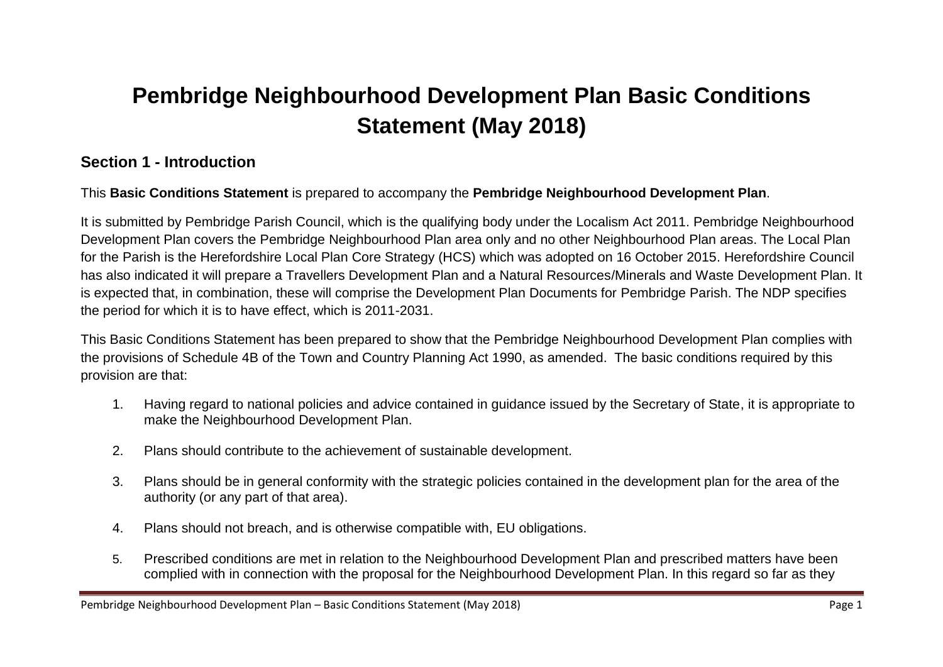# **Pembridge Neighbourhood Development Plan Basic Conditions Statement (May 2018)**

## **Section 1 - Introduction**

This **Basic Conditions Statement** is prepared to accompany the **Pembridge Neighbourhood Development Plan**.

It is submitted by Pembridge Parish Council, which is the qualifying body under the Localism Act 2011. Pembridge Neighbourhood Development Plan covers the Pembridge Neighbourhood Plan area only and no other Neighbourhood Plan areas. The Local Plan for the Parish is the Herefordshire Local Plan Core Strategy (HCS) which was adopted on 16 October 2015. Herefordshire Council has also indicated it will prepare a Travellers Development Plan and a Natural Resources/Minerals and Waste Development Plan. It is expected that, in combination, these will comprise the Development Plan Documents for Pembridge Parish. The NDP specifies the period for which it is to have effect, which is 2011-2031.

This Basic Conditions Statement has been prepared to show that the Pembridge Neighbourhood Development Plan complies with the provisions of Schedule 4B of the Town and Country Planning Act 1990, as amended. The basic conditions required by this provision are that:

- 1. Having regard to national policies and advice contained in guidance issued by the Secretary of State, it is appropriate to make the Neighbourhood Development Plan.
- 2. Plans should contribute to the achievement of sustainable development.
- 3. Plans should be in general conformity with the strategic policies contained in the development plan for the area of the authority (or any part of that area).
- 4. Plans should not breach, and is otherwise compatible with, EU obligations.
- 5. Prescribed conditions are met in relation to the Neighbourhood Development Plan and prescribed matters have been complied with in connection with the proposal for the Neighbourhood Development Plan. In this regard so far as they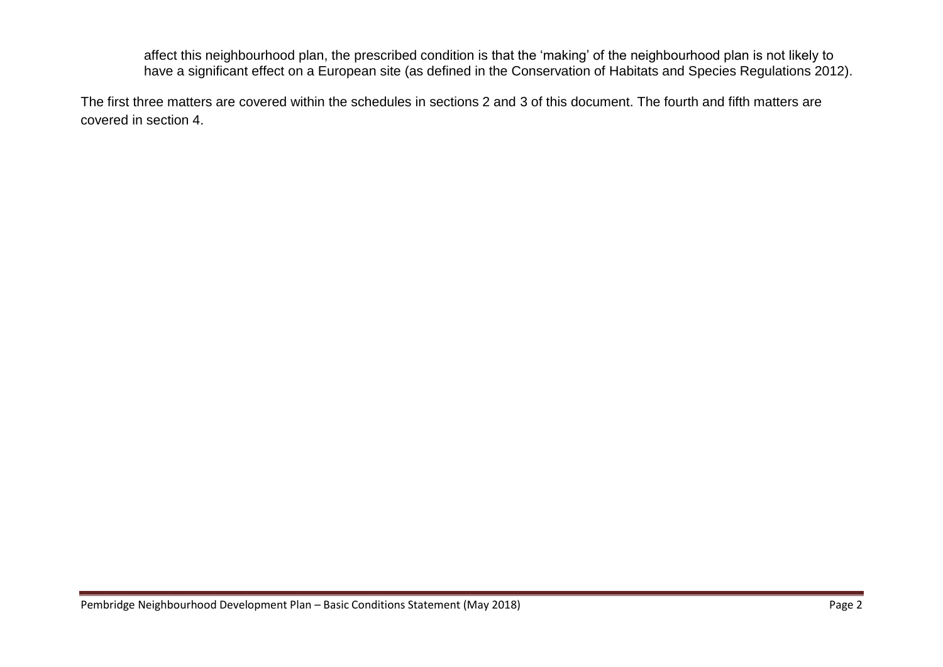affect this neighbourhood plan, the prescribed condition is that the 'making' of the neighbourhood plan is not likely to have a significant effect on a European site (as defined in the Conservation of Habitats and Species Regulations 2012).

The first three matters are covered within the schedules in sections 2 and 3 of this document. The fourth and fifth matters are covered in section 4.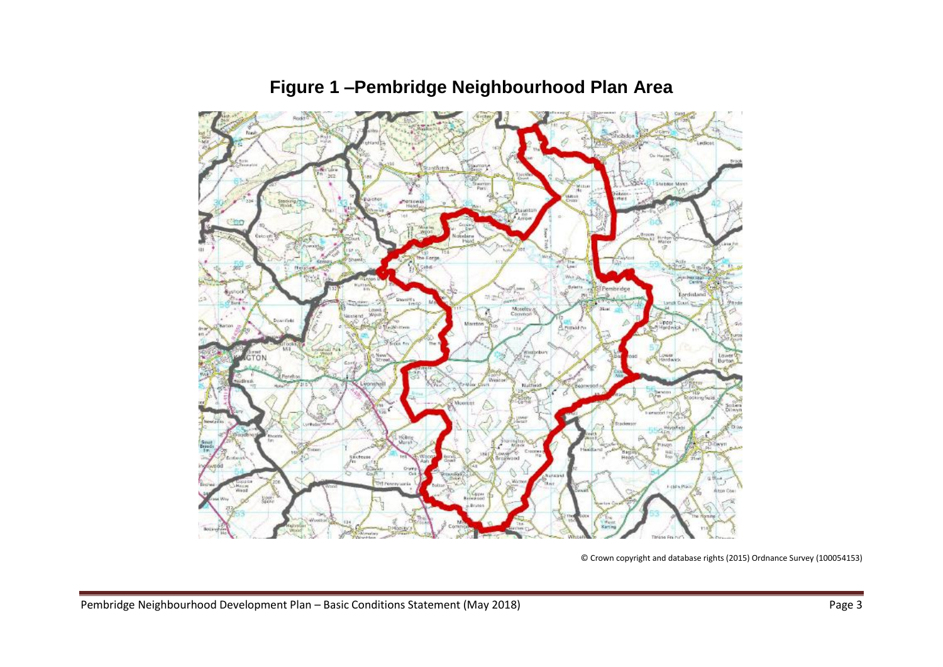

## **Figure 1 –Pembridge Neighbourhood Plan Area**

© Crown copyright and database rights (2015) Ordnance Survey (100054153)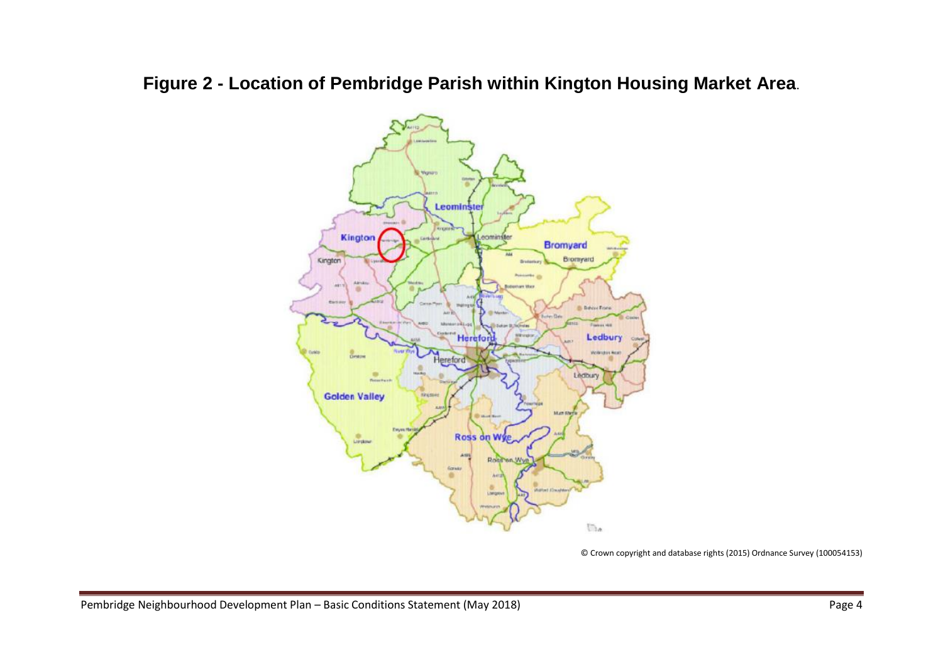## **Figure 2 - Location of Pembridge Parish within Kington Housing Market Area**.



© Crown copyright and database rights (2015) Ordnance Survey (100054153)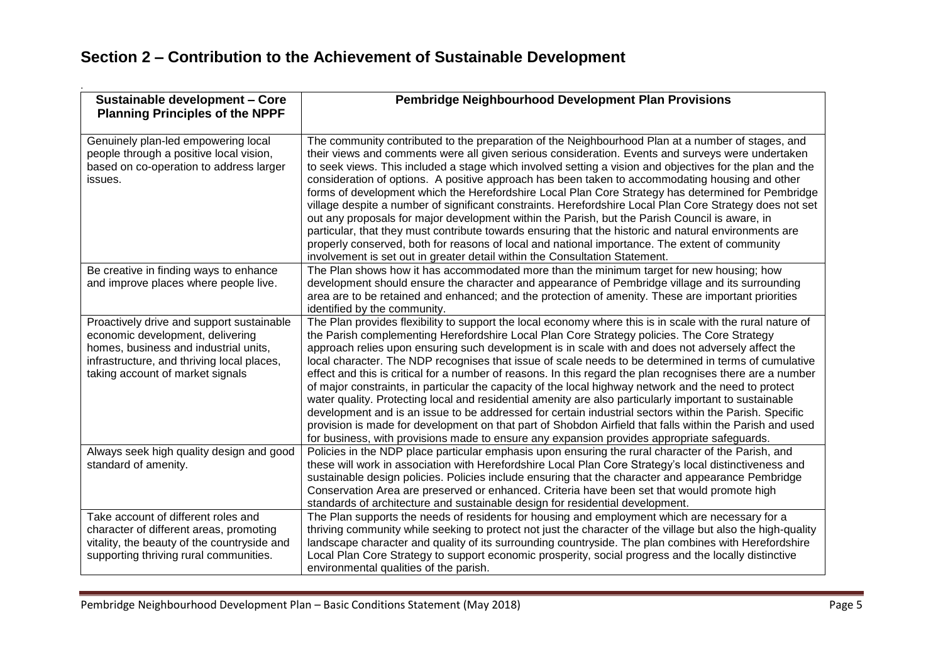## **Section 2 – Contribution to the Achievement of Sustainable Development**

| Sustainable development - Core<br><b>Planning Principles of the NPPF</b>                                                                                                                                 | Pembridge Neighbourhood Development Plan Provisions                                                                                                                                                                                                                                                                                                                                                                                                                                                                                                                                                                                                                                                                                                                                                                                                                                                                                                                                                                                                                           |  |
|----------------------------------------------------------------------------------------------------------------------------------------------------------------------------------------------------------|-------------------------------------------------------------------------------------------------------------------------------------------------------------------------------------------------------------------------------------------------------------------------------------------------------------------------------------------------------------------------------------------------------------------------------------------------------------------------------------------------------------------------------------------------------------------------------------------------------------------------------------------------------------------------------------------------------------------------------------------------------------------------------------------------------------------------------------------------------------------------------------------------------------------------------------------------------------------------------------------------------------------------------------------------------------------------------|--|
| Genuinely plan-led empowering local<br>people through a positive local vision,<br>based on co-operation to address larger<br>issues.                                                                     | The community contributed to the preparation of the Neighbourhood Plan at a number of stages, and<br>their views and comments were all given serious consideration. Events and surveys were undertaken<br>to seek views. This included a stage which involved setting a vision and objectives for the plan and the<br>consideration of options. A positive approach has been taken to accommodating housing and other<br>forms of development which the Herefordshire Local Plan Core Strategy has determined for Pembridge<br>village despite a number of significant constraints. Herefordshire Local Plan Core Strategy does not set<br>out any proposals for major development within the Parish, but the Parish Council is aware, in<br>particular, that they must contribute towards ensuring that the historic and natural environments are<br>properly conserved, both for reasons of local and national importance. The extent of community<br>involvement is set out in greater detail within the Consultation Statement.                                           |  |
| Be creative in finding ways to enhance<br>and improve places where people live.                                                                                                                          | The Plan shows how it has accommodated more than the minimum target for new housing; how<br>development should ensure the character and appearance of Pembridge village and its surrounding<br>area are to be retained and enhanced; and the protection of amenity. These are important priorities<br>identified by the community.                                                                                                                                                                                                                                                                                                                                                                                                                                                                                                                                                                                                                                                                                                                                            |  |
| Proactively drive and support sustainable<br>economic development, delivering<br>homes, business and industrial units,<br>infrastructure, and thriving local places,<br>taking account of market signals | The Plan provides flexibility to support the local economy where this is in scale with the rural nature of<br>the Parish complementing Herefordshire Local Plan Core Strategy policies. The Core Strategy<br>approach relies upon ensuring such development is in scale with and does not adversely affect the<br>local character. The NDP recognises that issue of scale needs to be determined in terms of cumulative<br>effect and this is critical for a number of reasons. In this regard the plan recognises there are a number<br>of major constraints, in particular the capacity of the local highway network and the need to protect<br>water quality. Protecting local and residential amenity are also particularly important to sustainable<br>development and is an issue to be addressed for certain industrial sectors within the Parish. Specific<br>provision is made for development on that part of Shobdon Airfield that falls within the Parish and used<br>for business, with provisions made to ensure any expansion provides appropriate safeguards. |  |
| Always seek high quality design and good<br>standard of amenity.                                                                                                                                         | Policies in the NDP place particular emphasis upon ensuring the rural character of the Parish, and<br>these will work in association with Herefordshire Local Plan Core Strategy's local distinctiveness and<br>sustainable design policies. Policies include ensuring that the character and appearance Pembridge<br>Conservation Area are preserved or enhanced. Criteria have been set that would promote high<br>standards of architecture and sustainable design for residential development.                                                                                                                                                                                                                                                                                                                                                                                                                                                                                                                                                                            |  |
| Take account of different roles and<br>character of different areas, promoting<br>vitality, the beauty of the countryside and<br>supporting thriving rural communities.                                  | The Plan supports the needs of residents for housing and employment which are necessary for a<br>thriving community while seeking to protect not just the character of the village but also the high-quality<br>landscape character and quality of its surrounding countryside. The plan combines with Herefordshire<br>Local Plan Core Strategy to support economic prosperity, social progress and the locally distinctive<br>environmental qualities of the parish.                                                                                                                                                                                                                                                                                                                                                                                                                                                                                                                                                                                                        |  |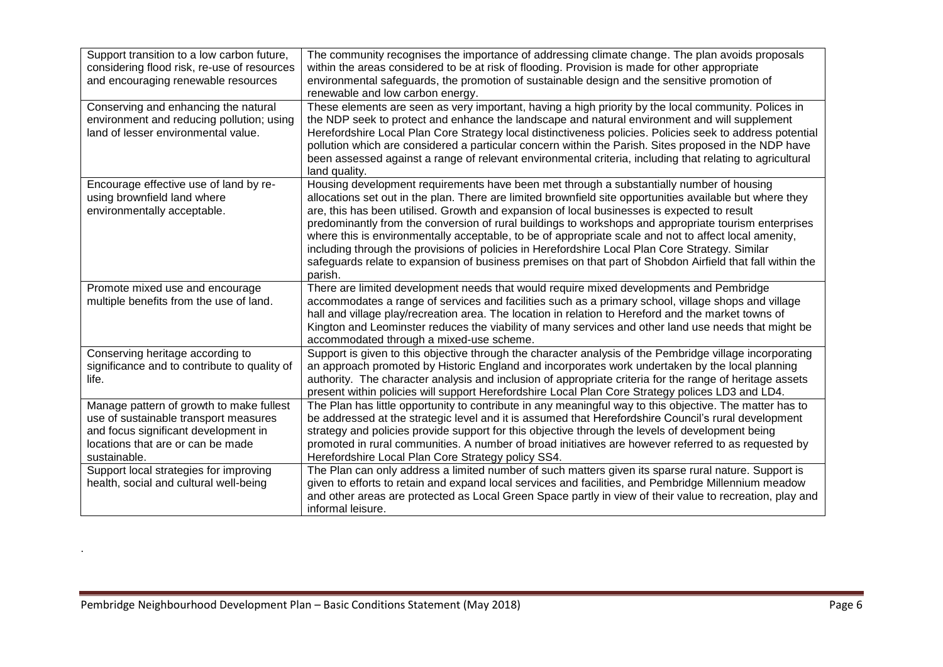| Support transition to a low carbon future,<br>considering flood risk, re-use of resources<br>and encouraging renewable resources                                               | The community recognises the importance of addressing climate change. The plan avoids proposals<br>within the areas considered to be at risk of flooding. Provision is made for other appropriate<br>environmental safeguards, the promotion of sustainable design and the sensitive promotion of<br>renewable and low carbon energy.                                                                                                                                                                                                                                                                                                                                                                                                             |
|--------------------------------------------------------------------------------------------------------------------------------------------------------------------------------|---------------------------------------------------------------------------------------------------------------------------------------------------------------------------------------------------------------------------------------------------------------------------------------------------------------------------------------------------------------------------------------------------------------------------------------------------------------------------------------------------------------------------------------------------------------------------------------------------------------------------------------------------------------------------------------------------------------------------------------------------|
| Conserving and enhancing the natural<br>environment and reducing pollution; using<br>land of lesser environmental value.                                                       | These elements are seen as very important, having a high priority by the local community. Polices in<br>the NDP seek to protect and enhance the landscape and natural environment and will supplement<br>Herefordshire Local Plan Core Strategy local distinctiveness policies. Policies seek to address potential<br>pollution which are considered a particular concern within the Parish. Sites proposed in the NDP have<br>been assessed against a range of relevant environmental criteria, including that relating to agricultural<br>land quality.                                                                                                                                                                                         |
| Encourage effective use of land by re-<br>using brownfield land where<br>environmentally acceptable.                                                                           | Housing development requirements have been met through a substantially number of housing<br>allocations set out in the plan. There are limited brownfield site opportunities available but where they<br>are, this has been utilised. Growth and expansion of local businesses is expected to result<br>predominantly from the conversion of rural buildings to workshops and appropriate tourism enterprises<br>where this is environmentally acceptable, to be of appropriate scale and not to affect local amenity,<br>including through the provisions of policies in Herefordshire Local Plan Core Strategy. Similar<br>safeguards relate to expansion of business premises on that part of Shobdon Airfield that fall within the<br>parish. |
| Promote mixed use and encourage<br>multiple benefits from the use of land.                                                                                                     | There are limited development needs that would require mixed developments and Pembridge<br>accommodates a range of services and facilities such as a primary school, village shops and village<br>hall and village play/recreation area. The location in relation to Hereford and the market towns of<br>Kington and Leominster reduces the viability of many services and other land use needs that might be<br>accommodated through a mixed-use scheme.                                                                                                                                                                                                                                                                                         |
| Conserving heritage according to<br>significance and to contribute to quality of<br>life.                                                                                      | Support is given to this objective through the character analysis of the Pembridge village incorporating<br>an approach promoted by Historic England and incorporates work undertaken by the local planning<br>authority. The character analysis and inclusion of appropriate criteria for the range of heritage assets<br>present within policies will support Herefordshire Local Plan Core Strategy polices LD3 and LD4.                                                                                                                                                                                                                                                                                                                       |
| Manage pattern of growth to make fullest<br>use of sustainable transport measures<br>and focus significant development in<br>locations that are or can be made<br>sustainable. | The Plan has little opportunity to contribute in any meaningful way to this objective. The matter has to<br>be addressed at the strategic level and it is assumed that Herefordshire Council's rural development<br>strategy and policies provide support for this objective through the levels of development being<br>promoted in rural communities. A number of broad initiatives are however referred to as requested by<br>Herefordshire Local Plan Core Strategy policy SS4.                                                                                                                                                                                                                                                                |
| Support local strategies for improving<br>health, social and cultural well-being                                                                                               | The Plan can only address a limited number of such matters given its sparse rural nature. Support is<br>given to efforts to retain and expand local services and facilities, and Pembridge Millennium meadow<br>and other areas are protected as Local Green Space partly in view of their value to recreation, play and<br>informal leisure.                                                                                                                                                                                                                                                                                                                                                                                                     |

.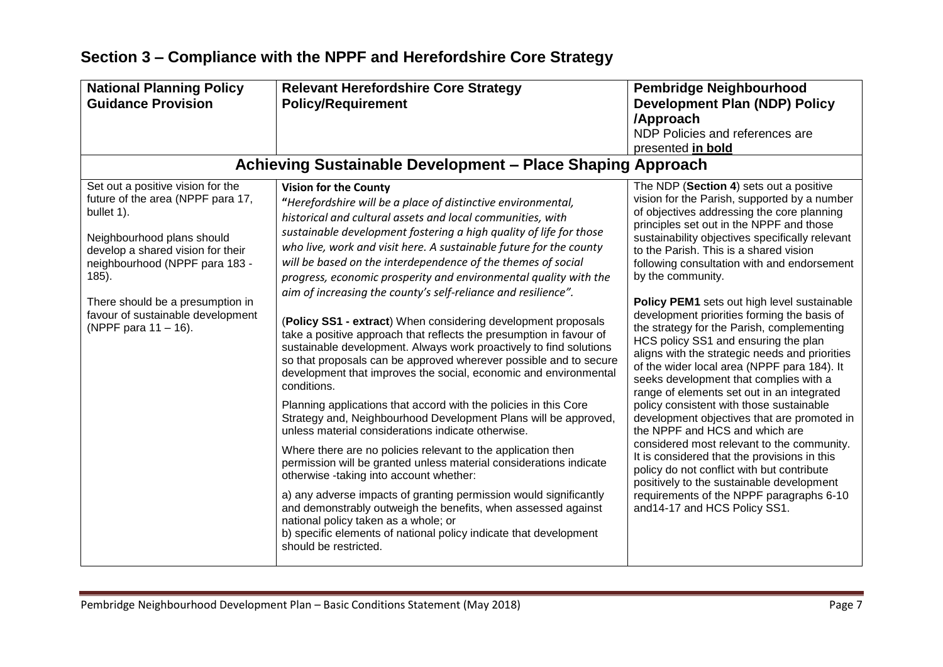| <b>National Planning Policy</b><br><b>Guidance Provision</b>                                                                                                                                                                                                                                           | <b>Relevant Herefordshire Core Strategy</b><br><b>Policy/Requirement</b>                                                                                                                                                                                                                                                                                                                                                                                                                                                                                                                                                                                                                                                                                                                                                                                                                                                                                                                                                                                                                                                                                                                                                                                                                                                                                                                                                                                                                                                                    | <b>Pembridge Neighbourhood</b><br><b>Development Plan (NDP) Policy</b>                                                                                                                                                                                                                                                                                                                                                                                                                                                                                                                                                                                                                                                                                                                                                                                                                                                                                                                                                                                                                                                            |
|--------------------------------------------------------------------------------------------------------------------------------------------------------------------------------------------------------------------------------------------------------------------------------------------------------|---------------------------------------------------------------------------------------------------------------------------------------------------------------------------------------------------------------------------------------------------------------------------------------------------------------------------------------------------------------------------------------------------------------------------------------------------------------------------------------------------------------------------------------------------------------------------------------------------------------------------------------------------------------------------------------------------------------------------------------------------------------------------------------------------------------------------------------------------------------------------------------------------------------------------------------------------------------------------------------------------------------------------------------------------------------------------------------------------------------------------------------------------------------------------------------------------------------------------------------------------------------------------------------------------------------------------------------------------------------------------------------------------------------------------------------------------------------------------------------------------------------------------------------------|-----------------------------------------------------------------------------------------------------------------------------------------------------------------------------------------------------------------------------------------------------------------------------------------------------------------------------------------------------------------------------------------------------------------------------------------------------------------------------------------------------------------------------------------------------------------------------------------------------------------------------------------------------------------------------------------------------------------------------------------------------------------------------------------------------------------------------------------------------------------------------------------------------------------------------------------------------------------------------------------------------------------------------------------------------------------------------------------------------------------------------------|
|                                                                                                                                                                                                                                                                                                        |                                                                                                                                                                                                                                                                                                                                                                                                                                                                                                                                                                                                                                                                                                                                                                                                                                                                                                                                                                                                                                                                                                                                                                                                                                                                                                                                                                                                                                                                                                                                             | /Approach<br>NDP Policies and references are<br>presented in bold                                                                                                                                                                                                                                                                                                                                                                                                                                                                                                                                                                                                                                                                                                                                                                                                                                                                                                                                                                                                                                                                 |
|                                                                                                                                                                                                                                                                                                        | Achieving Sustainable Development - Place Shaping Approach                                                                                                                                                                                                                                                                                                                                                                                                                                                                                                                                                                                                                                                                                                                                                                                                                                                                                                                                                                                                                                                                                                                                                                                                                                                                                                                                                                                                                                                                                  |                                                                                                                                                                                                                                                                                                                                                                                                                                                                                                                                                                                                                                                                                                                                                                                                                                                                                                                                                                                                                                                                                                                                   |
| Set out a positive vision for the<br>future of the area (NPPF para 17,<br>bullet 1).<br>Neighbourhood plans should<br>develop a shared vision for their<br>neighbourhood (NPPF para 183 -<br>$185$ ).<br>There should be a presumption in<br>favour of sustainable development<br>(NPPF para 11 – 16). | <b>Vision for the County</b><br>"Herefordshire will be a place of distinctive environmental,<br>historical and cultural assets and local communities, with<br>sustainable development fostering a high quality of life for those<br>who live, work and visit here. A sustainable future for the county<br>will be based on the interdependence of the themes of social<br>progress, economic prosperity and environmental quality with the<br>aim of increasing the county's self-reliance and resilience".<br>(Policy SS1 - extract) When considering development proposals<br>take a positive approach that reflects the presumption in favour of<br>sustainable development. Always work proactively to find solutions<br>so that proposals can be approved wherever possible and to secure<br>development that improves the social, economic and environmental<br>conditions.<br>Planning applications that accord with the policies in this Core<br>Strategy and, Neighbourhood Development Plans will be approved,<br>unless material considerations indicate otherwise.<br>Where there are no policies relevant to the application then<br>permission will be granted unless material considerations indicate<br>otherwise -taking into account whether:<br>a) any adverse impacts of granting permission would significantly<br>and demonstrably outweigh the benefits, when assessed against<br>national policy taken as a whole; or<br>b) specific elements of national policy indicate that development<br>should be restricted. | The NDP (Section 4) sets out a positive<br>vision for the Parish, supported by a number<br>of objectives addressing the core planning<br>principles set out in the NPPF and those<br>sustainability objectives specifically relevant<br>to the Parish. This is a shared vision<br>following consultation with and endorsement<br>by the community.<br>Policy PEM1 sets out high level sustainable<br>development priorities forming the basis of<br>the strategy for the Parish, complementing<br>HCS policy SS1 and ensuring the plan<br>aligns with the strategic needs and priorities<br>of the wider local area (NPPF para 184). It<br>seeks development that complies with a<br>range of elements set out in an integrated<br>policy consistent with those sustainable<br>development objectives that are promoted in<br>the NPPF and HCS and which are<br>considered most relevant to the community.<br>It is considered that the provisions in this<br>policy do not conflict with but contribute<br>positively to the sustainable development<br>requirements of the NPPF paragraphs 6-10<br>and14-17 and HCS Policy SS1. |

## **Section 3 – Compliance with the NPPF and Herefordshire Core Strategy**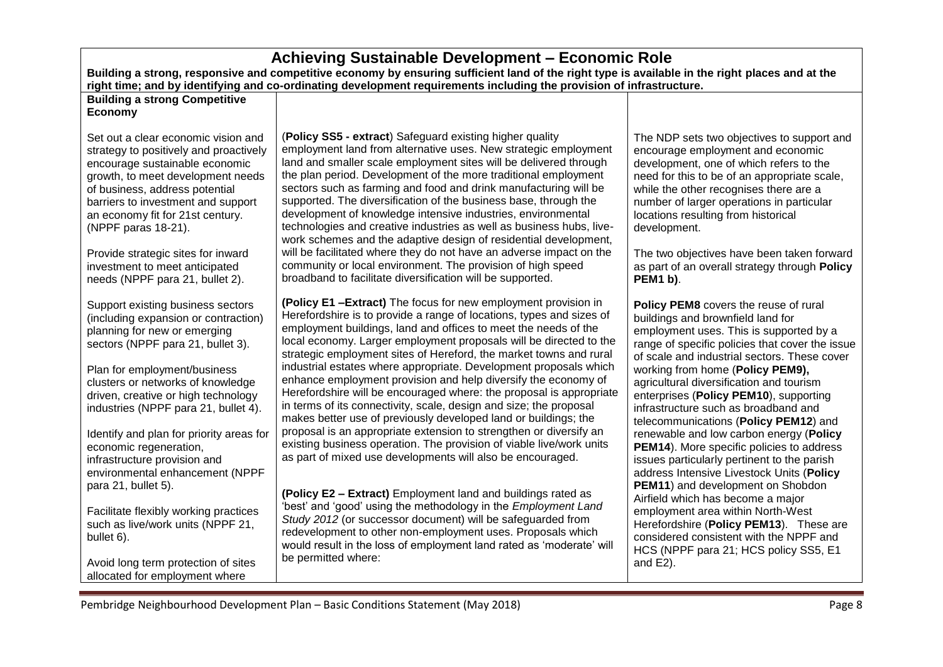| Achieving Sustainable Development - Economic Role<br>Building a strong, responsive and competitive economy by ensuring sufficient land of the right type is available in the right places and at the<br>right time; and by identifying and co-ordinating development requirements including the provision of infrastructure.                                                                       |                                                                                                                                                                                                                                                                                                                                                                                                                                                                                                                                                                                                                                                                                                                                                                                                                             |                                                                                                                                                                                                                                                                                                                                                                                                                                     |
|----------------------------------------------------------------------------------------------------------------------------------------------------------------------------------------------------------------------------------------------------------------------------------------------------------------------------------------------------------------------------------------------------|-----------------------------------------------------------------------------------------------------------------------------------------------------------------------------------------------------------------------------------------------------------------------------------------------------------------------------------------------------------------------------------------------------------------------------------------------------------------------------------------------------------------------------------------------------------------------------------------------------------------------------------------------------------------------------------------------------------------------------------------------------------------------------------------------------------------------------|-------------------------------------------------------------------------------------------------------------------------------------------------------------------------------------------------------------------------------------------------------------------------------------------------------------------------------------------------------------------------------------------------------------------------------------|
| <b>Building a strong Competitive</b><br><b>Economy</b>                                                                                                                                                                                                                                                                                                                                             |                                                                                                                                                                                                                                                                                                                                                                                                                                                                                                                                                                                                                                                                                                                                                                                                                             |                                                                                                                                                                                                                                                                                                                                                                                                                                     |
| Set out a clear economic vision and<br>strategy to positively and proactively<br>encourage sustainable economic<br>growth, to meet development needs<br>of business, address potential<br>barriers to investment and support<br>an economy fit for 21st century.<br>(NPPF paras 18-21).<br>Provide strategic sites for inward<br>investment to meet anticipated<br>needs (NPPF para 21, bullet 2). | (Policy SS5 - extract) Safeguard existing higher quality<br>employment land from alternative uses. New strategic employment<br>land and smaller scale employment sites will be delivered through<br>the plan period. Development of the more traditional employment<br>sectors such as farming and food and drink manufacturing will be<br>supported. The diversification of the business base, through the<br>development of knowledge intensive industries, environmental<br>technologies and creative industries as well as business hubs, live-<br>work schemes and the adaptive design of residential development,<br>will be facilitated where they do not have an adverse impact on the<br>community or local environment. The provision of high speed<br>broadband to facilitate diversification will be supported. | The NDP sets two objectives to support and<br>encourage employment and economic<br>development, one of which refers to the<br>need for this to be of an appropriate scale,<br>while the other recognises there are a<br>number of larger operations in particular<br>locations resulting from historical<br>development.<br>The two objectives have been taken forward<br>as part of an overall strategy through Policy<br>PEM1 b). |
| Support existing business sectors<br>(including expansion or contraction)<br>planning for new or emerging<br>sectors (NPPF para 21, bullet 3).<br>Plan for employment/business<br>clusters or networks of knowledge<br>driven, creative or high technology<br>industries (NPPF para 21, bullet 4).                                                                                                 | (Policy E1 - Extract) The focus for new employment provision in<br>Herefordshire is to provide a range of locations, types and sizes of<br>employment buildings, land and offices to meet the needs of the<br>local economy. Larger employment proposals will be directed to the<br>strategic employment sites of Hereford, the market towns and rural<br>industrial estates where appropriate. Development proposals which<br>enhance employment provision and help diversify the economy of<br>Herefordshire will be encouraged where: the proposal is appropriate<br>in terms of its connectivity, scale, design and size; the proposal<br>makes better use of previously developed land or buildings; the                                                                                                               | Policy PEM8 covers the reuse of rural<br>buildings and brownfield land for<br>employment uses. This is supported by a<br>range of specific policies that cover the issue<br>of scale and industrial sectors. These cover<br>working from home (Policy PEM9),<br>agricultural diversification and tourism<br>enterprises (Policy PEM10), supporting<br>infrastructure such as broadband and                                          |
| Identify and plan for priority areas for<br>economic regeneration,<br>infrastructure provision and<br>environmental enhancement (NPPF<br>para 21, bullet 5).                                                                                                                                                                                                                                       | proposal is an appropriate extension to strengthen or diversify an<br>existing business operation. The provision of viable live/work units<br>as part of mixed use developments will also be encouraged.<br>(Policy E2 - Extract) Employment land and buildings rated as                                                                                                                                                                                                                                                                                                                                                                                                                                                                                                                                                    | telecommunications (Policy PEM12) and<br>renewable and low carbon energy (Policy<br><b>PEM14).</b> More specific policies to address<br>issues particularly pertinent to the parish<br>address Intensive Livestock Units (Policy<br>PEM11) and development on Shobdon                                                                                                                                                               |
| Facilitate flexibly working practices<br>such as live/work units (NPPF 21,<br>bullet 6).<br>Avoid long term protection of sites<br>allocated for employment where                                                                                                                                                                                                                                  | 'best' and 'good' using the methodology in the Employment Land<br>Study 2012 (or successor document) will be safeguarded from<br>redevelopment to other non-employment uses. Proposals which<br>would result in the loss of employment land rated as 'moderate' will<br>be permitted where:                                                                                                                                                                                                                                                                                                                                                                                                                                                                                                                                 | Airfield which has become a major<br>employment area within North-West<br>Herefordshire (Policy PEM13). These are<br>considered consistent with the NPPF and<br>HCS (NPPF para 21; HCS policy SS5, E1<br>and E2).                                                                                                                                                                                                                   |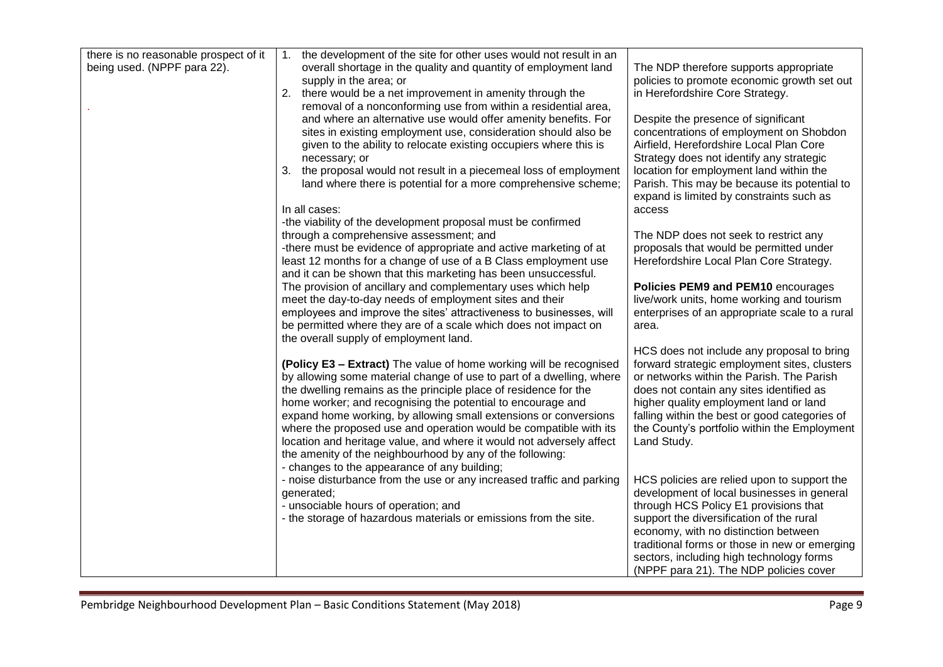| there is no reasonable prospect of it | the development of the site for other uses would not result in an<br>1.                                                                                                                                                                                                                                                                                                                                                                                                                                                                                                                                                                                              |                                                                                                                                                                                                                                                                                                                                                                                                                                                                                                                         |
|---------------------------------------|----------------------------------------------------------------------------------------------------------------------------------------------------------------------------------------------------------------------------------------------------------------------------------------------------------------------------------------------------------------------------------------------------------------------------------------------------------------------------------------------------------------------------------------------------------------------------------------------------------------------------------------------------------------------|-------------------------------------------------------------------------------------------------------------------------------------------------------------------------------------------------------------------------------------------------------------------------------------------------------------------------------------------------------------------------------------------------------------------------------------------------------------------------------------------------------------------------|
| being used. (NPPF para 22).           | overall shortage in the quality and quantity of employment land                                                                                                                                                                                                                                                                                                                                                                                                                                                                                                                                                                                                      | The NDP therefore supports appropriate                                                                                                                                                                                                                                                                                                                                                                                                                                                                                  |
|                                       | supply in the area; or                                                                                                                                                                                                                                                                                                                                                                                                                                                                                                                                                                                                                                               | policies to promote economic growth set out                                                                                                                                                                                                                                                                                                                                                                                                                                                                             |
|                                       | 2. there would be a net improvement in amenity through the                                                                                                                                                                                                                                                                                                                                                                                                                                                                                                                                                                                                           | in Herefordshire Core Strategy.                                                                                                                                                                                                                                                                                                                                                                                                                                                                                         |
|                                       | removal of a nonconforming use from within a residential area,                                                                                                                                                                                                                                                                                                                                                                                                                                                                                                                                                                                                       |                                                                                                                                                                                                                                                                                                                                                                                                                                                                                                                         |
|                                       | and where an alternative use would offer amenity benefits. For                                                                                                                                                                                                                                                                                                                                                                                                                                                                                                                                                                                                       | Despite the presence of significant                                                                                                                                                                                                                                                                                                                                                                                                                                                                                     |
|                                       | sites in existing employment use, consideration should also be                                                                                                                                                                                                                                                                                                                                                                                                                                                                                                                                                                                                       | concentrations of employment on Shobdon                                                                                                                                                                                                                                                                                                                                                                                                                                                                                 |
|                                       | given to the ability to relocate existing occupiers where this is                                                                                                                                                                                                                                                                                                                                                                                                                                                                                                                                                                                                    | Airfield, Herefordshire Local Plan Core                                                                                                                                                                                                                                                                                                                                                                                                                                                                                 |
|                                       | necessary; or                                                                                                                                                                                                                                                                                                                                                                                                                                                                                                                                                                                                                                                        | Strategy does not identify any strategic                                                                                                                                                                                                                                                                                                                                                                                                                                                                                |
|                                       |                                                                                                                                                                                                                                                                                                                                                                                                                                                                                                                                                                                                                                                                      |                                                                                                                                                                                                                                                                                                                                                                                                                                                                                                                         |
|                                       | 3. the proposal would not result in a piecemeal loss of employment                                                                                                                                                                                                                                                                                                                                                                                                                                                                                                                                                                                                   | location for employment land within the                                                                                                                                                                                                                                                                                                                                                                                                                                                                                 |
|                                       | land where there is potential for a more comprehensive scheme;                                                                                                                                                                                                                                                                                                                                                                                                                                                                                                                                                                                                       | Parish. This may be because its potential to                                                                                                                                                                                                                                                                                                                                                                                                                                                                            |
|                                       |                                                                                                                                                                                                                                                                                                                                                                                                                                                                                                                                                                                                                                                                      | expand is limited by constraints such as                                                                                                                                                                                                                                                                                                                                                                                                                                                                                |
|                                       | In all cases:                                                                                                                                                                                                                                                                                                                                                                                                                                                                                                                                                                                                                                                        | access                                                                                                                                                                                                                                                                                                                                                                                                                                                                                                                  |
|                                       | -the viability of the development proposal must be confirmed                                                                                                                                                                                                                                                                                                                                                                                                                                                                                                                                                                                                         |                                                                                                                                                                                                                                                                                                                                                                                                                                                                                                                         |
|                                       | through a comprehensive assessment; and                                                                                                                                                                                                                                                                                                                                                                                                                                                                                                                                                                                                                              | The NDP does not seek to restrict any                                                                                                                                                                                                                                                                                                                                                                                                                                                                                   |
|                                       | -there must be evidence of appropriate and active marketing of at                                                                                                                                                                                                                                                                                                                                                                                                                                                                                                                                                                                                    | proposals that would be permitted under                                                                                                                                                                                                                                                                                                                                                                                                                                                                                 |
|                                       | least 12 months for a change of use of a B Class employment use                                                                                                                                                                                                                                                                                                                                                                                                                                                                                                                                                                                                      | Herefordshire Local Plan Core Strategy.                                                                                                                                                                                                                                                                                                                                                                                                                                                                                 |
|                                       | and it can be shown that this marketing has been unsuccessful.                                                                                                                                                                                                                                                                                                                                                                                                                                                                                                                                                                                                       |                                                                                                                                                                                                                                                                                                                                                                                                                                                                                                                         |
|                                       | The provision of ancillary and complementary uses which help                                                                                                                                                                                                                                                                                                                                                                                                                                                                                                                                                                                                         | Policies PEM9 and PEM10 encourages                                                                                                                                                                                                                                                                                                                                                                                                                                                                                      |
|                                       | meet the day-to-day needs of employment sites and their                                                                                                                                                                                                                                                                                                                                                                                                                                                                                                                                                                                                              | live/work units, home working and tourism                                                                                                                                                                                                                                                                                                                                                                                                                                                                               |
|                                       | employees and improve the sites' attractiveness to businesses, will                                                                                                                                                                                                                                                                                                                                                                                                                                                                                                                                                                                                  | enterprises of an appropriate scale to a rural                                                                                                                                                                                                                                                                                                                                                                                                                                                                          |
|                                       | be permitted where they are of a scale which does not impact on                                                                                                                                                                                                                                                                                                                                                                                                                                                                                                                                                                                                      | area.                                                                                                                                                                                                                                                                                                                                                                                                                                                                                                                   |
|                                       | the overall supply of employment land.                                                                                                                                                                                                                                                                                                                                                                                                                                                                                                                                                                                                                               |                                                                                                                                                                                                                                                                                                                                                                                                                                                                                                                         |
|                                       |                                                                                                                                                                                                                                                                                                                                                                                                                                                                                                                                                                                                                                                                      | HCS does not include any proposal to bring                                                                                                                                                                                                                                                                                                                                                                                                                                                                              |
|                                       | <b>(Policy E3 – Extract)</b> The value of home working will be recognised                                                                                                                                                                                                                                                                                                                                                                                                                                                                                                                                                                                            | forward strategic employment sites, clusters                                                                                                                                                                                                                                                                                                                                                                                                                                                                            |
|                                       |                                                                                                                                                                                                                                                                                                                                                                                                                                                                                                                                                                                                                                                                      | or networks within the Parish. The Parish                                                                                                                                                                                                                                                                                                                                                                                                                                                                               |
|                                       | the dwelling remains as the principle place of residence for the                                                                                                                                                                                                                                                                                                                                                                                                                                                                                                                                                                                                     | does not contain any sites identified as                                                                                                                                                                                                                                                                                                                                                                                                                                                                                |
|                                       |                                                                                                                                                                                                                                                                                                                                                                                                                                                                                                                                                                                                                                                                      |                                                                                                                                                                                                                                                                                                                                                                                                                                                                                                                         |
|                                       |                                                                                                                                                                                                                                                                                                                                                                                                                                                                                                                                                                                                                                                                      |                                                                                                                                                                                                                                                                                                                                                                                                                                                                                                                         |
|                                       |                                                                                                                                                                                                                                                                                                                                                                                                                                                                                                                                                                                                                                                                      |                                                                                                                                                                                                                                                                                                                                                                                                                                                                                                                         |
|                                       |                                                                                                                                                                                                                                                                                                                                                                                                                                                                                                                                                                                                                                                                      |                                                                                                                                                                                                                                                                                                                                                                                                                                                                                                                         |
|                                       |                                                                                                                                                                                                                                                                                                                                                                                                                                                                                                                                                                                                                                                                      |                                                                                                                                                                                                                                                                                                                                                                                                                                                                                                                         |
|                                       |                                                                                                                                                                                                                                                                                                                                                                                                                                                                                                                                                                                                                                                                      |                                                                                                                                                                                                                                                                                                                                                                                                                                                                                                                         |
|                                       |                                                                                                                                                                                                                                                                                                                                                                                                                                                                                                                                                                                                                                                                      |                                                                                                                                                                                                                                                                                                                                                                                                                                                                                                                         |
|                                       |                                                                                                                                                                                                                                                                                                                                                                                                                                                                                                                                                                                                                                                                      |                                                                                                                                                                                                                                                                                                                                                                                                                                                                                                                         |
|                                       |                                                                                                                                                                                                                                                                                                                                                                                                                                                                                                                                                                                                                                                                      |                                                                                                                                                                                                                                                                                                                                                                                                                                                                                                                         |
|                                       |                                                                                                                                                                                                                                                                                                                                                                                                                                                                                                                                                                                                                                                                      |                                                                                                                                                                                                                                                                                                                                                                                                                                                                                                                         |
|                                       |                                                                                                                                                                                                                                                                                                                                                                                                                                                                                                                                                                                                                                                                      |                                                                                                                                                                                                                                                                                                                                                                                                                                                                                                                         |
|                                       |                                                                                                                                                                                                                                                                                                                                                                                                                                                                                                                                                                                                                                                                      |                                                                                                                                                                                                                                                                                                                                                                                                                                                                                                                         |
|                                       |                                                                                                                                                                                                                                                                                                                                                                                                                                                                                                                                                                                                                                                                      |                                                                                                                                                                                                                                                                                                                                                                                                                                                                                                                         |
|                                       |                                                                                                                                                                                                                                                                                                                                                                                                                                                                                                                                                                                                                                                                      |                                                                                                                                                                                                                                                                                                                                                                                                                                                                                                                         |
|                                       | by allowing some material change of use to part of a dwelling, where<br>home worker; and recognising the potential to encourage and<br>expand home working, by allowing small extensions or conversions<br>where the proposed use and operation would be compatible with its<br>location and heritage value, and where it would not adversely affect<br>the amenity of the neighbourhood by any of the following:<br>- changes to the appearance of any building;<br>- noise disturbance from the use or any increased traffic and parking<br>generated;<br>- unsociable hours of operation; and<br>- the storage of hazardous materials or emissions from the site. | higher quality employment land or land<br>falling within the best or good categories of<br>the County's portfolio within the Employment<br>Land Study.<br>HCS policies are relied upon to support the<br>development of local businesses in general<br>through HCS Policy E1 provisions that<br>support the diversification of the rural<br>economy, with no distinction between<br>traditional forms or those in new or emerging<br>sectors, including high technology forms<br>(NPPF para 21). The NDP policies cover |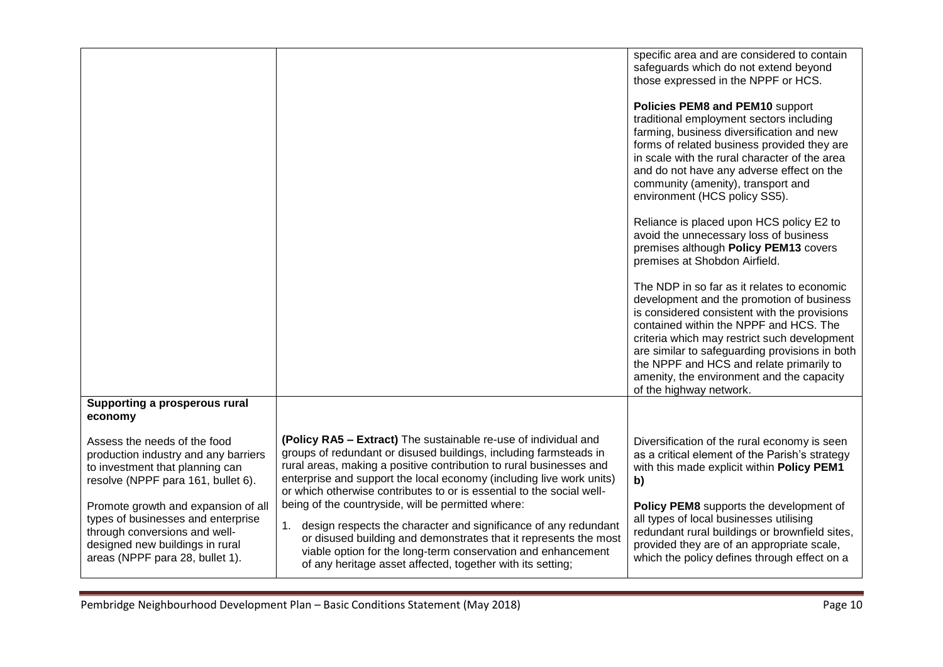|                                                                                                                                                                                  |                                                                                                                                                                                                                                                                                                                                                              | specific area and are considered to contain<br>safeguards which do not extend beyond<br>those expressed in the NPPF or HCS.<br>Policies PEM8 and PEM10 support<br>traditional employment sectors including<br>farming, business diversification and new<br>forms of related business provided they are<br>in scale with the rural character of the area<br>and do not have any adverse effect on the<br>community (amenity), transport and<br>environment (HCS policy SS5).<br>Reliance is placed upon HCS policy E2 to<br>avoid the unnecessary loss of business<br>premises although Policy PEM13 covers<br>premises at Shobdon Airfield.<br>The NDP in so far as it relates to economic<br>development and the promotion of business<br>is considered consistent with the provisions<br>contained within the NPPF and HCS. The<br>criteria which may restrict such development<br>are similar to safeguarding provisions in both<br>the NPPF and HCS and relate primarily to<br>amenity, the environment and the capacity<br>of the highway network. |
|----------------------------------------------------------------------------------------------------------------------------------------------------------------------------------|--------------------------------------------------------------------------------------------------------------------------------------------------------------------------------------------------------------------------------------------------------------------------------------------------------------------------------------------------------------|---------------------------------------------------------------------------------------------------------------------------------------------------------------------------------------------------------------------------------------------------------------------------------------------------------------------------------------------------------------------------------------------------------------------------------------------------------------------------------------------------------------------------------------------------------------------------------------------------------------------------------------------------------------------------------------------------------------------------------------------------------------------------------------------------------------------------------------------------------------------------------------------------------------------------------------------------------------------------------------------------------------------------------------------------------|
| Supporting a prosperous rural<br>economy                                                                                                                                         |                                                                                                                                                                                                                                                                                                                                                              |                                                                                                                                                                                                                                                                                                                                                                                                                                                                                                                                                                                                                                                                                                                                                                                                                                                                                                                                                                                                                                                         |
| Assess the needs of the food<br>production industry and any barriers<br>to investment that planning can<br>resolve (NPPF para 161, bullet 6).                                    | (Policy RA5 - Extract) The sustainable re-use of individual and<br>groups of redundant or disused buildings, including farmsteads in<br>rural areas, making a positive contribution to rural businesses and<br>enterprise and support the local economy (including live work units)<br>or which otherwise contributes to or is essential to the social well- | Diversification of the rural economy is seen<br>as a critical element of the Parish's strategy<br>with this made explicit within Policy PEM1<br>b)                                                                                                                                                                                                                                                                                                                                                                                                                                                                                                                                                                                                                                                                                                                                                                                                                                                                                                      |
| Promote growth and expansion of all<br>types of businesses and enterprise<br>through conversions and well-<br>designed new buildings in rural<br>areas (NPPF para 28, bullet 1). | being of the countryside, will be permitted where:<br>1. design respects the character and significance of any redundant<br>or disused building and demonstrates that it represents the most<br>viable option for the long-term conservation and enhancement<br>of any heritage asset affected, together with its setting;                                   | Policy PEM8 supports the development of<br>all types of local businesses utilising<br>redundant rural buildings or brownfield sites,<br>provided they are of an appropriate scale,<br>which the policy defines through effect on a                                                                                                                                                                                                                                                                                                                                                                                                                                                                                                                                                                                                                                                                                                                                                                                                                      |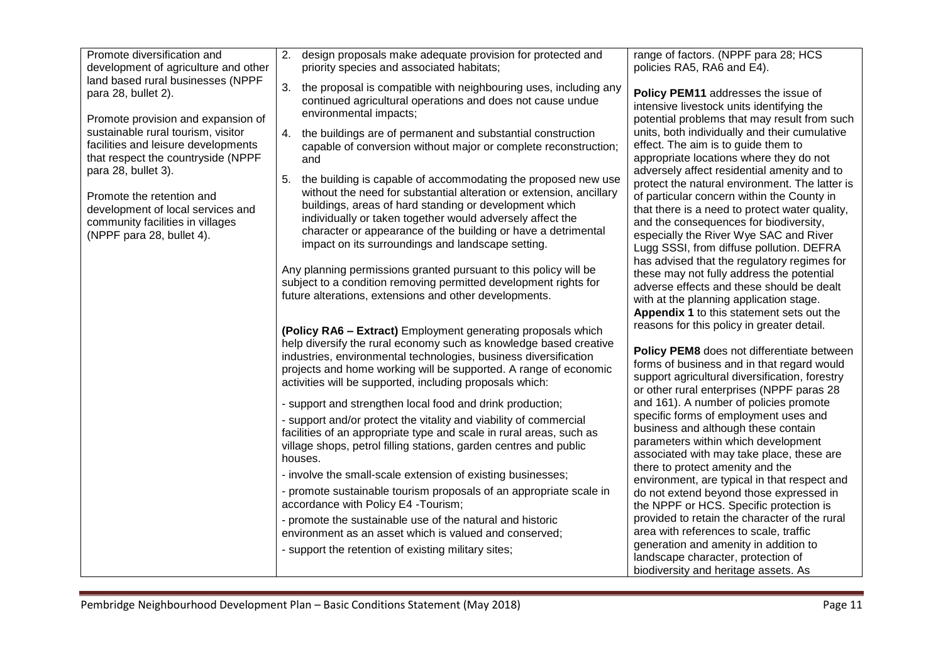| Promote diversification and<br>development of agriculture and other                                                                                                                                                                                                                                                                            | 2.<br>design proposals make adequate provision for protected and<br>priority species and associated habitats;                                                                                                                                                                                                                                                                                                                                                                                                                                                                   | range of factors. (NPPF para 28; HCS<br>policies RA5, RA6 and E4).                                                                                                                                                                                                                                                                                                                                                                                                   |
|------------------------------------------------------------------------------------------------------------------------------------------------------------------------------------------------------------------------------------------------------------------------------------------------------------------------------------------------|---------------------------------------------------------------------------------------------------------------------------------------------------------------------------------------------------------------------------------------------------------------------------------------------------------------------------------------------------------------------------------------------------------------------------------------------------------------------------------------------------------------------------------------------------------------------------------|----------------------------------------------------------------------------------------------------------------------------------------------------------------------------------------------------------------------------------------------------------------------------------------------------------------------------------------------------------------------------------------------------------------------------------------------------------------------|
| land based rural businesses (NPPF<br>para 28, bullet 2).<br>Promote provision and expansion of<br>sustainable rural tourism, visitor<br>facilities and leisure developments<br>that respect the countryside (NPPF<br>para 28, bullet 3).<br>Promote the retention and<br>development of local services and<br>community facilities in villages | 3.<br>the proposal is compatible with neighbouring uses, including any<br>continued agricultural operations and does not cause undue<br>environmental impacts;<br>4. the buildings are of permanent and substantial construction<br>capable of conversion without major or complete reconstruction;<br>and<br>5.<br>the building is capable of accommodating the proposed new use<br>without the need for substantial alteration or extension, ancillary<br>buildings, areas of hard standing or development which<br>individually or taken together would adversely affect the | Policy PEM11 addresses the issue of<br>intensive livestock units identifying the<br>potential problems that may result from such<br>units, both individually and their cumulative<br>effect. The aim is to guide them to<br>appropriate locations where they do not<br>adversely affect residential amenity and to<br>protect the natural environment. The latter is<br>of particular concern within the County in<br>that there is a need to protect water quality, |
| (NPPF para 28, bullet 4).                                                                                                                                                                                                                                                                                                                      | character or appearance of the building or have a detrimental<br>impact on its surroundings and landscape setting.<br>Any planning permissions granted pursuant to this policy will be                                                                                                                                                                                                                                                                                                                                                                                          | and the consequences for biodiversity,<br>especially the River Wye SAC and River<br>Lugg SSSI, from diffuse pollution. DEFRA<br>has advised that the regulatory regimes for<br>these may not fully address the potential                                                                                                                                                                                                                                             |
|                                                                                                                                                                                                                                                                                                                                                | subject to a condition removing permitted development rights for<br>future alterations, extensions and other developments.                                                                                                                                                                                                                                                                                                                                                                                                                                                      | adverse effects and these should be dealt<br>with at the planning application stage.<br>Appendix 1 to this statement sets out the<br>reasons for this policy in greater detail.                                                                                                                                                                                                                                                                                      |
|                                                                                                                                                                                                                                                                                                                                                | (Policy RA6 - Extract) Employment generating proposals which<br>help diversify the rural economy such as knowledge based creative<br>industries, environmental technologies, business diversification<br>projects and home working will be supported. A range of economic<br>activities will be supported, including proposals which:                                                                                                                                                                                                                                           | Policy PEM8 does not differentiate between<br>forms of business and in that regard would<br>support agricultural diversification, forestry<br>or other rural enterprises (NPPF paras 28                                                                                                                                                                                                                                                                              |
|                                                                                                                                                                                                                                                                                                                                                | - support and strengthen local food and drink production;                                                                                                                                                                                                                                                                                                                                                                                                                                                                                                                       | and 161). A number of policies promote<br>specific forms of employment uses and                                                                                                                                                                                                                                                                                                                                                                                      |
|                                                                                                                                                                                                                                                                                                                                                | - support and/or protect the vitality and viability of commercial<br>facilities of an appropriate type and scale in rural areas, such as<br>village shops, petrol filling stations, garden centres and public<br>houses.                                                                                                                                                                                                                                                                                                                                                        | business and although these contain<br>parameters within which development<br>associated with may take place, these are<br>there to protect amenity and the                                                                                                                                                                                                                                                                                                          |
|                                                                                                                                                                                                                                                                                                                                                | - involve the small-scale extension of existing businesses;                                                                                                                                                                                                                                                                                                                                                                                                                                                                                                                     | environment, are typical in that respect and                                                                                                                                                                                                                                                                                                                                                                                                                         |
|                                                                                                                                                                                                                                                                                                                                                | - promote sustainable tourism proposals of an appropriate scale in<br>accordance with Policy E4 - Tourism;                                                                                                                                                                                                                                                                                                                                                                                                                                                                      | do not extend beyond those expressed in<br>the NPPF or HCS. Specific protection is                                                                                                                                                                                                                                                                                                                                                                                   |
|                                                                                                                                                                                                                                                                                                                                                | - promote the sustainable use of the natural and historic<br>environment as an asset which is valued and conserved;                                                                                                                                                                                                                                                                                                                                                                                                                                                             | provided to retain the character of the rural<br>area with references to scale, traffic                                                                                                                                                                                                                                                                                                                                                                              |
|                                                                                                                                                                                                                                                                                                                                                | - support the retention of existing military sites;                                                                                                                                                                                                                                                                                                                                                                                                                                                                                                                             | generation and amenity in addition to<br>landscape character, protection of<br>biodiversity and heritage assets. As                                                                                                                                                                                                                                                                                                                                                  |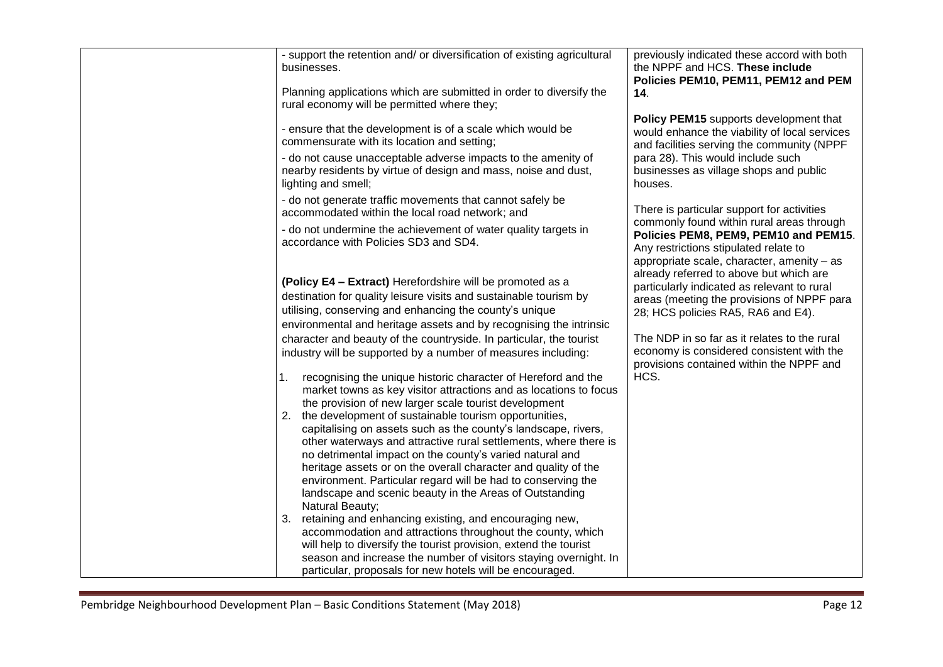| - support the retention and/ or diversification of existing agricultural<br>businesses.<br>Planning applications which are submitted in order to diversify the | previously indicated these accord with both<br>the NPPF and HCS. These include<br>Policies PEM10, PEM11, PEM12 and PEM<br>14.                                                                                        |
|----------------------------------------------------------------------------------------------------------------------------------------------------------------|----------------------------------------------------------------------------------------------------------------------------------------------------------------------------------------------------------------------|
| rural economy will be permitted where they;                                                                                                                    |                                                                                                                                                                                                                      |
| - ensure that the development is of a scale which would be<br>commensurate with its location and setting;                                                      | Policy PEM15 supports development that<br>would enhance the viability of local services<br>and facilities serving the community (NPPF                                                                                |
| - do not cause unacceptable adverse impacts to the amenity of<br>nearby residents by virtue of design and mass, noise and dust,<br>lighting and smell;         | para 28). This would include such<br>businesses as village shops and public<br>houses.                                                                                                                               |
| - do not generate traffic movements that cannot safely be<br>accommodated within the local road network; and                                                   | There is particular support for activities                                                                                                                                                                           |
| - do not undermine the achievement of water quality targets in<br>accordance with Policies SD3 and SD4.                                                        | commonly found within rural areas through<br>Policies PEM8, PEM9, PEM10 and PEM15.<br>Any restrictions stipulated relate to<br>appropriate scale, character, amenity - as<br>already referred to above but which are |
| (Policy E4 - Extract) Herefordshire will be promoted as a                                                                                                      | particularly indicated as relevant to rural                                                                                                                                                                          |
| destination for quality leisure visits and sustainable tourism by                                                                                              | areas (meeting the provisions of NPPF para                                                                                                                                                                           |
| utilising, conserving and enhancing the county's unique<br>environmental and heritage assets and by recognising the intrinsic                                  | 28; HCS policies RA5, RA6 and E4).                                                                                                                                                                                   |
| character and beauty of the countryside. In particular, the tourist                                                                                            | The NDP in so far as it relates to the rural                                                                                                                                                                         |
| industry will be supported by a number of measures including:                                                                                                  | economy is considered consistent with the<br>provisions contained within the NPPF and                                                                                                                                |
| recognising the unique historic character of Hereford and the<br>1.                                                                                            | HCS.                                                                                                                                                                                                                 |
| market towns as key visitor attractions and as locations to focus<br>the provision of new larger scale tourist development                                     |                                                                                                                                                                                                                      |
| 2. the development of sustainable tourism opportunities,                                                                                                       |                                                                                                                                                                                                                      |
| capitalising on assets such as the county's landscape, rivers,                                                                                                 |                                                                                                                                                                                                                      |
| other waterways and attractive rural settlements, where there is                                                                                               |                                                                                                                                                                                                                      |
| no detrimental impact on the county's varied natural and                                                                                                       |                                                                                                                                                                                                                      |
| heritage assets or on the overall character and quality of the                                                                                                 |                                                                                                                                                                                                                      |
| environment. Particular regard will be had to conserving the<br>landscape and scenic beauty in the Areas of Outstanding                                        |                                                                                                                                                                                                                      |
| Natural Beauty;                                                                                                                                                |                                                                                                                                                                                                                      |
| 3. retaining and enhancing existing, and encouraging new,                                                                                                      |                                                                                                                                                                                                                      |
| accommodation and attractions throughout the county, which                                                                                                     |                                                                                                                                                                                                                      |
| will help to diversify the tourist provision, extend the tourist                                                                                               |                                                                                                                                                                                                                      |
| season and increase the number of visitors staying overnight. In                                                                                               |                                                                                                                                                                                                                      |
| particular, proposals for new hotels will be encouraged.                                                                                                       |                                                                                                                                                                                                                      |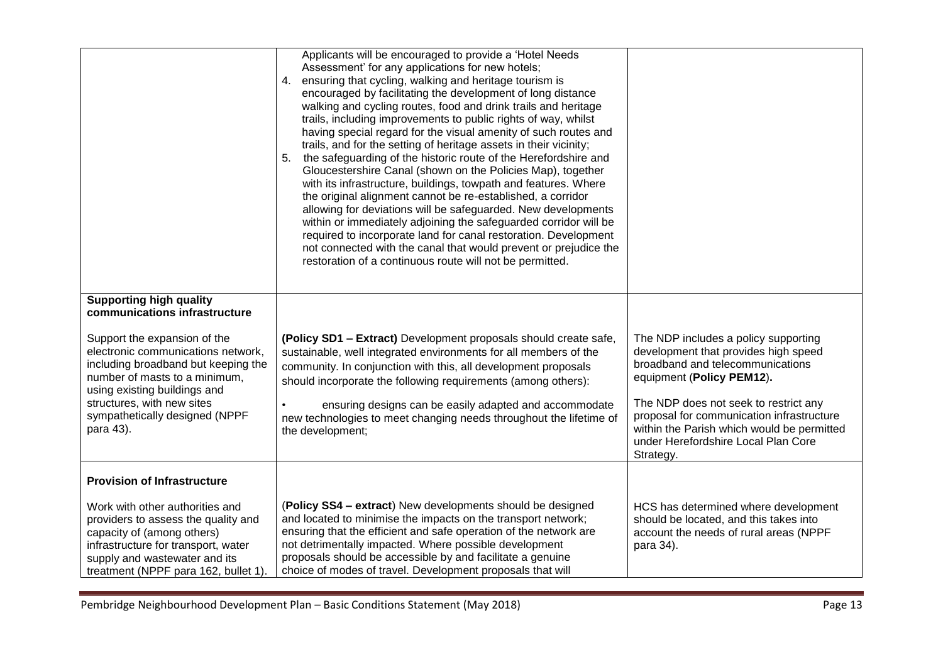|                                                                                                                                                                                                                                                         | Applicants will be encouraged to provide a 'Hotel Needs<br>Assessment' for any applications for new hotels;<br>4. ensuring that cycling, walking and heritage tourism is<br>encouraged by facilitating the development of long distance<br>walking and cycling routes, food and drink trails and heritage<br>trails, including improvements to public rights of way, whilst<br>having special regard for the visual amenity of such routes and<br>trails, and for the setting of heritage assets in their vicinity;<br>5. the safeguarding of the historic route of the Herefordshire and<br>Gloucestershire Canal (shown on the Policies Map), together<br>with its infrastructure, buildings, towpath and features. Where<br>the original alignment cannot be re-established, a corridor<br>allowing for deviations will be safeguarded. New developments<br>within or immediately adjoining the safeguarded corridor will be<br>required to incorporate land for canal restoration. Development<br>not connected with the canal that would prevent or prejudice the<br>restoration of a continuous route will not be permitted. |                                                                                                                                                                                                                                                                                   |
|---------------------------------------------------------------------------------------------------------------------------------------------------------------------------------------------------------------------------------------------------------|------------------------------------------------------------------------------------------------------------------------------------------------------------------------------------------------------------------------------------------------------------------------------------------------------------------------------------------------------------------------------------------------------------------------------------------------------------------------------------------------------------------------------------------------------------------------------------------------------------------------------------------------------------------------------------------------------------------------------------------------------------------------------------------------------------------------------------------------------------------------------------------------------------------------------------------------------------------------------------------------------------------------------------------------------------------------------------------------------------------------------------|-----------------------------------------------------------------------------------------------------------------------------------------------------------------------------------------------------------------------------------------------------------------------------------|
| <b>Supporting high quality</b><br>communications infrastructure                                                                                                                                                                                         |                                                                                                                                                                                                                                                                                                                                                                                                                                                                                                                                                                                                                                                                                                                                                                                                                                                                                                                                                                                                                                                                                                                                    |                                                                                                                                                                                                                                                                                   |
|                                                                                                                                                                                                                                                         |                                                                                                                                                                                                                                                                                                                                                                                                                                                                                                                                                                                                                                                                                                                                                                                                                                                                                                                                                                                                                                                                                                                                    |                                                                                                                                                                                                                                                                                   |
| Support the expansion of the<br>electronic communications network,<br>including broadband but keeping the<br>number of masts to a minimum,<br>using existing buildings and<br>structures, with new sites<br>sympathetically designed (NPPF<br>para 43). | (Policy SD1 - Extract) Development proposals should create safe,<br>sustainable, well integrated environments for all members of the<br>community. In conjunction with this, all development proposals<br>should incorporate the following requirements (among others):<br>ensuring designs can be easily adapted and accommodate<br>$\bullet$<br>new technologies to meet changing needs throughout the lifetime of<br>the development;                                                                                                                                                                                                                                                                                                                                                                                                                                                                                                                                                                                                                                                                                           | The NDP includes a policy supporting<br>development that provides high speed<br>broadband and telecommunications<br>equipment (Policy PEM12).<br>The NDP does not seek to restrict any<br>proposal for communication infrastructure<br>within the Parish which would be permitted |
|                                                                                                                                                                                                                                                         |                                                                                                                                                                                                                                                                                                                                                                                                                                                                                                                                                                                                                                                                                                                                                                                                                                                                                                                                                                                                                                                                                                                                    | under Herefordshire Local Plan Core<br>Strategy.                                                                                                                                                                                                                                  |
| <b>Provision of Infrastructure</b>                                                                                                                                                                                                                      |                                                                                                                                                                                                                                                                                                                                                                                                                                                                                                                                                                                                                                                                                                                                                                                                                                                                                                                                                                                                                                                                                                                                    |                                                                                                                                                                                                                                                                                   |
| Work with other authorities and<br>providers to assess the quality and<br>capacity of (among others)<br>infrastructure for transport, water<br>supply and wastewater and its<br>treatment (NPPF para 162, bullet 1)                                     | (Policy SS4 - extract) New developments should be designed<br>and located to minimise the impacts on the transport network;<br>ensuring that the efficient and safe operation of the network are<br>not detrimentally impacted. Where possible development<br>proposals should be accessible by and facilitate a genuine<br>choice of modes of travel. Development proposals that will                                                                                                                                                                                                                                                                                                                                                                                                                                                                                                                                                                                                                                                                                                                                             | HCS has determined where development<br>should be located, and this takes into<br>account the needs of rural areas (NPPF<br>para 34).                                                                                                                                             |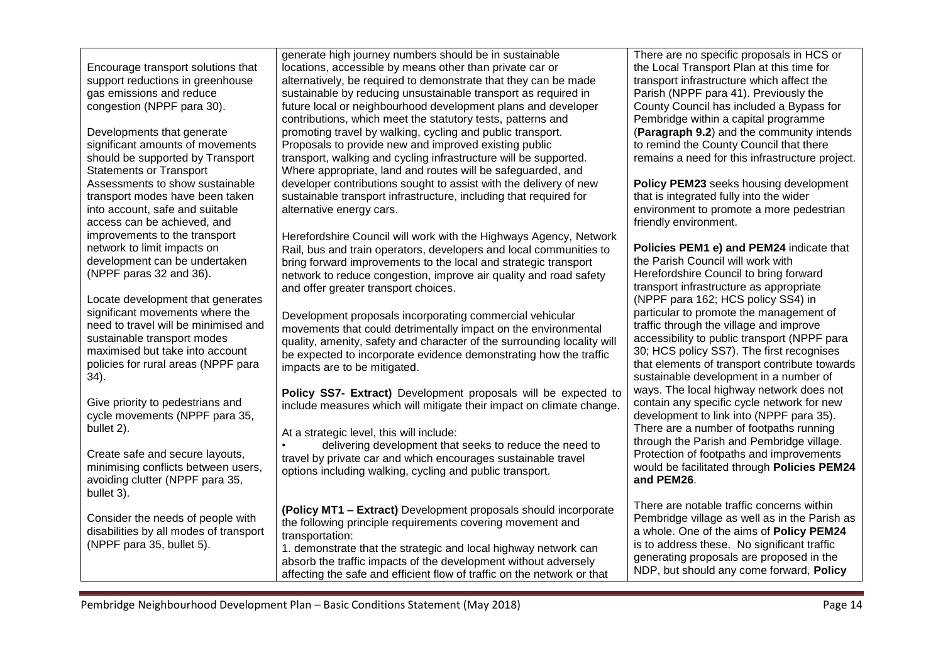| Encourage transport solutions that<br>support reductions in greenhouse<br>gas emissions and reduce<br>congestion (NPPF para 30).<br>Developments that generate<br>significant amounts of movements<br>should be supported by Transport<br><b>Statements or Transport</b><br>Assessments to show sustainable<br>transport modes have been taken<br>into account, safe and suitable<br>access can be achieved, and<br>improvements to the transport<br>network to limit impacts on<br>development can be undertaken<br>(NPPF paras 32 and 36).<br>Locate development that generates<br>significant movements where the<br>need to travel will be minimised and<br>sustainable transport modes<br>maximised but take into account<br>policies for rural areas (NPPF para<br>34).<br>Give priority to pedestrians and<br>cycle movements (NPPF para 35,<br>bullet 2).<br>Create safe and secure layouts,<br>minimising conflicts between users, | generate high journey numbers should be in sustainable<br>locations, accessible by means other than private car or<br>alternatively, be required to demonstrate that they can be made<br>sustainable by reducing unsustainable transport as required in<br>future local or neighbourhood development plans and developer<br>contributions, which meet the statutory tests, patterns and<br>promoting travel by walking, cycling and public transport.<br>Proposals to provide new and improved existing public<br>transport, walking and cycling infrastructure will be supported.<br>Where appropriate, land and routes will be safeguarded, and<br>developer contributions sought to assist with the delivery of new<br>sustainable transport infrastructure, including that required for<br>alternative energy cars.<br>Herefordshire Council will work with the Highways Agency, Network<br>Rail, bus and train operators, developers and local communities to<br>bring forward improvements to the local and strategic transport<br>network to reduce congestion, improve air quality and road safety<br>and offer greater transport choices.<br>Development proposals incorporating commercial vehicular<br>movements that could detrimentally impact on the environmental<br>quality, amenity, safety and character of the surrounding locality will<br>be expected to incorporate evidence demonstrating how the traffic<br>impacts are to be mitigated.<br>Policy SS7- Extract) Development proposals will be expected to<br>include measures which will mitigate their impact on climate change.<br>At a strategic level, this will include:<br>delivering development that seeks to reduce the need to<br>travel by private car and which encourages sustainable travel | There are no specific proposals in HCS or<br>the Local Transport Plan at this time for<br>transport infrastructure which affect the<br>Parish (NPPF para 41). Previously the<br>County Council has included a Bypass for<br>Pembridge within a capital programme<br>(Paragraph 9.2) and the community intends<br>to remind the County Council that there<br>remains a need for this infrastructure project.<br>Policy PEM23 seeks housing development<br>that is integrated fully into the wider<br>environment to promote a more pedestrian<br>friendly environment.<br>Policies PEM1 e) and PEM24 indicate that<br>the Parish Council will work with<br>Herefordshire Council to bring forward<br>transport infrastructure as appropriate<br>(NPPF para 162; HCS policy SS4) in<br>particular to promote the management of<br>traffic through the village and improve<br>accessibility to public transport (NPPF para<br>30; HCS policy SS7). The first recognises<br>that elements of transport contribute towards<br>sustainable development in a number of<br>ways. The local highway network does not<br>contain any specific cycle network for new<br>development to link into (NPPF para 35).<br>There are a number of footpaths running<br>through the Parish and Pembridge village.<br>Protection of footpaths and improvements<br>would be facilitated through Policies PEM24 |
|---------------------------------------------------------------------------------------------------------------------------------------------------------------------------------------------------------------------------------------------------------------------------------------------------------------------------------------------------------------------------------------------------------------------------------------------------------------------------------------------------------------------------------------------------------------------------------------------------------------------------------------------------------------------------------------------------------------------------------------------------------------------------------------------------------------------------------------------------------------------------------------------------------------------------------------------|------------------------------------------------------------------------------------------------------------------------------------------------------------------------------------------------------------------------------------------------------------------------------------------------------------------------------------------------------------------------------------------------------------------------------------------------------------------------------------------------------------------------------------------------------------------------------------------------------------------------------------------------------------------------------------------------------------------------------------------------------------------------------------------------------------------------------------------------------------------------------------------------------------------------------------------------------------------------------------------------------------------------------------------------------------------------------------------------------------------------------------------------------------------------------------------------------------------------------------------------------------------------------------------------------------------------------------------------------------------------------------------------------------------------------------------------------------------------------------------------------------------------------------------------------------------------------------------------------------------------------------------------------------------------------------------------------------------------------------------------------------------------------------|------------------------------------------------------------------------------------------------------------------------------------------------------------------------------------------------------------------------------------------------------------------------------------------------------------------------------------------------------------------------------------------------------------------------------------------------------------------------------------------------------------------------------------------------------------------------------------------------------------------------------------------------------------------------------------------------------------------------------------------------------------------------------------------------------------------------------------------------------------------------------------------------------------------------------------------------------------------------------------------------------------------------------------------------------------------------------------------------------------------------------------------------------------------------------------------------------------------------------------------------------------------------------------------------------------------------------------------------------------------------------------------|
| avoiding clutter (NPPF para 35,<br>bullet 3).                                                                                                                                                                                                                                                                                                                                                                                                                                                                                                                                                                                                                                                                                                                                                                                                                                                                                               | options including walking, cycling and public transport.                                                                                                                                                                                                                                                                                                                                                                                                                                                                                                                                                                                                                                                                                                                                                                                                                                                                                                                                                                                                                                                                                                                                                                                                                                                                                                                                                                                                                                                                                                                                                                                                                                                                                                                           | and PEM26.                                                                                                                                                                                                                                                                                                                                                                                                                                                                                                                                                                                                                                                                                                                                                                                                                                                                                                                                                                                                                                                                                                                                                                                                                                                                                                                                                                               |
| Consider the needs of people with<br>disabilities by all modes of transport<br>(NPPF para 35, bullet 5).                                                                                                                                                                                                                                                                                                                                                                                                                                                                                                                                                                                                                                                                                                                                                                                                                                    | (Policy MT1 - Extract) Development proposals should incorporate<br>the following principle requirements covering movement and<br>transportation:<br>1. demonstrate that the strategic and local highway network can<br>absorb the traffic impacts of the development without adversely<br>affecting the safe and efficient flow of traffic on the network or that                                                                                                                                                                                                                                                                                                                                                                                                                                                                                                                                                                                                                                                                                                                                                                                                                                                                                                                                                                                                                                                                                                                                                                                                                                                                                                                                                                                                                  | There are notable traffic concerns within<br>Pembridge village as well as in the Parish as<br>a whole. One of the aims of Policy PEM24<br>is to address these. No significant traffic<br>generating proposals are proposed in the<br>NDP, but should any come forward, Policy                                                                                                                                                                                                                                                                                                                                                                                                                                                                                                                                                                                                                                                                                                                                                                                                                                                                                                                                                                                                                                                                                                            |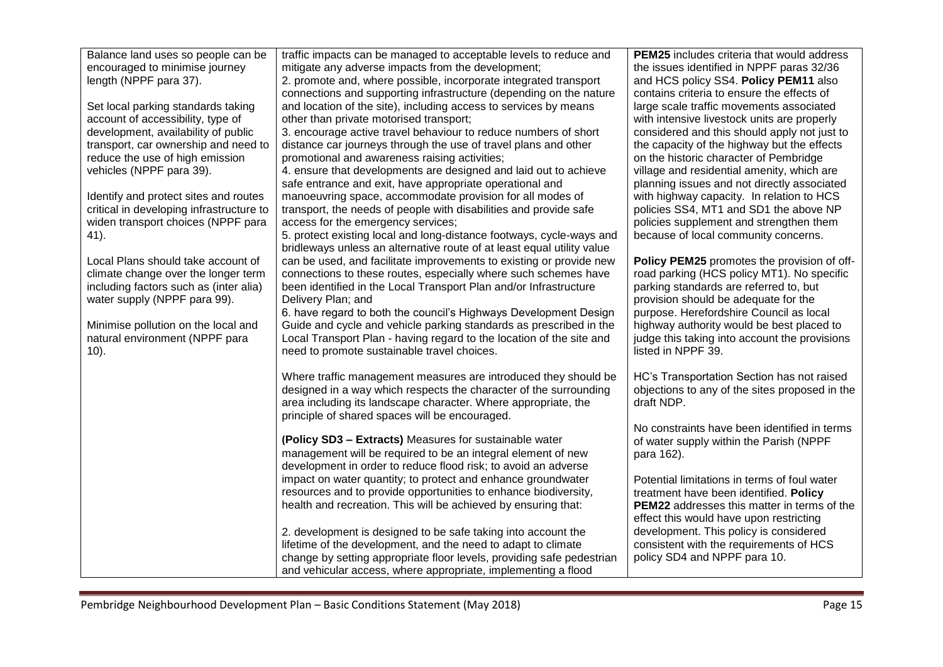| Balance land uses so people can be<br>encouraged to minimise journey | traffic impacts can be managed to acceptable levels to reduce and<br>mitigate any adverse impacts from the development;        | <b>PEM25</b> includes criteria that would address<br>the issues identified in NPPF paras 32/36 |
|----------------------------------------------------------------------|--------------------------------------------------------------------------------------------------------------------------------|------------------------------------------------------------------------------------------------|
| length (NPPF para 37).                                               | 2. promote and, where possible, incorporate integrated transport                                                               | and HCS policy SS4. Policy PEM11 also                                                          |
|                                                                      | connections and supporting infrastructure (depending on the nature                                                             | contains criteria to ensure the effects of                                                     |
| Set local parking standards taking                                   | and location of the site), including access to services by means                                                               | large scale traffic movements associated                                                       |
| account of accessibility, type of                                    | other than private motorised transport;                                                                                        | with intensive livestock units are properly                                                    |
| development, availability of public                                  | 3. encourage active travel behaviour to reduce numbers of short                                                                | considered and this should apply not just to                                                   |
| transport, car ownership and need to                                 | distance car journeys through the use of travel plans and other                                                                | the capacity of the highway but the effects                                                    |
| reduce the use of high emission                                      | promotional and awareness raising activities;                                                                                  | on the historic character of Pembridge                                                         |
| vehicles (NPPF para 39).                                             | 4. ensure that developments are designed and laid out to achieve                                                               | village and residential amenity, which are                                                     |
|                                                                      | safe entrance and exit, have appropriate operational and                                                                       | planning issues and not directly associated                                                    |
| Identify and protect sites and routes                                | manoeuvring space, accommodate provision for all modes of                                                                      | with highway capacity. In relation to HCS                                                      |
| critical in developing infrastructure to                             | transport, the needs of people with disabilities and provide safe                                                              | policies SS4, MT1 and SD1 the above NP                                                         |
| widen transport choices (NPPF para<br>41).                           | access for the emergency services;<br>5. protect existing local and long-distance footways, cycle-ways and                     | policies supplement and strengthen them<br>because of local community concerns.                |
|                                                                      | bridleways unless an alternative route of at least equal utility value                                                         |                                                                                                |
| Local Plans should take account of                                   | can be used, and facilitate improvements to existing or provide new                                                            | Policy PEM25 promotes the provision of off-                                                    |
| climate change over the longer term                                  | connections to these routes, especially where such schemes have                                                                | road parking (HCS policy MT1). No specific                                                     |
| including factors such as (inter alia)                               | been identified in the Local Transport Plan and/or Infrastructure                                                              | parking standards are referred to, but                                                         |
| water supply (NPPF para 99).                                         | Delivery Plan; and                                                                                                             | provision should be adequate for the                                                           |
|                                                                      | 6. have regard to both the council's Highways Development Design                                                               | purpose. Herefordshire Council as local                                                        |
| Minimise pollution on the local and                                  | Guide and cycle and vehicle parking standards as prescribed in the                                                             | highway authority would be best placed to                                                      |
| natural environment (NPPF para                                       | Local Transport Plan - having regard to the location of the site and                                                           | judge this taking into account the provisions                                                  |
| $10$ ).                                                              | need to promote sustainable travel choices.                                                                                    | listed in NPPF 39.                                                                             |
|                                                                      | Where traffic management measures are introduced they should be                                                                | HC's Transportation Section has not raised                                                     |
|                                                                      | designed in a way which respects the character of the surrounding                                                              | objections to any of the sites proposed in the                                                 |
|                                                                      | area including its landscape character. Where appropriate, the                                                                 | draft NDP.                                                                                     |
|                                                                      | principle of shared spaces will be encouraged.                                                                                 |                                                                                                |
|                                                                      |                                                                                                                                | No constraints have been identified in terms                                                   |
|                                                                      | (Policy SD3 - Extracts) Measures for sustainable water                                                                         | of water supply within the Parish (NPPF                                                        |
|                                                                      | management will be required to be an integral element of new<br>development in order to reduce flood risk; to avoid an adverse | para 162).                                                                                     |
|                                                                      | impact on water quantity; to protect and enhance groundwater                                                                   | Potential limitations in terms of foul water                                                   |
|                                                                      | resources and to provide opportunities to enhance biodiversity,                                                                | treatment have been identified. Policy                                                         |
|                                                                      | health and recreation. This will be achieved by ensuring that:                                                                 | <b>PEM22</b> addresses this matter in terms of the                                             |
|                                                                      |                                                                                                                                | effect this would have upon restricting                                                        |
|                                                                      | 2. development is designed to be safe taking into account the                                                                  | development. This policy is considered                                                         |
|                                                                      | lifetime of the development, and the need to adapt to climate                                                                  | consistent with the requirements of HCS                                                        |
|                                                                      | change by setting appropriate floor levels, providing safe pedestrian                                                          | policy SD4 and NPPF para 10.                                                                   |
|                                                                      | and vehicular access, where appropriate, implementing a flood                                                                  |                                                                                                |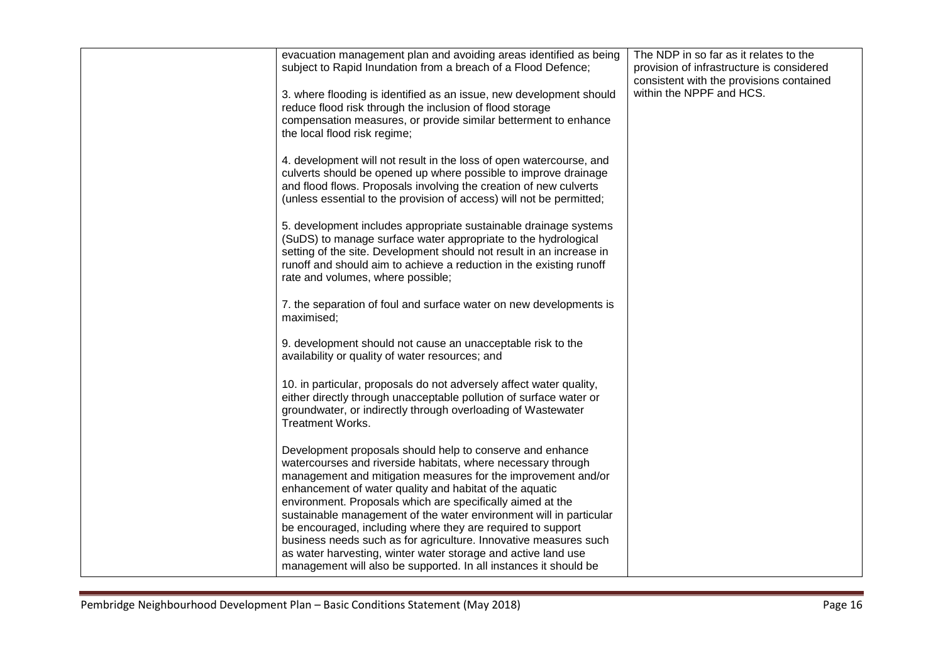| evacuation management plan and avoiding areas identified as being<br>subject to Rapid Inundation from a breach of a Flood Defence;<br>3. where flooding is identified as an issue, new development should<br>reduce flood risk through the inclusion of flood storage<br>compensation measures, or provide similar betterment to enhance<br>the local flood risk regime;<br>4. development will not result in the loss of open watercourse, and                                                                                                                                                                                                                   | The NDP in so far as it relates to the<br>provision of infrastructure is considered<br>consistent with the provisions contained<br>within the NPPF and HCS. |
|-------------------------------------------------------------------------------------------------------------------------------------------------------------------------------------------------------------------------------------------------------------------------------------------------------------------------------------------------------------------------------------------------------------------------------------------------------------------------------------------------------------------------------------------------------------------------------------------------------------------------------------------------------------------|-------------------------------------------------------------------------------------------------------------------------------------------------------------|
| culverts should be opened up where possible to improve drainage<br>and flood flows. Proposals involving the creation of new culverts<br>(unless essential to the provision of access) will not be permitted;<br>5. development includes appropriate sustainable drainage systems                                                                                                                                                                                                                                                                                                                                                                                  |                                                                                                                                                             |
| (SuDS) to manage surface water appropriate to the hydrological<br>setting of the site. Development should not result in an increase in<br>runoff and should aim to achieve a reduction in the existing runoff<br>rate and volumes, where possible;                                                                                                                                                                                                                                                                                                                                                                                                                |                                                                                                                                                             |
| 7. the separation of foul and surface water on new developments is<br>maximised;                                                                                                                                                                                                                                                                                                                                                                                                                                                                                                                                                                                  |                                                                                                                                                             |
| 9. development should not cause an unacceptable risk to the<br>availability or quality of water resources; and                                                                                                                                                                                                                                                                                                                                                                                                                                                                                                                                                    |                                                                                                                                                             |
| 10. in particular, proposals do not adversely affect water quality,<br>either directly through unacceptable pollution of surface water or<br>groundwater, or indirectly through overloading of Wastewater<br><b>Treatment Works.</b>                                                                                                                                                                                                                                                                                                                                                                                                                              |                                                                                                                                                             |
| Development proposals should help to conserve and enhance<br>watercourses and riverside habitats, where necessary through<br>management and mitigation measures for the improvement and/or<br>enhancement of water quality and habitat of the aquatic<br>environment. Proposals which are specifically aimed at the<br>sustainable management of the water environment will in particular<br>be encouraged, including where they are required to support<br>business needs such as for agriculture. Innovative measures such<br>as water harvesting, winter water storage and active land use<br>management will also be supported. In all instances it should be |                                                                                                                                                             |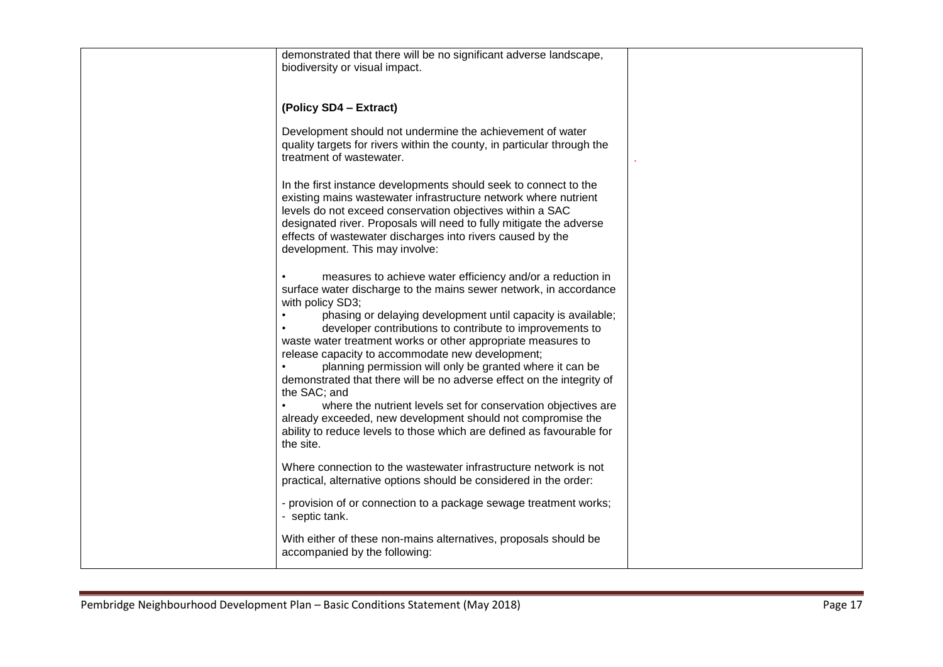| demonstrated that there will be no significant adverse landscape,<br>biodiversity or visual impact.                                                                                                                                                                                                                                                                                                                                                                                                                                                                                                                                                                                                                                                                            |  |
|--------------------------------------------------------------------------------------------------------------------------------------------------------------------------------------------------------------------------------------------------------------------------------------------------------------------------------------------------------------------------------------------------------------------------------------------------------------------------------------------------------------------------------------------------------------------------------------------------------------------------------------------------------------------------------------------------------------------------------------------------------------------------------|--|
| (Policy SD4 - Extract)                                                                                                                                                                                                                                                                                                                                                                                                                                                                                                                                                                                                                                                                                                                                                         |  |
| Development should not undermine the achievement of water<br>quality targets for rivers within the county, in particular through the<br>treatment of wastewater.                                                                                                                                                                                                                                                                                                                                                                                                                                                                                                                                                                                                               |  |
| In the first instance developments should seek to connect to the<br>existing mains wastewater infrastructure network where nutrient<br>levels do not exceed conservation objectives within a SAC<br>designated river. Proposals will need to fully mitigate the adverse<br>effects of wastewater discharges into rivers caused by the<br>development. This may involve:                                                                                                                                                                                                                                                                                                                                                                                                        |  |
| measures to achieve water efficiency and/or a reduction in<br>surface water discharge to the mains sewer network, in accordance<br>with policy SD3;<br>phasing or delaying development until capacity is available;<br>developer contributions to contribute to improvements to<br>waste water treatment works or other appropriate measures to<br>release capacity to accommodate new development;<br>planning permission will only be granted where it can be<br>demonstrated that there will be no adverse effect on the integrity of<br>the SAC; and<br>where the nutrient levels set for conservation objectives are<br>already exceeded, new development should not compromise the<br>ability to reduce levels to those which are defined as favourable for<br>the site. |  |
| Where connection to the wastewater infrastructure network is not<br>practical, alternative options should be considered in the order:                                                                                                                                                                                                                                                                                                                                                                                                                                                                                                                                                                                                                                          |  |
| - provision of or connection to a package sewage treatment works;<br>- septic tank.                                                                                                                                                                                                                                                                                                                                                                                                                                                                                                                                                                                                                                                                                            |  |
| With either of these non-mains alternatives, proposals should be<br>accompanied by the following:                                                                                                                                                                                                                                                                                                                                                                                                                                                                                                                                                                                                                                                                              |  |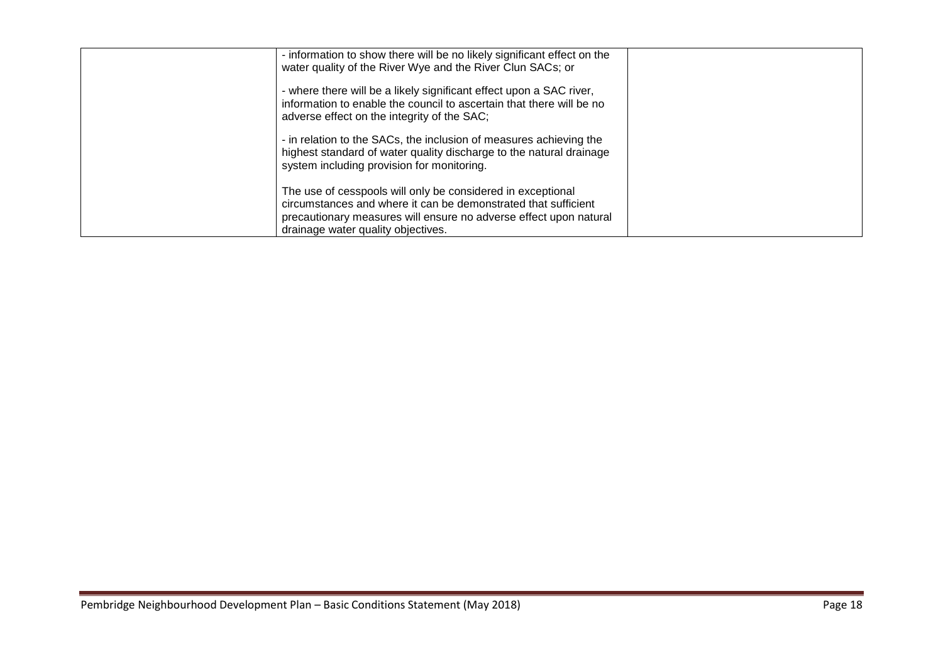| - information to show there will be no likely significant effect on the<br>water quality of the River Wye and the River Clun SACs; or                                                                                                    |  |
|------------------------------------------------------------------------------------------------------------------------------------------------------------------------------------------------------------------------------------------|--|
| - where there will be a likely significant effect upon a SAC river,<br>information to enable the council to ascertain that there will be no<br>adverse effect on the integrity of the SAC;                                               |  |
| - in relation to the SACs, the inclusion of measures achieving the<br>highest standard of water quality discharge to the natural drainage<br>system including provision for monitoring.                                                  |  |
| The use of cesspools will only be considered in exceptional<br>circumstances and where it can be demonstrated that sufficient<br>precautionary measures will ensure no adverse effect upon natural<br>drainage water quality objectives. |  |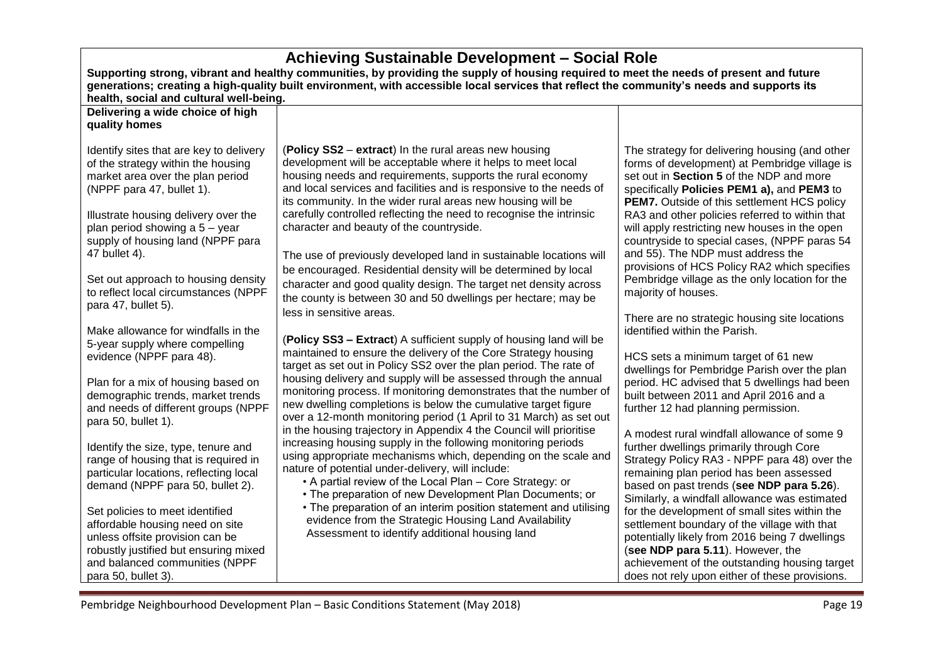| Achieving Sustainable Development - Social Role                                                                                                                                                                                                                                                                       |                                                                                                                                                                                                                                                                                                                                                                                                                                                                                                                                                                                     |                                                                                                                                                                                                                                                                                                                                                                                                                                                                                                                                           |  |
|-----------------------------------------------------------------------------------------------------------------------------------------------------------------------------------------------------------------------------------------------------------------------------------------------------------------------|-------------------------------------------------------------------------------------------------------------------------------------------------------------------------------------------------------------------------------------------------------------------------------------------------------------------------------------------------------------------------------------------------------------------------------------------------------------------------------------------------------------------------------------------------------------------------------------|-------------------------------------------------------------------------------------------------------------------------------------------------------------------------------------------------------------------------------------------------------------------------------------------------------------------------------------------------------------------------------------------------------------------------------------------------------------------------------------------------------------------------------------------|--|
| Supporting strong, vibrant and healthy communities, by providing the supply of housing required to meet the needs of present and future<br>generations; creating a high-quality built environment, with accessible local services that reflect the community's needs and supports its                                 |                                                                                                                                                                                                                                                                                                                                                                                                                                                                                                                                                                                     |                                                                                                                                                                                                                                                                                                                                                                                                                                                                                                                                           |  |
| health, social and cultural well-being.                                                                                                                                                                                                                                                                               |                                                                                                                                                                                                                                                                                                                                                                                                                                                                                                                                                                                     |                                                                                                                                                                                                                                                                                                                                                                                                                                                                                                                                           |  |
| Delivering a wide choice of high                                                                                                                                                                                                                                                                                      |                                                                                                                                                                                                                                                                                                                                                                                                                                                                                                                                                                                     |                                                                                                                                                                                                                                                                                                                                                                                                                                                                                                                                           |  |
| quality homes                                                                                                                                                                                                                                                                                                         |                                                                                                                                                                                                                                                                                                                                                                                                                                                                                                                                                                                     |                                                                                                                                                                                                                                                                                                                                                                                                                                                                                                                                           |  |
| Identify sites that are key to delivery<br>of the strategy within the housing<br>market area over the plan period<br>(NPPF para 47, bullet 1).<br>Illustrate housing delivery over the<br>plan period showing a 5 - year<br>supply of housing land (NPPF para<br>47 bullet 4).<br>Set out approach to housing density | (Policy SS2 – extract) In the rural areas new housing<br>development will be acceptable where it helps to meet local<br>housing needs and requirements, supports the rural economy<br>and local services and facilities and is responsive to the needs of<br>its community. In the wider rural areas new housing will be<br>carefully controlled reflecting the need to recognise the intrinsic<br>character and beauty of the countryside.<br>The use of previously developed land in sustainable locations will<br>be encouraged. Residential density will be determined by local | The strategy for delivering housing (and other<br>forms of development) at Pembridge village is<br>set out in Section 5 of the NDP and more<br>specifically Policies PEM1 a), and PEM3 to<br><b>PEM7.</b> Outside of this settlement HCS policy<br>RA3 and other policies referred to within that<br>will apply restricting new houses in the open<br>countryside to special cases, (NPPF paras 54<br>and 55). The NDP must address the<br>provisions of HCS Policy RA2 which specifies<br>Pembridge village as the only location for the |  |
| to reflect local circumstances (NPPF<br>para 47, bullet 5).<br>Make allowance for windfalls in the                                                                                                                                                                                                                    | character and good quality design. The target net density across<br>the county is between 30 and 50 dwellings per hectare; may be<br>less in sensitive areas.                                                                                                                                                                                                                                                                                                                                                                                                                       | majority of houses.<br>There are no strategic housing site locations<br>identified within the Parish.                                                                                                                                                                                                                                                                                                                                                                                                                                     |  |
| 5-year supply where compelling<br>evidence (NPPF para 48).<br>Plan for a mix of housing based on<br>demographic trends, market trends                                                                                                                                                                                 | (Policy SS3 - Extract) A sufficient supply of housing land will be<br>maintained to ensure the delivery of the Core Strategy housing<br>target as set out in Policy SS2 over the plan period. The rate of<br>housing delivery and supply will be assessed through the annual<br>monitoring process. If monitoring demonstrates that the number of                                                                                                                                                                                                                                   | HCS sets a minimum target of 61 new<br>dwellings for Pembridge Parish over the plan<br>period. HC advised that 5 dwellings had been<br>built between 2011 and April 2016 and a                                                                                                                                                                                                                                                                                                                                                            |  |
| and needs of different groups (NPPF<br>para 50, bullet 1).                                                                                                                                                                                                                                                            | new dwelling completions is below the cumulative target figure<br>over a 12-month monitoring period (1 April to 31 March) as set out<br>in the housing trajectory in Appendix 4 the Council will prioritise                                                                                                                                                                                                                                                                                                                                                                         | further 12 had planning permission.<br>A modest rural windfall allowance of some 9                                                                                                                                                                                                                                                                                                                                                                                                                                                        |  |
| Identify the size, type, tenure and<br>range of housing that is required in<br>particular locations, reflecting local<br>demand (NPPF para 50, bullet 2).                                                                                                                                                             | increasing housing supply in the following monitoring periods<br>using appropriate mechanisms which, depending on the scale and<br>nature of potential under-delivery, will include:<br>• A partial review of the Local Plan - Core Strategy: or<br>• The preparation of new Development Plan Documents; or                                                                                                                                                                                                                                                                         | further dwellings primarily through Core<br>Strategy Policy RA3 - NPPF para 48) over the<br>remaining plan period has been assessed<br>based on past trends (see NDP para 5.26).<br>Similarly, a windfall allowance was estimated                                                                                                                                                                                                                                                                                                         |  |
| Set policies to meet identified<br>affordable housing need on site<br>unless offsite provision can be<br>robustly justified but ensuring mixed<br>and balanced communities (NPPF<br>para 50, bullet 3).                                                                                                               | • The preparation of an interim position statement and utilising<br>evidence from the Strategic Housing Land Availability<br>Assessment to identify additional housing land                                                                                                                                                                                                                                                                                                                                                                                                         | for the development of small sites within the<br>settlement boundary of the village with that<br>potentially likely from 2016 being 7 dwellings<br>(see NDP para 5.11). However, the<br>achievement of the outstanding housing target<br>does not rely upon either of these provisions.                                                                                                                                                                                                                                                   |  |

 $\Gamma$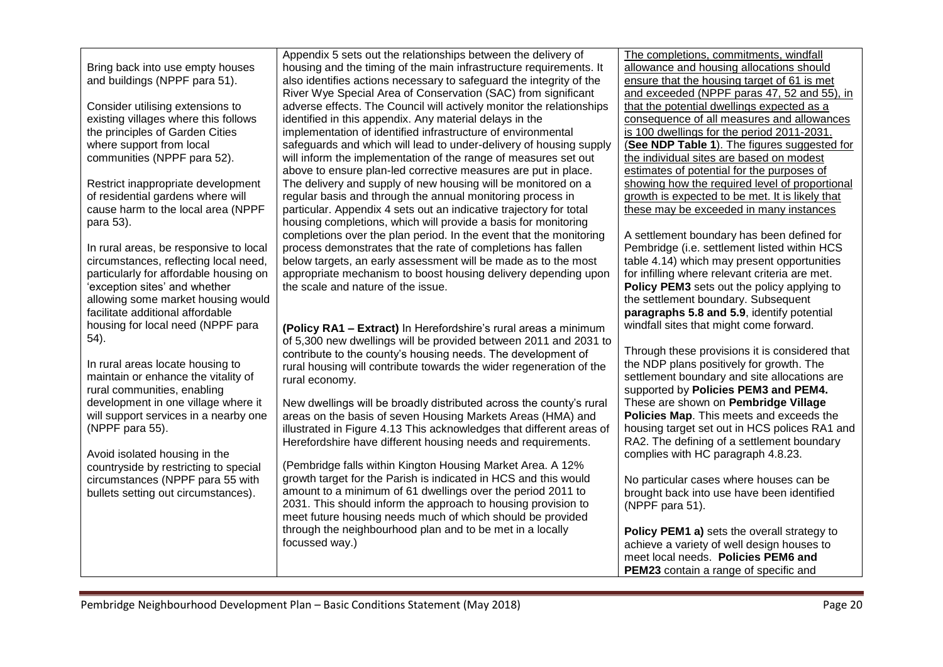| Bring back into use empty houses |
|----------------------------------|
| and buildings (NPPF para 51).    |

Consider utilising extensions to existing villages where this follows the principles of Garden Cities where support from local communities (NPPF para 52).

Restrict inappropriate development of residential gardens where will cause harm to the local area (NPPF para 53).

In rural areas, be responsive to local circumstances, reflecting local need, particularly for affordable housing on 'exception sites' and whether allowing some market housing would facilitate additional affordable housing for local need (NPPF para 54).

In rural areas locate housing to maintain or enhance the vitality of rural communities, enabling development in one village where it will support services in a nearby one (NPPF para 55).

Avoid isolated housing in the countryside by restricting to special circumstances (NPPF para 55 with bullets setting out circumstances).

Appendix 5 sets out the relationships between the delivery of housing and the timing of the main infrastructure requirements. It also identifies actions necessary to safeguard the integrity of the River Wye Special Area of Conservation (SAC) from significant adverse effects. The Council will actively monitor the relationships identified in this appendix. Any material delays in the implementation of identified infrastructure of environmental safeguards and which will lead to under-delivery of housing supply will inform the implementation of the range of measures set out above to ensure plan-led corrective measures are put in place. The delivery and supply of new housing will be monitored on a regular basis and through the annual monitoring process in particular. Appendix 4 sets out an indicative trajectory for total housing completions, which will provide a basis for monitoring completions over the plan period. In the event that the monitoring process demonstrates that the rate of completions has fallen below targets, an early assessment will be made as to the most appropriate mechanism to boost housing delivery depending upon the scale and nature of the issue.

**(Policy RA1 – Extract)** In Herefordshire's rural areas a minimum of 5,300 new dwellings will be provided between 2011 and 2031 to contribute to the county's housing needs. The development of rural housing will contribute towards the wider regeneration of the rural economy.

New dwellings will be broadly distributed across the county's rural areas on the basis of seven Housing Markets Areas (HMA) and illustrated in Figure 4.13 This acknowledges that different areas of Herefordshire have different housing needs and requirements.

(Pembridge falls within Kington Housing Market Area. A 12% growth target for the Parish is indicated in HCS and this would amount to a minimum of 61 dwellings over the period 2011 to 2031. This should inform the approach to housing provision to meet future housing needs much of which should be provided through the neighbourhood plan and to be met in a locally focussed way.)

The completions, commitments, windfall allowance and housing allocations should ensure that the housing target of 61 is met and exceeded (NPPF paras 47, 52 and 55), in that the potential dwellings expected as a consequence of all measures and allowances is 100 dwellings for the period 2011-2031. (**See NDP Table 1**). The figures suggested for the individual sites are based on modest estimates of potential for the purposes of showing how the required level of proportional growth is expected to be met. It is likely that these may be exceeded in many instances

A settlement boundary has been defined for Pembridge (i.e. settlement listed within HCS table 4.14) which may present opportunities for infilling where relevant criteria are met. **Policy PEM3** sets out the policy applying to the settlement boundary. Subsequent **paragraphs 5.8 and 5.9**, identify potential windfall sites that might come forward.

Through these provisions it is considered that the NDP plans positively for growth. The settlement boundary and site allocations are supported by **Policies PEM3 and PEM4.** These are shown on **Pembridge Village Policies Map**. This meets and exceeds the housing target set out in HCS polices RA1 and RA2. The defining of a settlement boundary complies with HC paragraph 4.8.23.

No particular cases where houses can be brought back into use have been identified (NPPF para 51).

**Policy PEM1 a)** sets the overall strategy to achieve a variety of well design houses to meet local needs. **Policies PEM6 and PEM23** contain a range of specific and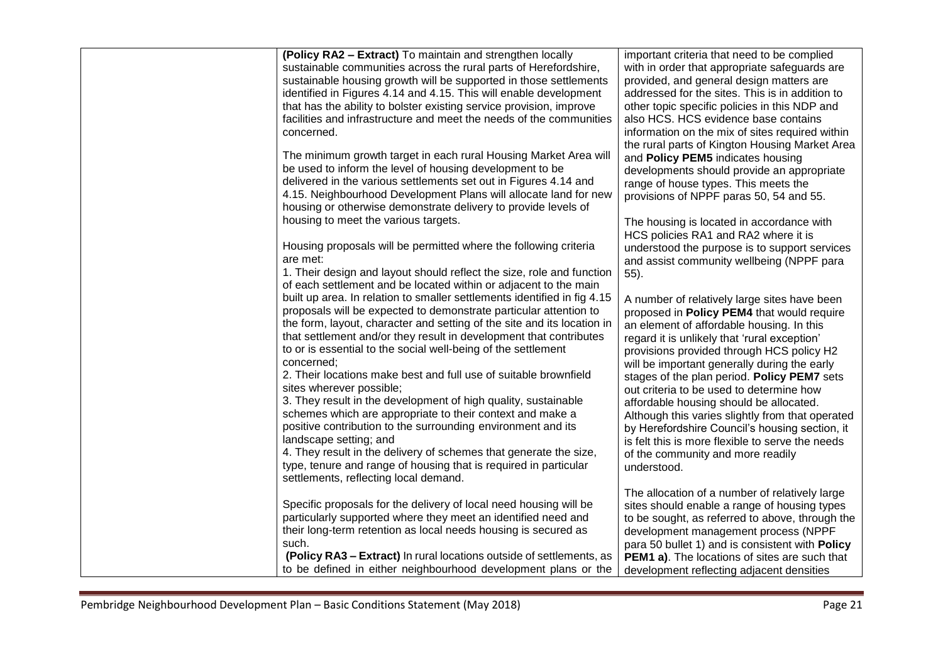| (Policy RA2 - Extract) To maintain and strengthen locally<br>sustainable communities across the rural parts of Herefordshire,<br>sustainable housing growth will be supported in those settlements<br>identified in Figures 4.14 and 4.15. This will enable development<br>that has the ability to bolster existing service provision, improve<br>facilities and infrastructure and meet the needs of the communities<br>concerned.<br>The minimum growth target in each rural Housing Market Area will<br>be used to inform the level of housing development to be<br>delivered in the various settlements set out in Figures 4.14 and<br>4.15. Neighbourhood Development Plans will allocate land for new<br>housing or otherwise demonstrate delivery to provide levels of<br>housing to meet the various targets.<br>Housing proposals will be permitted where the following criteria<br>are met:<br>1. Their design and layout should reflect the size, role and function<br>of each settlement and be located within or adjacent to the main<br>built up area. In relation to smaller settlements identified in fig 4.15<br>proposals will be expected to demonstrate particular attention to<br>the form, layout, character and setting of the site and its location in<br>that settlement and/or they result in development that contributes<br>to or is essential to the social well-being of the settlement<br>concerned;<br>2. Their locations make best and full use of suitable brownfield<br>sites wherever possible;<br>3. They result in the development of high quality, sustainable<br>schemes which are appropriate to their context and make a<br>positive contribution to the surrounding environment and its<br>landscape setting; and<br>4. They result in the delivery of schemes that generate the size,<br>type, tenure and range of housing that is required in particular<br>settlements, reflecting local demand.<br>Specific proposals for the delivery of local need housing will be<br>particularly supported where they meet an identified need and<br>their long-term retention as local needs housing is secured as | important criteria that need to be complied<br>with in order that appropriate safeguards are<br>provided, and general design matters are<br>addressed for the sites. This is in addition to<br>other topic specific policies in this NDP and<br>also HCS. HCS evidence base contains<br>information on the mix of sites required within<br>the rural parts of Kington Housing Market Area<br>and Policy PEM5 indicates housing<br>developments should provide an appropriate<br>range of house types. This meets the<br>provisions of NPPF paras 50, 54 and 55.<br>The housing is located in accordance with<br>HCS policies RA1 and RA2 where it is<br>understood the purpose is to support services<br>and assist community wellbeing (NPPF para<br>$55$ ).<br>A number of relatively large sites have been<br>proposed in Policy PEM4 that would require<br>an element of affordable housing. In this<br>regard it is unlikely that 'rural exception'<br>provisions provided through HCS policy H2<br>will be important generally during the early<br>stages of the plan period. Policy PEM7 sets<br>out criteria to be used to determine how<br>affordable housing should be allocated.<br>Although this varies slightly from that operated<br>by Herefordshire Council's housing section, it<br>is felt this is more flexible to serve the needs<br>of the community and more readily<br>understood.<br>The allocation of a number of relatively large<br>sites should enable a range of housing types<br>to be sought, as referred to above, through the<br>development management process (NPPF |
|--------------------------------------------------------------------------------------------------------------------------------------------------------------------------------------------------------------------------------------------------------------------------------------------------------------------------------------------------------------------------------------------------------------------------------------------------------------------------------------------------------------------------------------------------------------------------------------------------------------------------------------------------------------------------------------------------------------------------------------------------------------------------------------------------------------------------------------------------------------------------------------------------------------------------------------------------------------------------------------------------------------------------------------------------------------------------------------------------------------------------------------------------------------------------------------------------------------------------------------------------------------------------------------------------------------------------------------------------------------------------------------------------------------------------------------------------------------------------------------------------------------------------------------------------------------------------------------------------------------------------------------------------------------------------------------------------------------------------------------------------------------------------------------------------------------------------------------------------------------------------------------------------------------------------------------------------------------------------------------------------------------------------------------------------------------------------------------------------------------------------------------------------------|--------------------------------------------------------------------------------------------------------------------------------------------------------------------------------------------------------------------------------------------------------------------------------------------------------------------------------------------------------------------------------------------------------------------------------------------------------------------------------------------------------------------------------------------------------------------------------------------------------------------------------------------------------------------------------------------------------------------------------------------------------------------------------------------------------------------------------------------------------------------------------------------------------------------------------------------------------------------------------------------------------------------------------------------------------------------------------------------------------------------------------------------------------------------------------------------------------------------------------------------------------------------------------------------------------------------------------------------------------------------------------------------------------------------------------------------------------------------------------------------------------------------------------------------------------------------------------------------------------|
|                                                                                                                                                                                                                                                                                                                                                                                                                                                                                                                                                                                                                                                                                                                                                                                                                                                                                                                                                                                                                                                                                                                                                                                                                                                                                                                                                                                                                                                                                                                                                                                                                                                                                                                                                                                                                                                                                                                                                                                                                                                                                                                                                        |                                                                                                                                                                                                                                                                                                                                                                                                                                                                                                                                                                                                                                                                                                                                                                                                                                                                                                                                                                                                                                                                                                                                                                                                                                                                                                                                                                                                                                                                                                                                                                                                        |
| such.                                                                                                                                                                                                                                                                                                                                                                                                                                                                                                                                                                                                                                                                                                                                                                                                                                                                                                                                                                                                                                                                                                                                                                                                                                                                                                                                                                                                                                                                                                                                                                                                                                                                                                                                                                                                                                                                                                                                                                                                                                                                                                                                                  |                                                                                                                                                                                                                                                                                                                                                                                                                                                                                                                                                                                                                                                                                                                                                                                                                                                                                                                                                                                                                                                                                                                                                                                                                                                                                                                                                                                                                                                                                                                                                                                                        |
| (Policy RA3 - Extract) In rural locations outside of settlements, as                                                                                                                                                                                                                                                                                                                                                                                                                                                                                                                                                                                                                                                                                                                                                                                                                                                                                                                                                                                                                                                                                                                                                                                                                                                                                                                                                                                                                                                                                                                                                                                                                                                                                                                                                                                                                                                                                                                                                                                                                                                                                   | para 50 bullet 1) and is consistent with Policy<br><b>PEM1 a)</b> . The locations of sites are such that                                                                                                                                                                                                                                                                                                                                                                                                                                                                                                                                                                                                                                                                                                                                                                                                                                                                                                                                                                                                                                                                                                                                                                                                                                                                                                                                                                                                                                                                                               |
| to be defined in either neighbourhood development plans or the                                                                                                                                                                                                                                                                                                                                                                                                                                                                                                                                                                                                                                                                                                                                                                                                                                                                                                                                                                                                                                                                                                                                                                                                                                                                                                                                                                                                                                                                                                                                                                                                                                                                                                                                                                                                                                                                                                                                                                                                                                                                                         | development reflecting adjacent densities                                                                                                                                                                                                                                                                                                                                                                                                                                                                                                                                                                                                                                                                                                                                                                                                                                                                                                                                                                                                                                                                                                                                                                                                                                                                                                                                                                                                                                                                                                                                                              |
|                                                                                                                                                                                                                                                                                                                                                                                                                                                                                                                                                                                                                                                                                                                                                                                                                                                                                                                                                                                                                                                                                                                                                                                                                                                                                                                                                                                                                                                                                                                                                                                                                                                                                                                                                                                                                                                                                                                                                                                                                                                                                                                                                        |                                                                                                                                                                                                                                                                                                                                                                                                                                                                                                                                                                                                                                                                                                                                                                                                                                                                                                                                                                                                                                                                                                                                                                                                                                                                                                                                                                                                                                                                                                                                                                                                        |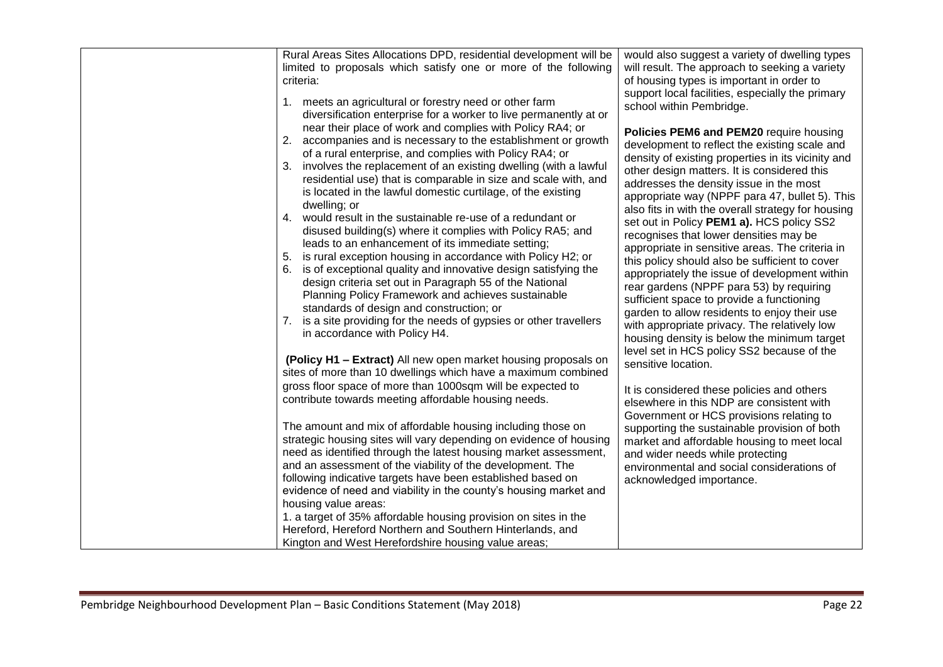| Rural Areas Sites Allocations DPD, residential development will be<br>limited to proposals which satisfy one or more of the following<br>criteria:<br>1. meets an agricultural or forestry need or other farm<br>diversification enterprise for a worker to live permanently at or<br>near their place of work and complies with Policy RA4; or<br>2. accompanies and is necessary to the establishment or growth<br>of a rural enterprise, and complies with Policy RA4; or<br>involves the replacement of an existing dwelling (with a lawful<br>3.<br>residential use) that is comparable in size and scale with, and<br>is located in the lawful domestic curtilage, of the existing<br>dwelling; or<br>4. would result in the sustainable re-use of a redundant or<br>disused building(s) where it complies with Policy RA5; and<br>leads to an enhancement of its immediate setting;<br>5. is rural exception housing in accordance with Policy H2; or<br>is of exceptional quality and innovative design satisfying the<br>design criteria set out in Paragraph 55 of the National<br>Planning Policy Framework and achieves sustainable<br>standards of design and construction; or<br>is a site providing for the needs of gypsies or other travellers<br>in accordance with Policy H4.<br>(Policy H1 - Extract) All new open market housing proposals on<br>sites of more than 10 dwellings which have a maximum combined<br>gross floor space of more than 1000sqm will be expected to<br>contribute towards meeting affordable housing needs. | would also suggest a variety of dwelling types<br>will result. The approach to seeking a variety<br>of housing types is important in order to<br>support local facilities, especially the primary<br>school within Pembridge.<br>Policies PEM6 and PEM20 require housing<br>development to reflect the existing scale and<br>density of existing properties in its vicinity and<br>other design matters. It is considered this<br>addresses the density issue in the most<br>appropriate way (NPPF para 47, bullet 5). This<br>also fits in with the overall strategy for housing<br>set out in Policy PEM1 a). HCS policy SS2<br>recognises that lower densities may be<br>appropriate in sensitive areas. The criteria in<br>this policy should also be sufficient to cover<br>appropriately the issue of development within<br>rear gardens (NPPF para 53) by requiring<br>sufficient space to provide a functioning<br>garden to allow residents to enjoy their use<br>with appropriate privacy. The relatively low<br>housing density is below the minimum target<br>level set in HCS policy SS2 because of the<br>sensitive location.<br>It is considered these policies and others<br>elsewhere in this NDP are consistent with<br>Government or HCS provisions relating to |
|-----------------------------------------------------------------------------------------------------------------------------------------------------------------------------------------------------------------------------------------------------------------------------------------------------------------------------------------------------------------------------------------------------------------------------------------------------------------------------------------------------------------------------------------------------------------------------------------------------------------------------------------------------------------------------------------------------------------------------------------------------------------------------------------------------------------------------------------------------------------------------------------------------------------------------------------------------------------------------------------------------------------------------------------------------------------------------------------------------------------------------------------------------------------------------------------------------------------------------------------------------------------------------------------------------------------------------------------------------------------------------------------------------------------------------------------------------------------------------------------------------------------------------------------------------------|------------------------------------------------------------------------------------------------------------------------------------------------------------------------------------------------------------------------------------------------------------------------------------------------------------------------------------------------------------------------------------------------------------------------------------------------------------------------------------------------------------------------------------------------------------------------------------------------------------------------------------------------------------------------------------------------------------------------------------------------------------------------------------------------------------------------------------------------------------------------------------------------------------------------------------------------------------------------------------------------------------------------------------------------------------------------------------------------------------------------------------------------------------------------------------------------------------------------------------------------------------------------------------|
|                                                                                                                                                                                                                                                                                                                                                                                                                                                                                                                                                                                                                                                                                                                                                                                                                                                                                                                                                                                                                                                                                                                                                                                                                                                                                                                                                                                                                                                                                                                                                           |                                                                                                                                                                                                                                                                                                                                                                                                                                                                                                                                                                                                                                                                                                                                                                                                                                                                                                                                                                                                                                                                                                                                                                                                                                                                                    |
| The amount and mix of affordable housing including those on<br>strategic housing sites will vary depending on evidence of housing<br>need as identified through the latest housing market assessment,<br>and an assessment of the viability of the development. The<br>following indicative targets have been established based on<br>evidence of need and viability in the county's housing market and<br>housing value areas:<br>1. a target of 35% affordable housing provision on sites in the<br>Hereford, Hereford Northern and Southern Hinterlands, and<br>Kington and West Herefordshire housing value areas;                                                                                                                                                                                                                                                                                                                                                                                                                                                                                                                                                                                                                                                                                                                                                                                                                                                                                                                                    | supporting the sustainable provision of both<br>market and affordable housing to meet local<br>and wider needs while protecting<br>environmental and social considerations of<br>acknowledged importance.                                                                                                                                                                                                                                                                                                                                                                                                                                                                                                                                                                                                                                                                                                                                                                                                                                                                                                                                                                                                                                                                          |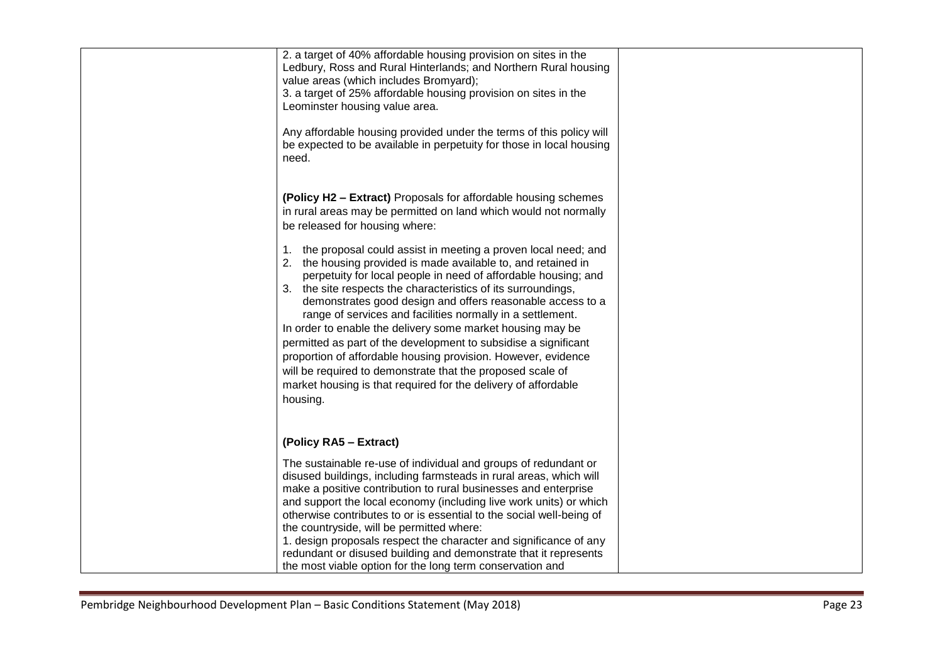| 2. a target of 40% affordable housing provision on sites in the<br>Ledbury, Ross and Rural Hinterlands; and Northern Rural housing<br>value areas (which includes Bromyard);<br>3. a target of 25% affordable housing provision on sites in the<br>Leominster housing value area.<br>Any affordable housing provided under the terms of this policy will<br>be expected to be available in perpetuity for those in local housing<br>need.                                                                                                                                                                                                                                                                                                      |  |
|------------------------------------------------------------------------------------------------------------------------------------------------------------------------------------------------------------------------------------------------------------------------------------------------------------------------------------------------------------------------------------------------------------------------------------------------------------------------------------------------------------------------------------------------------------------------------------------------------------------------------------------------------------------------------------------------------------------------------------------------|--|
| (Policy H2 - Extract) Proposals for affordable housing schemes<br>in rural areas may be permitted on land which would not normally<br>be released for housing where:                                                                                                                                                                                                                                                                                                                                                                                                                                                                                                                                                                           |  |
| 1. the proposal could assist in meeting a proven local need; and<br>2. the housing provided is made available to, and retained in<br>perpetuity for local people in need of affordable housing; and<br>3. the site respects the characteristics of its surroundings,<br>demonstrates good design and offers reasonable access to a<br>range of services and facilities normally in a settlement.<br>In order to enable the delivery some market housing may be<br>permitted as part of the development to subsidise a significant<br>proportion of affordable housing provision. However, evidence<br>will be required to demonstrate that the proposed scale of<br>market housing is that required for the delivery of affordable<br>housing. |  |
| (Policy RA5 - Extract)                                                                                                                                                                                                                                                                                                                                                                                                                                                                                                                                                                                                                                                                                                                         |  |
| The sustainable re-use of individual and groups of redundant or<br>disused buildings, including farmsteads in rural areas, which will<br>make a positive contribution to rural businesses and enterprise<br>and support the local economy (including live work units) or which<br>otherwise contributes to or is essential to the social well-being of<br>the countryside, will be permitted where:<br>1. design proposals respect the character and significance of any<br>redundant or disused building and demonstrate that it represents<br>the most viable option for the long term conservation and                                                                                                                                      |  |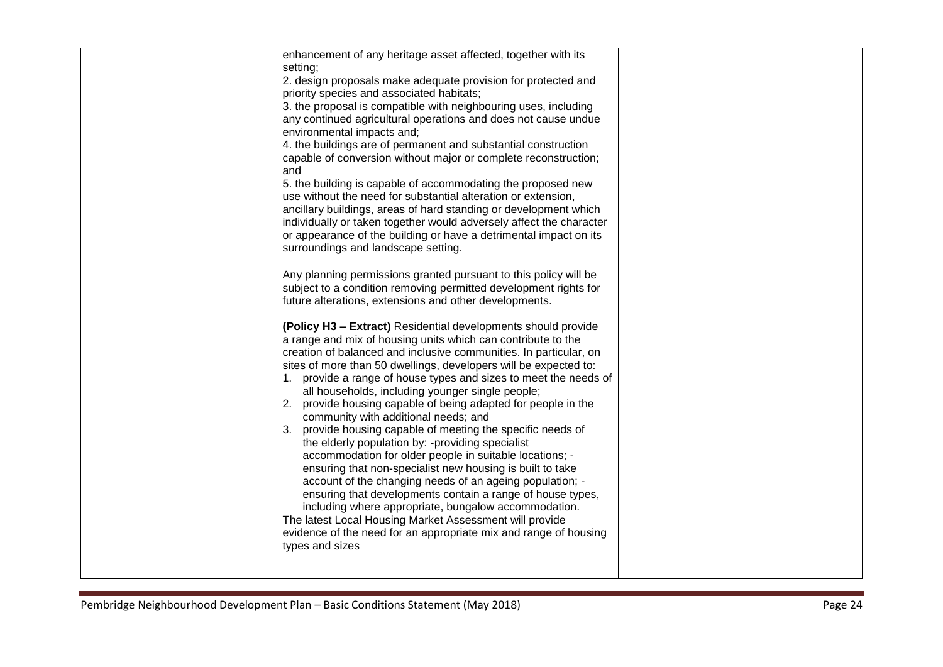| enhancement of any heritage asset affected, together with its<br>setting;<br>2. design proposals make adequate provision for protected and<br>priority species and associated habitats;<br>3. the proposal is compatible with neighbouring uses, including<br>any continued agricultural operations and does not cause undue<br>environmental impacts and;<br>4. the buildings are of permanent and substantial construction<br>capable of conversion without major or complete reconstruction;<br>and<br>5. the building is capable of accommodating the proposed new<br>use without the need for substantial alteration or extension,<br>ancillary buildings, areas of hard standing or development which<br>individually or taken together would adversely affect the character<br>or appearance of the building or have a detrimental impact on its<br>surroundings and landscape setting.<br>Any planning permissions granted pursuant to this policy will be<br>subject to a condition removing permitted development rights for<br>future alterations, extensions and other developments.<br>(Policy H3 - Extract) Residential developments should provide<br>a range and mix of housing units which can contribute to the<br>creation of balanced and inclusive communities. In particular, on<br>sites of more than 50 dwellings, developers will be expected to:<br>1. provide a range of house types and sizes to meet the needs of<br>all households, including younger single people;<br>2. provide housing capable of being adapted for people in the<br>community with additional needs; and<br>3. provide housing capable of meeting the specific needs of<br>the elderly population by: -providing specialist<br>accommodation for older people in suitable locations; -<br>ensuring that non-specialist new housing is built to take<br>account of the changing needs of an ageing population; -<br>ensuring that developments contain a range of house types,<br>including where appropriate, bungalow accommodation.<br>The latest Local Housing Market Assessment will provide<br>evidence of the need for an appropriate mix and range of housing<br>types and sizes |  |
|--------------------------------------------------------------------------------------------------------------------------------------------------------------------------------------------------------------------------------------------------------------------------------------------------------------------------------------------------------------------------------------------------------------------------------------------------------------------------------------------------------------------------------------------------------------------------------------------------------------------------------------------------------------------------------------------------------------------------------------------------------------------------------------------------------------------------------------------------------------------------------------------------------------------------------------------------------------------------------------------------------------------------------------------------------------------------------------------------------------------------------------------------------------------------------------------------------------------------------------------------------------------------------------------------------------------------------------------------------------------------------------------------------------------------------------------------------------------------------------------------------------------------------------------------------------------------------------------------------------------------------------------------------------------------------------------------------------------------------------------------------------------------------------------------------------------------------------------------------------------------------------------------------------------------------------------------------------------------------------------------------------------------------------------------------------------------------------------------------------------------------------------------------------------------------------------|--|
|                                                                                                                                                                                                                                                                                                                                                                                                                                                                                                                                                                                                                                                                                                                                                                                                                                                                                                                                                                                                                                                                                                                                                                                                                                                                                                                                                                                                                                                                                                                                                                                                                                                                                                                                                                                                                                                                                                                                                                                                                                                                                                                                                                                            |  |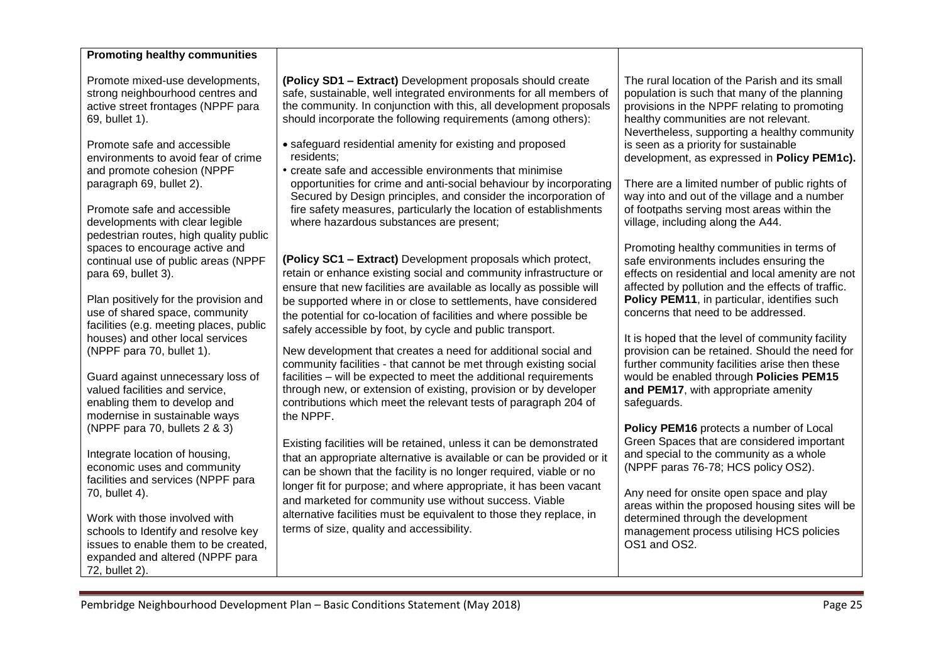| <b>Promoting healthy communities</b>                                                                                                                              |                                                                                                                                                                                                                                                                                                                                      |                                                                                                                                                                                                                                         |
|-------------------------------------------------------------------------------------------------------------------------------------------------------------------|--------------------------------------------------------------------------------------------------------------------------------------------------------------------------------------------------------------------------------------------------------------------------------------------------------------------------------------|-----------------------------------------------------------------------------------------------------------------------------------------------------------------------------------------------------------------------------------------|
| Promote mixed-use developments,<br>strong neighbourhood centres and<br>active street frontages (NPPF para<br>69, bullet 1).<br>Promote safe and accessible        | (Policy SD1 - Extract) Development proposals should create<br>safe, sustainable, well integrated environments for all members of<br>the community. In conjunction with this, all development proposals<br>should incorporate the following requirements (among others):<br>• safeguard residential amenity for existing and proposed | The rural location of the Parish and its small<br>population is such that many of the planning<br>provisions in the NPPF relating to promoting<br>healthy communities are not relevant.<br>Nevertheless, supporting a healthy community |
| environments to avoid fear of crime<br>and promote cohesion (NPPF                                                                                                 | residents;<br>• create safe and accessible environments that minimise                                                                                                                                                                                                                                                                | is seen as a priority for sustainable<br>development, as expressed in Policy PEM1c).                                                                                                                                                    |
| paragraph 69, bullet 2).<br>Promote safe and accessible<br>developments with clear legible<br>pedestrian routes, high quality public                              | opportunities for crime and anti-social behaviour by incorporating<br>Secured by Design principles, and consider the incorporation of<br>fire safety measures, particularly the location of establishments<br>where hazardous substances are present;                                                                                | There are a limited number of public rights of<br>way into and out of the village and a number<br>of footpaths serving most areas within the<br>village, including along the A44.                                                       |
| spaces to encourage active and<br>continual use of public areas (NPPF<br>para 69, bullet 3).                                                                      | (Policy SC1 - Extract) Development proposals which protect,<br>retain or enhance existing social and community infrastructure or<br>ensure that new facilities are available as locally as possible will                                                                                                                             | Promoting healthy communities in terms of<br>safe environments includes ensuring the<br>effects on residential and local amenity are not<br>affected by pollution and the effects of traffic.                                           |
| Plan positively for the provision and<br>use of shared space, community<br>facilities (e.g. meeting places, public<br>houses) and other local services            | be supported where in or close to settlements, have considered<br>the potential for co-location of facilities and where possible be<br>safely accessible by foot, by cycle and public transport.                                                                                                                                     | Policy PEM11, in particular, identifies such<br>concerns that need to be addressed.<br>It is hoped that the level of community facility                                                                                                 |
| (NPPF para 70, bullet 1).<br>Guard against unnecessary loss of<br>valued facilities and service,                                                                  | New development that creates a need for additional social and<br>community facilities - that cannot be met through existing social<br>facilities - will be expected to meet the additional requirements<br>through new, or extension of existing, provision or by developer                                                          | provision can be retained. Should the need for<br>further community facilities arise then these<br>would be enabled through Policies PEM15<br>and PEM17, with appropriate amenity                                                       |
| enabling them to develop and<br>modernise in sustainable ways                                                                                                     | contributions which meet the relevant tests of paragraph 204 of<br>the NPPF.                                                                                                                                                                                                                                                         | safeguards.                                                                                                                                                                                                                             |
| (NPPF para 70, bullets 2 & 3)<br>Integrate location of housing,<br>economic uses and community<br>facilities and services (NPPF para                              | Existing facilities will be retained, unless it can be demonstrated<br>that an appropriate alternative is available or can be provided or it<br>can be shown that the facility is no longer required, viable or no                                                                                                                   | Policy PEM16 protects a number of Local<br>Green Spaces that are considered important<br>and special to the community as a whole<br>(NPPF paras 76-78; HCS policy OS2).                                                                 |
| 70, bullet 4).                                                                                                                                                    | longer fit for purpose; and where appropriate, it has been vacant<br>and marketed for community use without success. Viable                                                                                                                                                                                                          | Any need for onsite open space and play<br>areas within the proposed housing sites will be                                                                                                                                              |
| Work with those involved with<br>schools to Identify and resolve key<br>issues to enable them to be created,<br>expanded and altered (NPPF para<br>72, bullet 2). | alternative facilities must be equivalent to those they replace, in<br>terms of size, quality and accessibility.                                                                                                                                                                                                                     | determined through the development<br>management process utilising HCS policies<br>OS1 and OS2.                                                                                                                                         |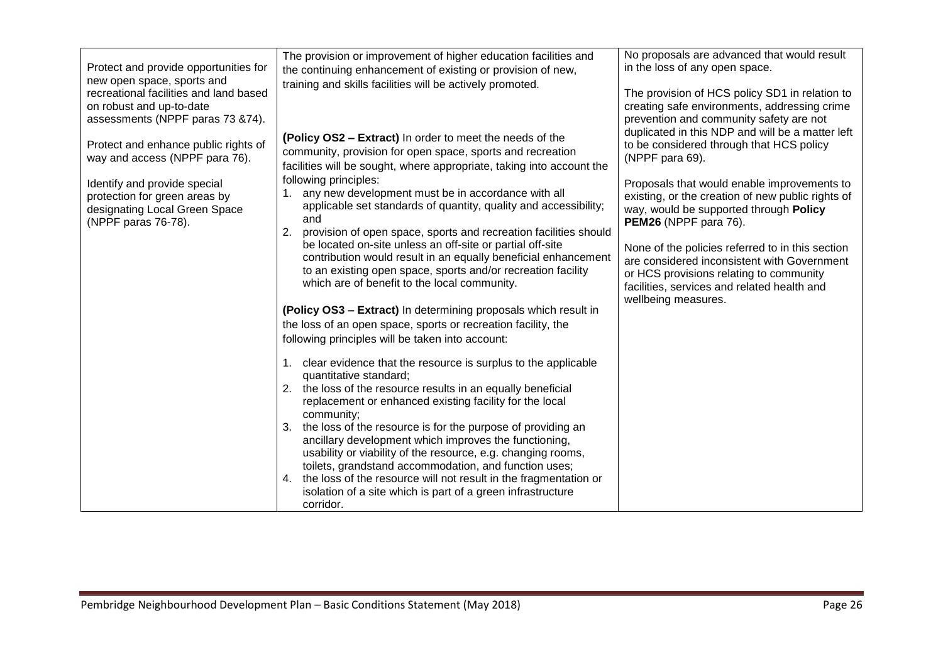| Protect and provide opportunities for<br>new open space, sports and<br>recreational facilities and land based<br>on robust and up-to-date<br>assessments (NPPF paras 73 & 74).                  | The provision or improvement of higher education facilities and<br>the continuing enhancement of existing or provision of new,<br>training and skills facilities will be actively promoted.                                                                                                                                                                                                                                                                                                                                                                                                                                                                                                                                                                                                                                                                                                                                                                                                                                                                                                                                                                                                                                                                                                                                                                                                                                                                                                                                 | No proposals are advanced that would result<br>in the loss of any open space.<br>The provision of HCS policy SD1 in relation to<br>creating safe environments, addressing crime<br>prevention and community safety are not                                                                                                                                                                                                                                                                                 |
|-------------------------------------------------------------------------------------------------------------------------------------------------------------------------------------------------|-----------------------------------------------------------------------------------------------------------------------------------------------------------------------------------------------------------------------------------------------------------------------------------------------------------------------------------------------------------------------------------------------------------------------------------------------------------------------------------------------------------------------------------------------------------------------------------------------------------------------------------------------------------------------------------------------------------------------------------------------------------------------------------------------------------------------------------------------------------------------------------------------------------------------------------------------------------------------------------------------------------------------------------------------------------------------------------------------------------------------------------------------------------------------------------------------------------------------------------------------------------------------------------------------------------------------------------------------------------------------------------------------------------------------------------------------------------------------------------------------------------------------------|------------------------------------------------------------------------------------------------------------------------------------------------------------------------------------------------------------------------------------------------------------------------------------------------------------------------------------------------------------------------------------------------------------------------------------------------------------------------------------------------------------|
| Protect and enhance public rights of<br>way and access (NPPF para 76).<br>Identify and provide special<br>protection for green areas by<br>designating Local Green Space<br>(NPPF paras 76-78). | (Policy OS2 – Extract) In order to meet the needs of the<br>community, provision for open space, sports and recreation<br>facilities will be sought, where appropriate, taking into account the<br>following principles:<br>1. any new development must be in accordance with all<br>applicable set standards of quantity, quality and accessibility;<br>and<br>2.<br>provision of open space, sports and recreation facilities should<br>be located on-site unless an off-site or partial off-site<br>contribution would result in an equally beneficial enhancement<br>to an existing open space, sports and/or recreation facility<br>which are of benefit to the local community.<br>(Policy OS3 - Extract) In determining proposals which result in<br>the loss of an open space, sports or recreation facility, the<br>following principles will be taken into account:<br>1. clear evidence that the resource is surplus to the applicable<br>quantitative standard;<br>2. the loss of the resource results in an equally beneficial<br>replacement or enhanced existing facility for the local<br>community;<br>3. the loss of the resource is for the purpose of providing an<br>ancillary development which improves the functioning,<br>usability or viability of the resource, e.g. changing rooms,<br>toilets, grandstand accommodation, and function uses;<br>4. the loss of the resource will not result in the fragmentation or<br>isolation of a site which is part of a green infrastructure<br>corridor. | duplicated in this NDP and will be a matter left<br>to be considered through that HCS policy<br>(NPPF para 69).<br>Proposals that would enable improvements to<br>existing, or the creation of new public rights of<br>way, would be supported through Policy<br>PEM26 (NPPF para 76).<br>None of the policies referred to in this section<br>are considered inconsistent with Government<br>or HCS provisions relating to community<br>facilities, services and related health and<br>wellbeing measures. |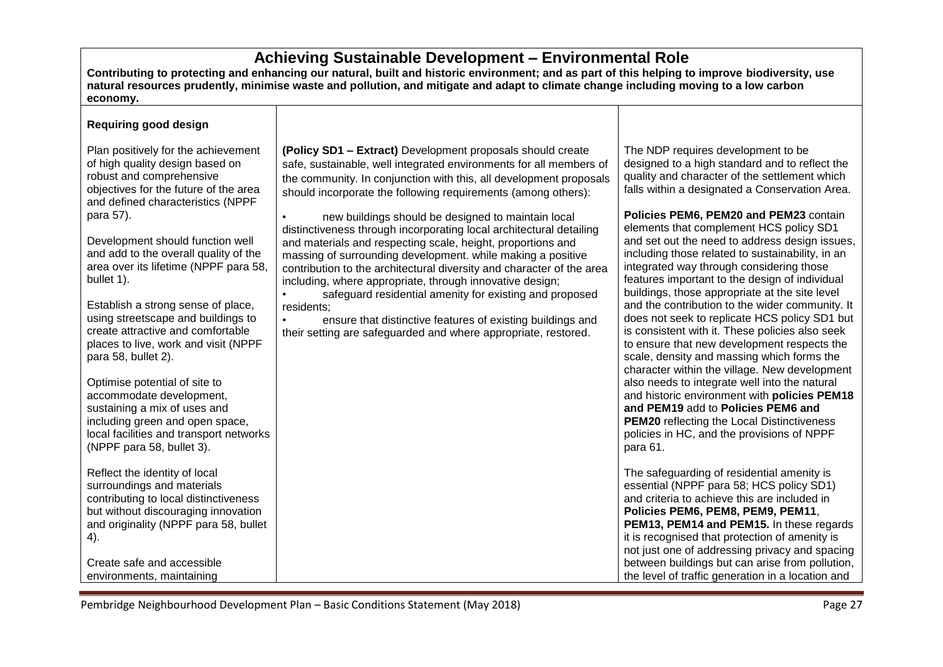## **Achieving Sustainable Development – Environmental Role**

**Contributing to protecting and enhancing our natural, built and historic environment; and as part of this helping to improve biodiversity, use natural resources prudently, minimise waste and pollution, and mitigate and adapt to climate change including moving to a low carbon economy.**

#### **Requiring good design**

Plan positively for the achievement of high quality design based on robust and comprehensive objectives for the future of the area and defined characteristics (NPPF para 57).

Development should function well and add to the overall quality of the area over its lifetime (NPPF para 58, bullet 1).

Establish a strong sense of place, using streetscape and buildings to create attractive and comfortable places to live, work and visit (NPPF para 58, bullet 2).

Optimise potential of site to accommodate development, sustaining a mix of uses and including green and open space, local facilities and transport networks (NPPF para 58, bullet 3).

Reflect the identity of local surroundings and materials contributing to local distinctiveness but without discouraging innovation and originality (NPPF para 58, bullet 4).

Create safe and accessible environments, maintaining

**(Policy SD1 – Extract)** Development proposals should create safe, sustainable, well integrated environments for all members of the community. In conjunction with this, all development proposals should incorporate the following requirements (among others):

• new buildings should be designed to maintain local distinctiveness through incorporating local architectural detailing and materials and respecting scale, height, proportions and massing of surrounding development. while making a positive contribution to the architectural diversity and character of the area including, where appropriate, through innovative design;

safeguard residential amenity for existing and proposed residents;

ensure that distinctive features of existing buildings and their setting are safeguarded and where appropriate, restored.

The NDP requires development to be designed to a high standard and to reflect the quality and character of the settlement which falls within a designated a Conservation Area.

**Policies PEM6, PEM20 and PEM23** contain elements that complement HCS policy SD1 and set out the need to address design issues, including those related to sustainability, in an integrated way through considering those features important to the design of individual buildings, those appropriate at the site level and the contribution to the wider community. It does not seek to replicate HCS policy SD1 but is consistent with it. These policies also seek to ensure that new development respects the scale, density and massing which forms the character within the village. New development also needs to integrate well into the natural and historic environment with **policies PEM18 and PEM19** add to **Policies PEM6 and PEM20** reflecting the Local Distinctiveness policies in HC, and the provisions of NPPF para 61.

The safeguarding of residential amenity is essential (NPPF para 58; HCS policy SD1) and criteria to achieve this are included in **Policies PEM6, PEM8, PEM9, PEM11**, **PEM13, PEM14 and PEM15.** In these regards it is recognised that protection of amenity is not just one of addressing privacy and spacing between buildings but can arise from pollution, the level of traffic generation in a location and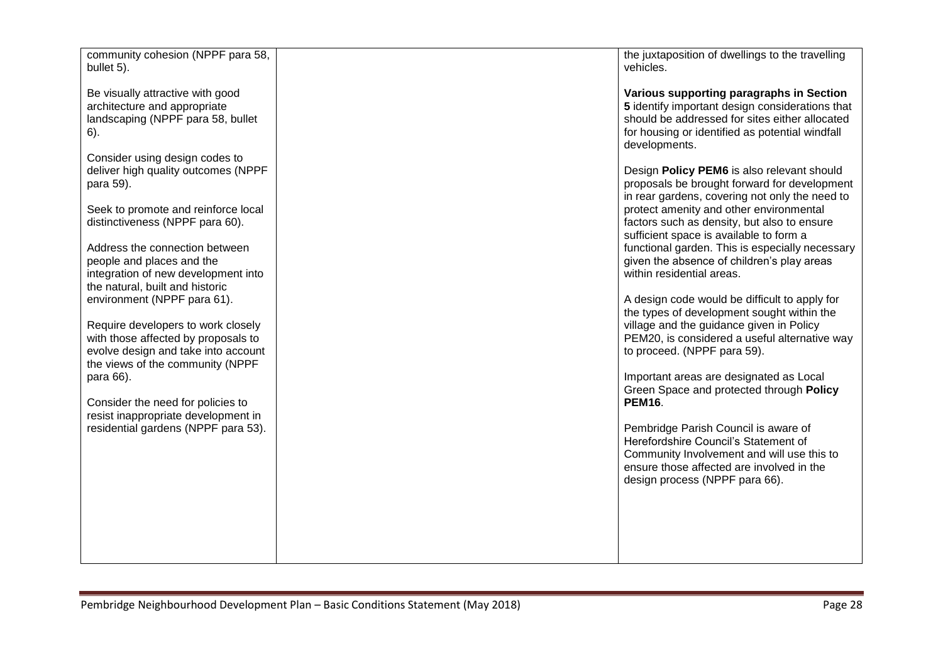| community cohesion (NPPF para 58,<br>bullet 5).                                                                                       | the juxtaposition of dwellings to the travelling<br>vehicles.                                                                                                                                                     |
|---------------------------------------------------------------------------------------------------------------------------------------|-------------------------------------------------------------------------------------------------------------------------------------------------------------------------------------------------------------------|
| Be visually attractive with good<br>architecture and appropriate<br>landscaping (NPPF para 58, bullet<br>6).                          | Various supporting paragraphs in Section<br>5 identify important design considerations that<br>should be addressed for sites either allocated<br>for housing or identified as potential windfall<br>developments. |
| Consider using design codes to<br>deliver high quality outcomes (NPPF<br>para 59).                                                    | Design Policy PEM6 is also relevant should<br>proposals be brought forward for development<br>in rear gardens, covering not only the need to                                                                      |
| Seek to promote and reinforce local<br>distinctiveness (NPPF para 60).                                                                | protect amenity and other environmental<br>factors such as density, but also to ensure<br>sufficient space is available to form a                                                                                 |
| Address the connection between<br>people and places and the<br>integration of new development into<br>the natural, built and historic | functional garden. This is especially necessary<br>given the absence of children's play areas<br>within residential areas.                                                                                        |
| environment (NPPF para 61).<br>Require developers to work closely                                                                     | A design code would be difficult to apply for<br>the types of development sought within the<br>village and the guidance given in Policy                                                                           |
| with those affected by proposals to<br>evolve design and take into account<br>the views of the community (NPPF                        | PEM20, is considered a useful alternative way<br>to proceed. (NPPF para 59).                                                                                                                                      |
| para 66).<br>Consider the need for policies to<br>resist inappropriate development in                                                 | Important areas are designated as Local<br>Green Space and protected through Policy<br><b>PEM16.</b>                                                                                                              |
| residential gardens (NPPF para 53).                                                                                                   | Pembridge Parish Council is aware of<br>Herefordshire Council's Statement of<br>Community Involvement and will use this to<br>ensure those affected are involved in the<br>design process (NPPF para 66).         |
|                                                                                                                                       |                                                                                                                                                                                                                   |
|                                                                                                                                       |                                                                                                                                                                                                                   |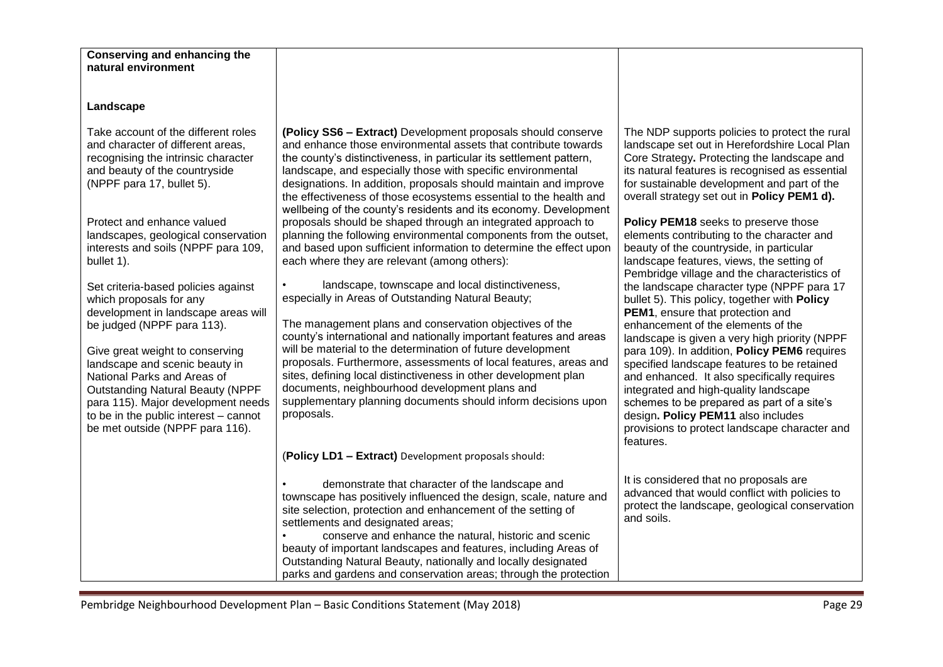| <b>Conserving and enhancing the</b><br>natural environment                                                                                                                                                                                                                                                                                                                                                                                                                                                                                                                                                                                                                                                      |                                                                                                                                                                                                                                                                                                                                                                                                                                                                                                                                                                                                                                                                                                                                                                                                                                                                                                                                                                                                                                                                                                                                                                                                                                                                                                                              |                                                                                                                                                                                                                                                                                                                                                                                                                                                                                                                                                                                                                                                                                                                                                                                                                                                                                                                                                                                                                                                                                     |
|-----------------------------------------------------------------------------------------------------------------------------------------------------------------------------------------------------------------------------------------------------------------------------------------------------------------------------------------------------------------------------------------------------------------------------------------------------------------------------------------------------------------------------------------------------------------------------------------------------------------------------------------------------------------------------------------------------------------|------------------------------------------------------------------------------------------------------------------------------------------------------------------------------------------------------------------------------------------------------------------------------------------------------------------------------------------------------------------------------------------------------------------------------------------------------------------------------------------------------------------------------------------------------------------------------------------------------------------------------------------------------------------------------------------------------------------------------------------------------------------------------------------------------------------------------------------------------------------------------------------------------------------------------------------------------------------------------------------------------------------------------------------------------------------------------------------------------------------------------------------------------------------------------------------------------------------------------------------------------------------------------------------------------------------------------|-------------------------------------------------------------------------------------------------------------------------------------------------------------------------------------------------------------------------------------------------------------------------------------------------------------------------------------------------------------------------------------------------------------------------------------------------------------------------------------------------------------------------------------------------------------------------------------------------------------------------------------------------------------------------------------------------------------------------------------------------------------------------------------------------------------------------------------------------------------------------------------------------------------------------------------------------------------------------------------------------------------------------------------------------------------------------------------|
|                                                                                                                                                                                                                                                                                                                                                                                                                                                                                                                                                                                                                                                                                                                 |                                                                                                                                                                                                                                                                                                                                                                                                                                                                                                                                                                                                                                                                                                                                                                                                                                                                                                                                                                                                                                                                                                                                                                                                                                                                                                                              |                                                                                                                                                                                                                                                                                                                                                                                                                                                                                                                                                                                                                                                                                                                                                                                                                                                                                                                                                                                                                                                                                     |
| Landscape                                                                                                                                                                                                                                                                                                                                                                                                                                                                                                                                                                                                                                                                                                       |                                                                                                                                                                                                                                                                                                                                                                                                                                                                                                                                                                                                                                                                                                                                                                                                                                                                                                                                                                                                                                                                                                                                                                                                                                                                                                                              |                                                                                                                                                                                                                                                                                                                                                                                                                                                                                                                                                                                                                                                                                                                                                                                                                                                                                                                                                                                                                                                                                     |
| Take account of the different roles<br>and character of different areas,<br>recognising the intrinsic character<br>and beauty of the countryside<br>(NPPF para 17, bullet 5).<br>Protect and enhance valued<br>landscapes, geological conservation<br>interests and soils (NPPF para 109,<br>bullet 1).<br>Set criteria-based policies against<br>which proposals for any<br>development in landscape areas will<br>be judged (NPPF para 113).<br>Give great weight to conserving<br>landscape and scenic beauty in<br>National Parks and Areas of<br><b>Outstanding Natural Beauty (NPPF</b><br>para 115). Major development needs<br>to be in the public interest - cannot<br>be met outside (NPPF para 116). | (Policy SS6 - Extract) Development proposals should conserve<br>and enhance those environmental assets that contribute towards<br>the county's distinctiveness, in particular its settlement pattern,<br>landscape, and especially those with specific environmental<br>designations. In addition, proposals should maintain and improve<br>the effectiveness of those ecosystems essential to the health and<br>wellbeing of the county's residents and its economy. Development<br>proposals should be shaped through an integrated approach to<br>planning the following environmental components from the outset,<br>and based upon sufficient information to determine the effect upon<br>each where they are relevant (among others):<br>landscape, townscape and local distinctiveness,<br>especially in Areas of Outstanding Natural Beauty;<br>The management plans and conservation objectives of the<br>county's international and nationally important features and areas<br>will be material to the determination of future development<br>proposals. Furthermore, assessments of local features, areas and<br>sites, defining local distinctiveness in other development plan<br>documents, neighbourhood development plans and<br>supplementary planning documents should inform decisions upon<br>proposals. | The NDP supports policies to protect the rural<br>landscape set out in Herefordshire Local Plan<br>Core Strategy. Protecting the landscape and<br>its natural features is recognised as essential<br>for sustainable development and part of the<br>overall strategy set out in Policy PEM1 d).<br>Policy PEM18 seeks to preserve those<br>elements contributing to the character and<br>beauty of the countryside, in particular<br>landscape features, views, the setting of<br>Pembridge village and the characteristics of<br>the landscape character type (NPPF para 17<br>bullet 5). This policy, together with Policy<br>PEM1, ensure that protection and<br>enhancement of the elements of the<br>landscape is given a very high priority (NPPF<br>para 109). In addition, Policy PEM6 requires<br>specified landscape features to be retained<br>and enhanced. It also specifically requires<br>integrated and high-quality landscape<br>schemes to be prepared as part of a site's<br>design. Policy PEM11 also includes<br>provisions to protect landscape character and |
|                                                                                                                                                                                                                                                                                                                                                                                                                                                                                                                                                                                                                                                                                                                 |                                                                                                                                                                                                                                                                                                                                                                                                                                                                                                                                                                                                                                                                                                                                                                                                                                                                                                                                                                                                                                                                                                                                                                                                                                                                                                                              | features.                                                                                                                                                                                                                                                                                                                                                                                                                                                                                                                                                                                                                                                                                                                                                                                                                                                                                                                                                                                                                                                                           |
|                                                                                                                                                                                                                                                                                                                                                                                                                                                                                                                                                                                                                                                                                                                 | (Policy LD1 - Extract) Development proposals should:                                                                                                                                                                                                                                                                                                                                                                                                                                                                                                                                                                                                                                                                                                                                                                                                                                                                                                                                                                                                                                                                                                                                                                                                                                                                         |                                                                                                                                                                                                                                                                                                                                                                                                                                                                                                                                                                                                                                                                                                                                                                                                                                                                                                                                                                                                                                                                                     |
|                                                                                                                                                                                                                                                                                                                                                                                                                                                                                                                                                                                                                                                                                                                 | demonstrate that character of the landscape and<br>townscape has positively influenced the design, scale, nature and<br>site selection, protection and enhancement of the setting of<br>settlements and designated areas;                                                                                                                                                                                                                                                                                                                                                                                                                                                                                                                                                                                                                                                                                                                                                                                                                                                                                                                                                                                                                                                                                                    | It is considered that no proposals are<br>advanced that would conflict with policies to<br>protect the landscape, geological conservation<br>and soils.                                                                                                                                                                                                                                                                                                                                                                                                                                                                                                                                                                                                                                                                                                                                                                                                                                                                                                                             |
|                                                                                                                                                                                                                                                                                                                                                                                                                                                                                                                                                                                                                                                                                                                 | conserve and enhance the natural, historic and scenic<br>beauty of important landscapes and features, including Areas of                                                                                                                                                                                                                                                                                                                                                                                                                                                                                                                                                                                                                                                                                                                                                                                                                                                                                                                                                                                                                                                                                                                                                                                                     |                                                                                                                                                                                                                                                                                                                                                                                                                                                                                                                                                                                                                                                                                                                                                                                                                                                                                                                                                                                                                                                                                     |
|                                                                                                                                                                                                                                                                                                                                                                                                                                                                                                                                                                                                                                                                                                                 | Outstanding Natural Beauty, nationally and locally designated<br>parks and gardens and conservation areas; through the protection                                                                                                                                                                                                                                                                                                                                                                                                                                                                                                                                                                                                                                                                                                                                                                                                                                                                                                                                                                                                                                                                                                                                                                                            |                                                                                                                                                                                                                                                                                                                                                                                                                                                                                                                                                                                                                                                                                                                                                                                                                                                                                                                                                                                                                                                                                     |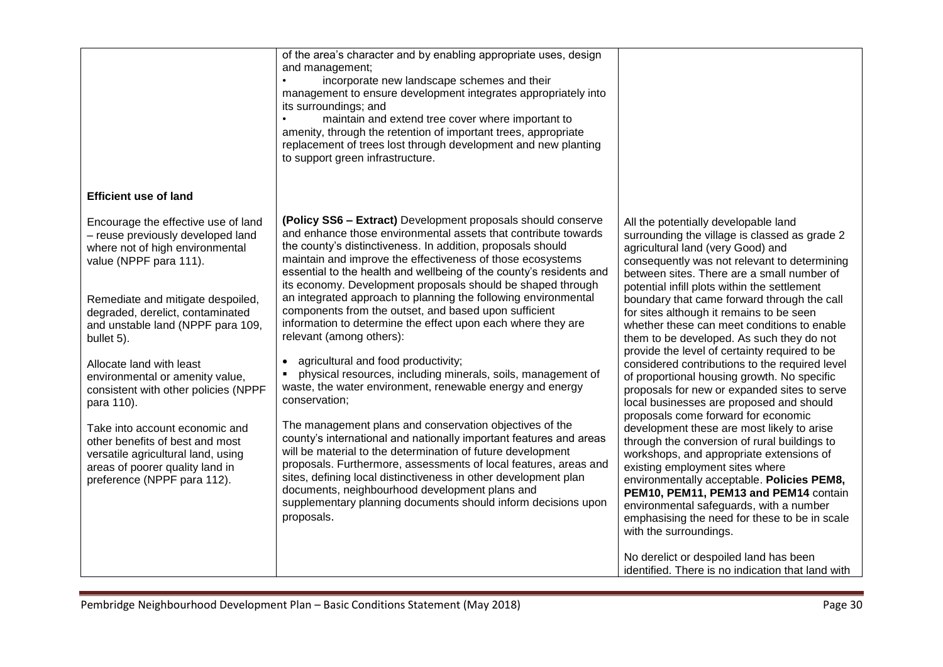|                                                                                                                                                                                                                                                                                                                                                                                                                                                                                                                                                                     | of the area's character and by enabling appropriate uses, design<br>and management;<br>incorporate new landscape schemes and their<br>management to ensure development integrates appropriately into<br>its surroundings; and<br>$\bullet$<br>maintain and extend tree cover where important to<br>amenity, through the retention of important trees, appropriate<br>replacement of trees lost through development and new planting<br>to support green infrastructure.                                                                                                                                                                                                                                                                                                                                                                                                                                                                                                                                                                                                                                                                                                                                                                                                                            |                                                                                                                                                                                                                                                                                                                                                                                                                                                                                                                                                                                                                                                                                                                                                                                                                                                                                                                                                                                                                                                                                                                      |
|---------------------------------------------------------------------------------------------------------------------------------------------------------------------------------------------------------------------------------------------------------------------------------------------------------------------------------------------------------------------------------------------------------------------------------------------------------------------------------------------------------------------------------------------------------------------|----------------------------------------------------------------------------------------------------------------------------------------------------------------------------------------------------------------------------------------------------------------------------------------------------------------------------------------------------------------------------------------------------------------------------------------------------------------------------------------------------------------------------------------------------------------------------------------------------------------------------------------------------------------------------------------------------------------------------------------------------------------------------------------------------------------------------------------------------------------------------------------------------------------------------------------------------------------------------------------------------------------------------------------------------------------------------------------------------------------------------------------------------------------------------------------------------------------------------------------------------------------------------------------------------|----------------------------------------------------------------------------------------------------------------------------------------------------------------------------------------------------------------------------------------------------------------------------------------------------------------------------------------------------------------------------------------------------------------------------------------------------------------------------------------------------------------------------------------------------------------------------------------------------------------------------------------------------------------------------------------------------------------------------------------------------------------------------------------------------------------------------------------------------------------------------------------------------------------------------------------------------------------------------------------------------------------------------------------------------------------------------------------------------------------------|
| <b>Efficient use of land</b>                                                                                                                                                                                                                                                                                                                                                                                                                                                                                                                                        |                                                                                                                                                                                                                                                                                                                                                                                                                                                                                                                                                                                                                                                                                                                                                                                                                                                                                                                                                                                                                                                                                                                                                                                                                                                                                                    |                                                                                                                                                                                                                                                                                                                                                                                                                                                                                                                                                                                                                                                                                                                                                                                                                                                                                                                                                                                                                                                                                                                      |
| Encourage the effective use of land<br>- reuse previously developed land<br>where not of high environmental<br>value (NPPF para 111).<br>Remediate and mitigate despoiled,<br>degraded, derelict, contaminated<br>and unstable land (NPPF para 109,<br>bullet 5).<br>Allocate land with least<br>environmental or amenity value,<br>consistent with other policies (NPPF<br>para 110).<br>Take into account economic and<br>other benefits of best and most<br>versatile agricultural land, using<br>areas of poorer quality land in<br>preference (NPPF para 112). | (Policy SS6 - Extract) Development proposals should conserve<br>and enhance those environmental assets that contribute towards<br>the county's distinctiveness. In addition, proposals should<br>maintain and improve the effectiveness of those ecosystems<br>essential to the health and wellbeing of the county's residents and<br>its economy. Development proposals should be shaped through<br>an integrated approach to planning the following environmental<br>components from the outset, and based upon sufficient<br>information to determine the effect upon each where they are<br>relevant (among others):<br>agricultural and food productivity;<br>$\bullet$<br>physical resources, including minerals, soils, management of<br>waste, the water environment, renewable energy and energy<br>conservation;<br>The management plans and conservation objectives of the<br>county's international and nationally important features and areas<br>will be material to the determination of future development<br>proposals. Furthermore, assessments of local features, areas and<br>sites, defining local distinctiveness in other development plan<br>documents, neighbourhood development plans and<br>supplementary planning documents should inform decisions upon<br>proposals. | All the potentially developable land<br>surrounding the village is classed as grade 2<br>agricultural land (very Good) and<br>consequently was not relevant to determining<br>between sites. There are a small number of<br>potential infill plots within the settlement<br>boundary that came forward through the call<br>for sites although it remains to be seen<br>whether these can meet conditions to enable<br>them to be developed. As such they do not<br>provide the level of certainty required to be<br>considered contributions to the required level<br>of proportional housing growth. No specific<br>proposals for new or expanded sites to serve<br>local businesses are proposed and should<br>proposals come forward for economic<br>development these are most likely to arise<br>through the conversion of rural buildings to<br>workshops, and appropriate extensions of<br>existing employment sites where<br>environmentally acceptable. Policies PEM8,<br>PEM10, PEM11, PEM13 and PEM14 contain<br>environmental safeguards, with a number<br>emphasising the need for these to be in scale |
|                                                                                                                                                                                                                                                                                                                                                                                                                                                                                                                                                                     |                                                                                                                                                                                                                                                                                                                                                                                                                                                                                                                                                                                                                                                                                                                                                                                                                                                                                                                                                                                                                                                                                                                                                                                                                                                                                                    | with the surroundings.<br>No derelict or despoiled land has been<br>identified. There is no indication that land with                                                                                                                                                                                                                                                                                                                                                                                                                                                                                                                                                                                                                                                                                                                                                                                                                                                                                                                                                                                                |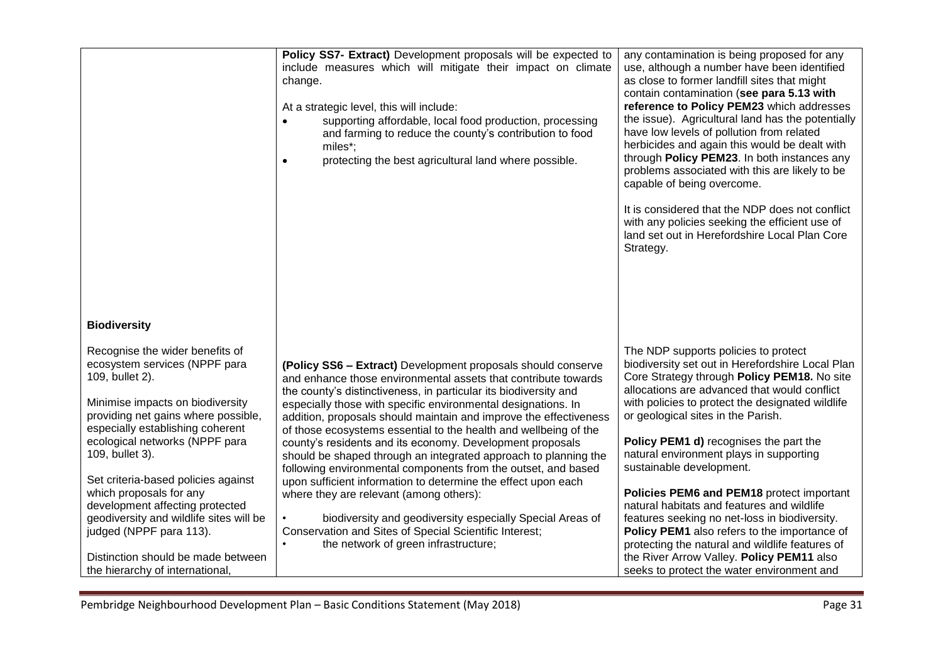|                                                                                                                                                                                                                                                                                                                                                                                                                                                                          | Policy SS7- Extract) Development proposals will be expected to<br>include measures which will mitigate their impact on climate<br>change.<br>At a strategic level, this will include:<br>supporting affordable, local food production, processing<br>$\bullet$<br>and farming to reduce the county's contribution to food<br>miles*;<br>protecting the best agricultural land where possible.<br>$\bullet$                                                                                                                                                                                                                                                                                                                                                                                                                                                                                            | any contamination is being proposed for any<br>use, although a number have been identified<br>as close to former landfill sites that might<br>contain contamination (see para 5.13 with<br>reference to Policy PEM23 which addresses<br>the issue). Agricultural land has the potentially<br>have low levels of pollution from related<br>herbicides and again this would be dealt with<br>through Policy PEM23. In both instances any<br>problems associated with this are likely to be<br>capable of being overcome.<br>It is considered that the NDP does not conflict<br>with any policies seeking the efficient use of<br>land set out in Herefordshire Local Plan Core<br>Strategy.      |
|--------------------------------------------------------------------------------------------------------------------------------------------------------------------------------------------------------------------------------------------------------------------------------------------------------------------------------------------------------------------------------------------------------------------------------------------------------------------------|-------------------------------------------------------------------------------------------------------------------------------------------------------------------------------------------------------------------------------------------------------------------------------------------------------------------------------------------------------------------------------------------------------------------------------------------------------------------------------------------------------------------------------------------------------------------------------------------------------------------------------------------------------------------------------------------------------------------------------------------------------------------------------------------------------------------------------------------------------------------------------------------------------|------------------------------------------------------------------------------------------------------------------------------------------------------------------------------------------------------------------------------------------------------------------------------------------------------------------------------------------------------------------------------------------------------------------------------------------------------------------------------------------------------------------------------------------------------------------------------------------------------------------------------------------------------------------------------------------------|
| <b>Biodiversity</b>                                                                                                                                                                                                                                                                                                                                                                                                                                                      |                                                                                                                                                                                                                                                                                                                                                                                                                                                                                                                                                                                                                                                                                                                                                                                                                                                                                                       |                                                                                                                                                                                                                                                                                                                                                                                                                                                                                                                                                                                                                                                                                                |
| Recognise the wider benefits of<br>ecosystem services (NPPF para<br>109, bullet 2).<br>Minimise impacts on biodiversity<br>providing net gains where possible,<br>especially establishing coherent<br>ecological networks (NPPF para<br>109, bullet 3).<br>Set criteria-based policies against<br>which proposals for any<br>development affecting protected<br>geodiversity and wildlife sites will be<br>judged (NPPF para 113).<br>Distinction should be made between | (Policy SS6 - Extract) Development proposals should conserve<br>and enhance those environmental assets that contribute towards<br>the county's distinctiveness, in particular its biodiversity and<br>especially those with specific environmental designations. In<br>addition, proposals should maintain and improve the effectiveness<br>of those ecosystems essential to the health and wellbeing of the<br>county's residents and its economy. Development proposals<br>should be shaped through an integrated approach to planning the<br>following environmental components from the outset, and based<br>upon sufficient information to determine the effect upon each<br>where they are relevant (among others):<br>biodiversity and geodiversity especially Special Areas of<br>Conservation and Sites of Special Scientific Interest;<br>the network of green infrastructure;<br>$\bullet$ | The NDP supports policies to protect<br>biodiversity set out in Herefordshire Local Plan<br>Core Strategy through Policy PEM18. No site<br>allocations are advanced that would conflict<br>with policies to protect the designated wildlife<br>or geological sites in the Parish.<br>Policy PEM1 d) recognises the part the<br>natural environment plays in supporting<br>sustainable development.<br>Policies PEM6 and PEM18 protect important<br>natural habitats and features and wildlife<br>features seeking no net-loss in biodiversity.<br>Policy PEM1 also refers to the importance of<br>protecting the natural and wildlife features of<br>the River Arrow Valley. Policy PEM11 also |
| the hierarchy of international,                                                                                                                                                                                                                                                                                                                                                                                                                                          |                                                                                                                                                                                                                                                                                                                                                                                                                                                                                                                                                                                                                                                                                                                                                                                                                                                                                                       | seeks to protect the water environment and                                                                                                                                                                                                                                                                                                                                                                                                                                                                                                                                                                                                                                                     |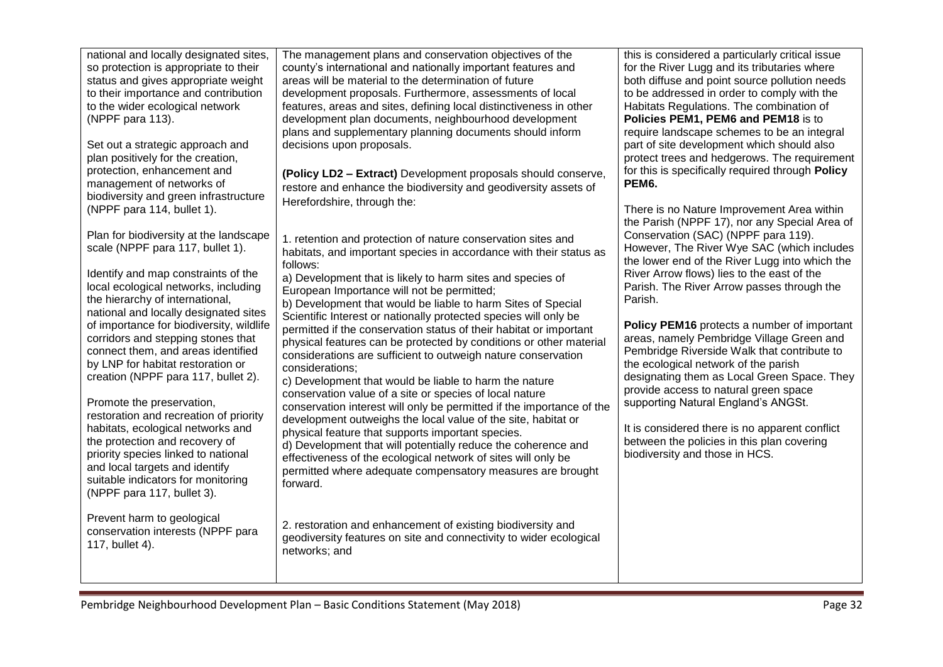| national and locally designated sites,<br>so protection is appropriate to their<br>status and gives appropriate weight<br>to their importance and contribution<br>to the wider ecological network<br>(NPPF para 113).<br>Set out a strategic approach and<br>plan positively for the creation,<br>protection, enhancement and<br>management of networks of<br>biodiversity and green infrastructure<br>(NPPF para 114, bullet 1).<br>Plan for biodiversity at the landscape<br>scale (NPPF para 117, bullet 1).<br>Identify and map constraints of the<br>local ecological networks, including<br>the hierarchy of international,<br>national and locally designated sites<br>of importance for biodiversity, wildlife<br>corridors and stepping stones that<br>connect them, and areas identified<br>by LNP for habitat restoration or<br>creation (NPPF para 117, bullet 2).<br>Promote the preservation,<br>restoration and recreation of priority<br>habitats, ecological networks and<br>the protection and recovery of<br>priority species linked to national<br>and local targets and identify<br>suitable indicators for monitoring<br>(NPPF para 117, bullet 3).<br>Prevent harm to geological<br>conservation interests (NPPF para<br>117, bullet 4). | The management plans and conservation objectives of the<br>county's international and nationally important features and<br>areas will be material to the determination of future<br>development proposals. Furthermore, assessments of local<br>features, areas and sites, defining local distinctiveness in other<br>development plan documents, neighbourhood development<br>plans and supplementary planning documents should inform<br>decisions upon proposals.<br>(Policy LD2 - Extract) Development proposals should conserve,<br>restore and enhance the biodiversity and geodiversity assets of<br>Herefordshire, through the:<br>1. retention and protection of nature conservation sites and<br>habitats, and important species in accordance with their status as<br>follows:<br>a) Development that is likely to harm sites and species of<br>European Importance will not be permitted;<br>b) Development that would be liable to harm Sites of Special<br>Scientific Interest or nationally protected species will only be<br>permitted if the conservation status of their habitat or important<br>physical features can be protected by conditions or other material<br>considerations are sufficient to outweigh nature conservation<br>considerations;<br>c) Development that would be liable to harm the nature<br>conservation value of a site or species of local nature<br>conservation interest will only be permitted if the importance of the<br>development outweighs the local value of the site, habitat or<br>physical feature that supports important species.<br>d) Development that will potentially reduce the coherence and<br>effectiveness of the ecological network of sites will only be<br>permitted where adequate compensatory measures are brought<br>forward.<br>2. restoration and enhancement of existing biodiversity and<br>geodiversity features on site and connectivity to wider ecological<br>networks; and | this is considered a particularly critical issue<br>for the River Lugg and its tributaries where<br>both diffuse and point source pollution needs<br>to be addressed in order to comply with the<br>Habitats Regulations. The combination of<br>Policies PEM1, PEM6 and PEM18 is to<br>require landscape schemes to be an integral<br>part of site development which should also<br>protect trees and hedgerows. The requirement<br>for this is specifically required through Policy<br>PEM6.<br>There is no Nature Improvement Area within<br>the Parish (NPPF 17), nor any Special Area of<br>Conservation (SAC) (NPPF para 119).<br>However, The River Wye SAC (which includes<br>the lower end of the River Lugg into which the<br>River Arrow flows) lies to the east of the<br>Parish. The River Arrow passes through the<br>Parish.<br>Policy PEM16 protects a number of important<br>areas, namely Pembridge Village Green and<br>Pembridge Riverside Walk that contribute to<br>the ecological network of the parish<br>designating them as Local Green Space. They<br>provide access to natural green space<br>supporting Natural England's ANGSt.<br>It is considered there is no apparent conflict<br>between the policies in this plan covering<br>biodiversity and those in HCS. |
|-----------------------------------------------------------------------------------------------------------------------------------------------------------------------------------------------------------------------------------------------------------------------------------------------------------------------------------------------------------------------------------------------------------------------------------------------------------------------------------------------------------------------------------------------------------------------------------------------------------------------------------------------------------------------------------------------------------------------------------------------------------------------------------------------------------------------------------------------------------------------------------------------------------------------------------------------------------------------------------------------------------------------------------------------------------------------------------------------------------------------------------------------------------------------------------------------------------------------------------------------------------------|-----------------------------------------------------------------------------------------------------------------------------------------------------------------------------------------------------------------------------------------------------------------------------------------------------------------------------------------------------------------------------------------------------------------------------------------------------------------------------------------------------------------------------------------------------------------------------------------------------------------------------------------------------------------------------------------------------------------------------------------------------------------------------------------------------------------------------------------------------------------------------------------------------------------------------------------------------------------------------------------------------------------------------------------------------------------------------------------------------------------------------------------------------------------------------------------------------------------------------------------------------------------------------------------------------------------------------------------------------------------------------------------------------------------------------------------------------------------------------------------------------------------------------------------------------------------------------------------------------------------------------------------------------------------------------------------------------------------------------------------------------------------------------------------------------------------------------------------------------------------------------------------------------------------------------------------------------------------|------------------------------------------------------------------------------------------------------------------------------------------------------------------------------------------------------------------------------------------------------------------------------------------------------------------------------------------------------------------------------------------------------------------------------------------------------------------------------------------------------------------------------------------------------------------------------------------------------------------------------------------------------------------------------------------------------------------------------------------------------------------------------------------------------------------------------------------------------------------------------------------------------------------------------------------------------------------------------------------------------------------------------------------------------------------------------------------------------------------------------------------------------------------------------------------------------------------------------------------------------------------------------------------------|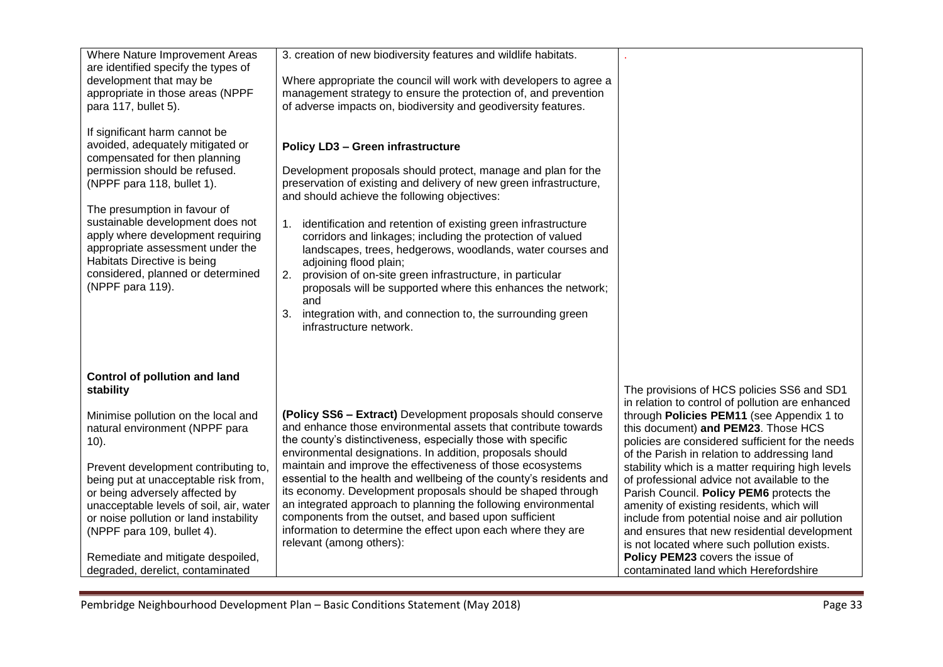| Where Nature Improvement Areas<br>are identified specify the types of<br>development that may be<br>appropriate in those areas (NPPF<br>para 117, bullet 5).<br>If significant harm cannot be<br>avoided, adequately mitigated or<br>compensated for then planning<br>permission should be refused.<br>(NPPF para 118, bullet 1).<br>The presumption in favour of<br>sustainable development does not<br>apply where development requiring<br>appropriate assessment under the<br>Habitats Directive is being<br>considered, planned or determined<br>(NPPF para 119). | 3. creation of new biodiversity features and wildlife habitats.<br>Where appropriate the council will work with developers to agree a<br>management strategy to ensure the protection of, and prevention<br>of adverse impacts on, biodiversity and geodiversity features.<br><b>Policy LD3 - Green infrastructure</b><br>Development proposals should protect, manage and plan for the<br>preservation of existing and delivery of new green infrastructure,<br>and should achieve the following objectives:<br>1. identification and retention of existing green infrastructure<br>corridors and linkages; including the protection of valued<br>landscapes, trees, hedgerows, woodlands, water courses and<br>adjoining flood plain;<br>2.<br>provision of on-site green infrastructure, in particular<br>proposals will be supported where this enhances the network;<br>and<br>3. integration with, and connection to, the surrounding green<br>infrastructure network. |                                                                                                                                                                                                                                                                                                                                                                                                                                                                                                                                                                                                                                                                                                                   |
|------------------------------------------------------------------------------------------------------------------------------------------------------------------------------------------------------------------------------------------------------------------------------------------------------------------------------------------------------------------------------------------------------------------------------------------------------------------------------------------------------------------------------------------------------------------------|------------------------------------------------------------------------------------------------------------------------------------------------------------------------------------------------------------------------------------------------------------------------------------------------------------------------------------------------------------------------------------------------------------------------------------------------------------------------------------------------------------------------------------------------------------------------------------------------------------------------------------------------------------------------------------------------------------------------------------------------------------------------------------------------------------------------------------------------------------------------------------------------------------------------------------------------------------------------------|-------------------------------------------------------------------------------------------------------------------------------------------------------------------------------------------------------------------------------------------------------------------------------------------------------------------------------------------------------------------------------------------------------------------------------------------------------------------------------------------------------------------------------------------------------------------------------------------------------------------------------------------------------------------------------------------------------------------|
| <b>Control of pollution and land</b><br>stability<br>Minimise pollution on the local and<br>natural environment (NPPF para<br>$10$ ).<br>Prevent development contributing to,<br>being put at unacceptable risk from,<br>or being adversely affected by<br>unacceptable levels of soil, air, water<br>or noise pollution or land instability<br>(NPPF para 109, bullet 4).<br>Remediate and mitigate despoiled,<br>degraded, derelict, contaminated                                                                                                                    | (Policy SS6 - Extract) Development proposals should conserve<br>and enhance those environmental assets that contribute towards<br>the county's distinctiveness, especially those with specific<br>environmental designations. In addition, proposals should<br>maintain and improve the effectiveness of those ecosystems<br>essential to the health and wellbeing of the county's residents and<br>its economy. Development proposals should be shaped through<br>an integrated approach to planning the following environmental<br>components from the outset, and based upon sufficient<br>information to determine the effect upon each where they are<br>relevant (among others):                                                                                                                                                                                                                                                                                       | The provisions of HCS policies SS6 and SD1<br>in relation to control of pollution are enhanced<br>through Policies PEM11 (see Appendix 1 to<br>this document) and PEM23. Those HCS<br>policies are considered sufficient for the needs<br>of the Parish in relation to addressing land<br>stability which is a matter requiring high levels<br>of professional advice not available to the<br>Parish Council. Policy PEM6 protects the<br>amenity of existing residents, which will<br>include from potential noise and air pollution<br>and ensures that new residential development<br>is not located where such pollution exists.<br>Policy PEM23 covers the issue of<br>contaminated land which Herefordshire |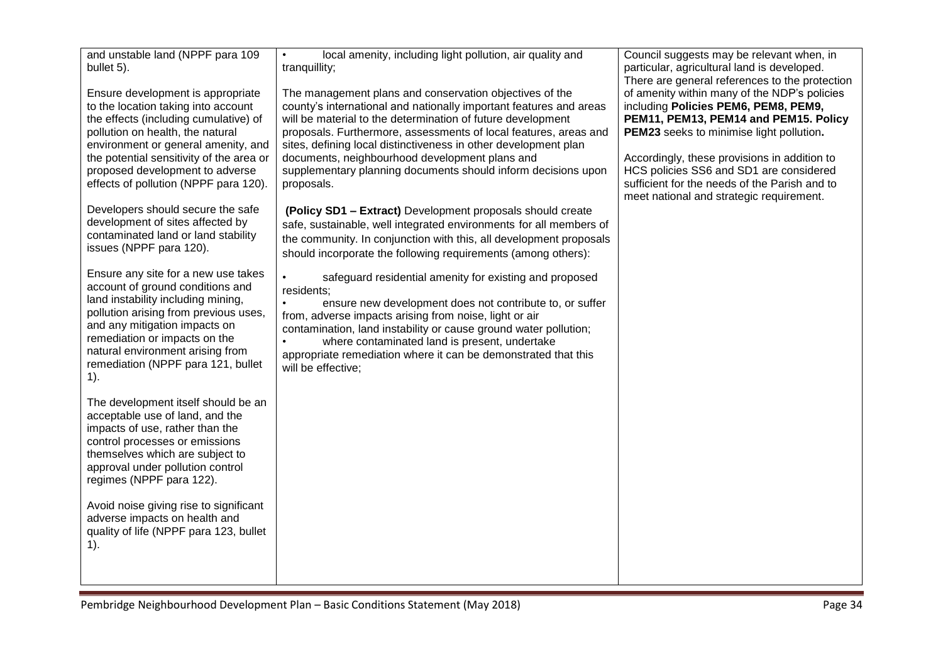| and unstable land (NPPF para 109<br>bullet 5).                                                                                                                                                                                                                                                                       | local amenity, including light pollution, air quality and<br>$\bullet$<br>tranquillity;                                                                                                                                                                                                                                                                                                                                                                              | Council suggests may be relevant when, in<br>particular, agricultural land is developed.<br>There are general references to the protection                                                                                                                                                                                                                        |
|----------------------------------------------------------------------------------------------------------------------------------------------------------------------------------------------------------------------------------------------------------------------------------------------------------------------|----------------------------------------------------------------------------------------------------------------------------------------------------------------------------------------------------------------------------------------------------------------------------------------------------------------------------------------------------------------------------------------------------------------------------------------------------------------------|-------------------------------------------------------------------------------------------------------------------------------------------------------------------------------------------------------------------------------------------------------------------------------------------------------------------------------------------------------------------|
| Ensure development is appropriate<br>to the location taking into account<br>the effects (including cumulative) of<br>pollution on health, the natural<br>environment or general amenity, and<br>the potential sensitivity of the area or<br>proposed development to adverse<br>effects of pollution (NPPF para 120). | The management plans and conservation objectives of the<br>county's international and nationally important features and areas<br>will be material to the determination of future development<br>proposals. Furthermore, assessments of local features, areas and<br>sites, defining local distinctiveness in other development plan<br>documents, neighbourhood development plans and<br>supplementary planning documents should inform decisions upon<br>proposals. | of amenity within many of the NDP's policies<br>including Policies PEM6, PEM8, PEM9,<br>PEM11, PEM13, PEM14 and PEM15. Policy<br>PEM23 seeks to minimise light pollution.<br>Accordingly, these provisions in addition to<br>HCS policies SS6 and SD1 are considered<br>sufficient for the needs of the Parish and to<br>meet national and strategic requirement. |
| Developers should secure the safe<br>development of sites affected by<br>contaminated land or land stability<br>issues (NPPF para 120).                                                                                                                                                                              | (Policy SD1 - Extract) Development proposals should create<br>safe, sustainable, well integrated environments for all members of<br>the community. In conjunction with this, all development proposals<br>should incorporate the following requirements (among others):                                                                                                                                                                                              |                                                                                                                                                                                                                                                                                                                                                                   |
| Ensure any site for a new use takes<br>account of ground conditions and<br>land instability including mining,<br>pollution arising from previous uses,<br>and any mitigation impacts on<br>remediation or impacts on the<br>natural environment arising from<br>remediation (NPPF para 121, bullet<br>$1$ ).         | safeguard residential amenity for existing and proposed<br>$\bullet$<br>residents;<br>ensure new development does not contribute to, or suffer<br>from, adverse impacts arising from noise, light or air<br>contamination, land instability or cause ground water pollution;<br>where contaminated land is present, undertake<br>$\bullet$<br>appropriate remediation where it can be demonstrated that this<br>will be effective;                                   |                                                                                                                                                                                                                                                                                                                                                                   |
| The development itself should be an<br>acceptable use of land, and the<br>impacts of use, rather than the<br>control processes or emissions<br>themselves which are subject to<br>approval under pollution control<br>regimes (NPPF para 122).                                                                       |                                                                                                                                                                                                                                                                                                                                                                                                                                                                      |                                                                                                                                                                                                                                                                                                                                                                   |
| Avoid noise giving rise to significant<br>adverse impacts on health and<br>quality of life (NPPF para 123, bullet<br>$1$ ).                                                                                                                                                                                          |                                                                                                                                                                                                                                                                                                                                                                                                                                                                      |                                                                                                                                                                                                                                                                                                                                                                   |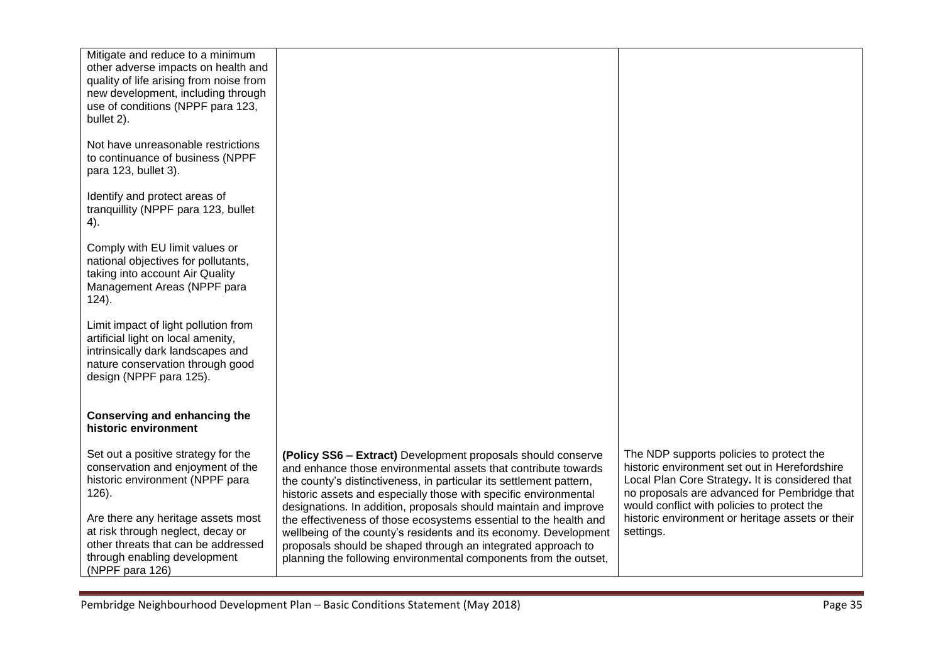| Mitigate and reduce to a minimum<br>other adverse impacts on health and<br>quality of life arising from noise from<br>new development, including through<br>use of conditions (NPPF para 123,<br>bullet 2). |                                                                                                                                                                                                                                                                                                                                               |                                                                                                                                                                                                                                             |
|-------------------------------------------------------------------------------------------------------------------------------------------------------------------------------------------------------------|-----------------------------------------------------------------------------------------------------------------------------------------------------------------------------------------------------------------------------------------------------------------------------------------------------------------------------------------------|---------------------------------------------------------------------------------------------------------------------------------------------------------------------------------------------------------------------------------------------|
| Not have unreasonable restrictions<br>to continuance of business (NPPF<br>para 123, bullet 3).                                                                                                              |                                                                                                                                                                                                                                                                                                                                               |                                                                                                                                                                                                                                             |
| Identify and protect areas of<br>tranquillity (NPPF para 123, bullet<br>4).                                                                                                                                 |                                                                                                                                                                                                                                                                                                                                               |                                                                                                                                                                                                                                             |
| Comply with EU limit values or<br>national objectives for pollutants,<br>taking into account Air Quality<br>Management Areas (NPPF para<br>$124$ ).                                                         |                                                                                                                                                                                                                                                                                                                                               |                                                                                                                                                                                                                                             |
| Limit impact of light pollution from<br>artificial light on local amenity,<br>intrinsically dark landscapes and<br>nature conservation through good<br>design (NPPF para 125).                              |                                                                                                                                                                                                                                                                                                                                               |                                                                                                                                                                                                                                             |
| Conserving and enhancing the<br>historic environment                                                                                                                                                        |                                                                                                                                                                                                                                                                                                                                               |                                                                                                                                                                                                                                             |
| Set out a positive strategy for the<br>conservation and enjoyment of the<br>historic environment (NPPF para<br>$126$ ).                                                                                     | (Policy SS6 - Extract) Development proposals should conserve<br>and enhance those environmental assets that contribute towards<br>the county's distinctiveness, in particular its settlement pattern,<br>historic assets and especially those with specific environmental<br>designations. In addition, proposals should maintain and improve | The NDP supports policies to protect the<br>historic environment set out in Herefordshire<br>Local Plan Core Strategy. It is considered that<br>no proposals are advanced for Pembridge that<br>would conflict with policies to protect the |
| Are there any heritage assets most<br>at risk through neglect, decay or<br>other threats that can be addressed<br>through enabling development<br>(NPPF para 126)                                           | the effectiveness of those ecosystems essential to the health and<br>wellbeing of the county's residents and its economy. Development<br>proposals should be shaped through an integrated approach to<br>planning the following environmental components from the outset,                                                                     | historic environment or heritage assets or their<br>settings.                                                                                                                                                                               |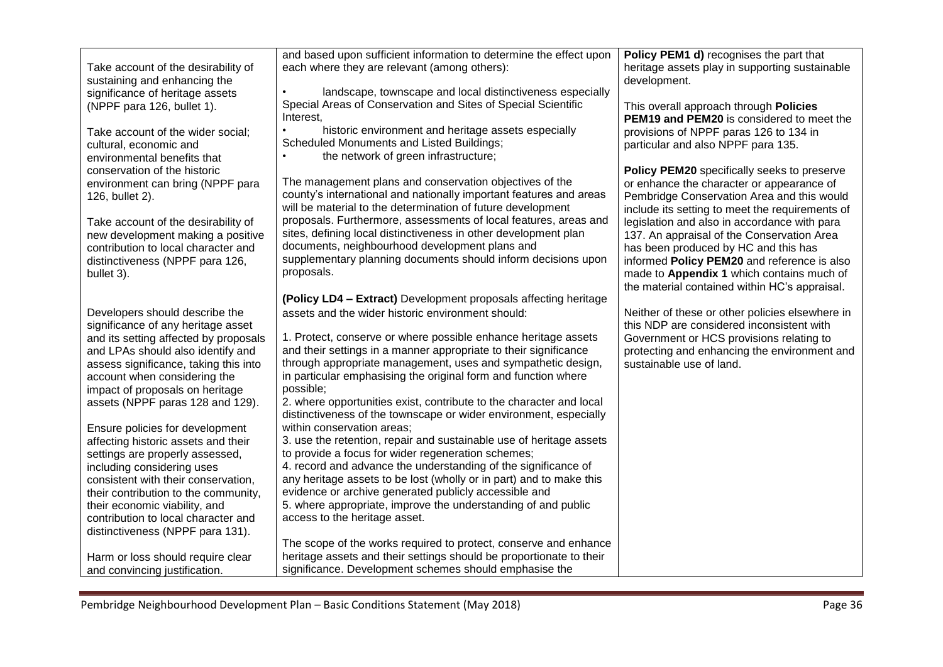| Take account of the desirability of<br>sustaining and enhancing the                                                                                              | and based upon sufficient information to determine the effect upon<br>each where they are relevant (among others):                                                                                                                                                   | Policy PEM1 d) recognises the part that<br>heritage assets play in supporting sustainable<br>development.                                                                                                                                                                       |
|------------------------------------------------------------------------------------------------------------------------------------------------------------------|----------------------------------------------------------------------------------------------------------------------------------------------------------------------------------------------------------------------------------------------------------------------|---------------------------------------------------------------------------------------------------------------------------------------------------------------------------------------------------------------------------------------------------------------------------------|
| significance of heritage assets<br>(NPPF para 126, bullet 1).                                                                                                    | landscape, townscape and local distinctiveness especially<br>Special Areas of Conservation and Sites of Special Scientific<br>Interest.                                                                                                                              | This overall approach through Policies<br><b>PEM19 and PEM20</b> is considered to meet the                                                                                                                                                                                      |
| Take account of the wider social;<br>cultural, economic and<br>environmental benefits that                                                                       | historic environment and heritage assets especially<br><b>Scheduled Monuments and Listed Buildings;</b><br>the network of green infrastructure;                                                                                                                      | provisions of NPPF paras 126 to 134 in<br>particular and also NPPF para 135.                                                                                                                                                                                                    |
| conservation of the historic<br>environment can bring (NPPF para<br>126, bullet 2).                                                                              | The management plans and conservation objectives of the<br>county's international and nationally important features and areas<br>will be material to the determination of future development                                                                         | Policy PEM20 specifically seeks to preserve<br>or enhance the character or appearance of<br>Pembridge Conservation Area and this would<br>include its setting to meet the requirements of                                                                                       |
| Take account of the desirability of<br>new development making a positive<br>contribution to local character and<br>distinctiveness (NPPF para 126,<br>bullet 3). | proposals. Furthermore, assessments of local features, areas and<br>sites, defining local distinctiveness in other development plan<br>documents, neighbourhood development plans and<br>supplementary planning documents should inform decisions upon<br>proposals. | legislation and also in accordance with para<br>137. An appraisal of the Conservation Area<br>has been produced by HC and this has<br>informed Policy PEM20 and reference is also<br>made to Appendix 1 which contains much of<br>the material contained within HC's appraisal. |
|                                                                                                                                                                  | (Policy LD4 - Extract) Development proposals affecting heritage                                                                                                                                                                                                      |                                                                                                                                                                                                                                                                                 |
| Developers should describe the<br>significance of any heritage asset                                                                                             | assets and the wider historic environment should:                                                                                                                                                                                                                    | Neither of these or other policies elsewhere in<br>this NDP are considered inconsistent with                                                                                                                                                                                    |
| and its setting affected by proposals<br>and LPAs should also identify and                                                                                       | 1. Protect, conserve or where possible enhance heritage assets<br>and their settings in a manner appropriate to their significance                                                                                                                                   | Government or HCS provisions relating to<br>protecting and enhancing the environment and                                                                                                                                                                                        |
| assess significance, taking this into<br>account when considering the                                                                                            | through appropriate management, uses and sympathetic design,<br>in particular emphasising the original form and function where                                                                                                                                       | sustainable use of land.                                                                                                                                                                                                                                                        |
| impact of proposals on heritage<br>assets (NPPF paras 128 and 129).                                                                                              | possible;<br>2. where opportunities exist, contribute to the character and local<br>distinctiveness of the townscape or wider environment, especially                                                                                                                |                                                                                                                                                                                                                                                                                 |
| Ensure policies for development<br>affecting historic assets and their                                                                                           | within conservation areas;<br>3. use the retention, repair and sustainable use of heritage assets                                                                                                                                                                    |                                                                                                                                                                                                                                                                                 |
| settings are properly assessed,                                                                                                                                  | to provide a focus for wider regeneration schemes;                                                                                                                                                                                                                   |                                                                                                                                                                                                                                                                                 |
| including considering uses                                                                                                                                       | 4. record and advance the understanding of the significance of                                                                                                                                                                                                       |                                                                                                                                                                                                                                                                                 |
| consistent with their conservation,                                                                                                                              | any heritage assets to be lost (wholly or in part) and to make this                                                                                                                                                                                                  |                                                                                                                                                                                                                                                                                 |
| their contribution to the community,<br>their economic viability, and                                                                                            | evidence or archive generated publicly accessible and<br>5. where appropriate, improve the understanding of and public                                                                                                                                               |                                                                                                                                                                                                                                                                                 |
| contribution to local character and<br>distinctiveness (NPPF para 131).                                                                                          | access to the heritage asset.                                                                                                                                                                                                                                        |                                                                                                                                                                                                                                                                                 |
|                                                                                                                                                                  | The scope of the works required to protect, conserve and enhance                                                                                                                                                                                                     |                                                                                                                                                                                                                                                                                 |
| Harm or loss should require clear<br>and convincing justification.                                                                                               | heritage assets and their settings should be proportionate to their<br>significance. Development schemes should emphasise the                                                                                                                                        |                                                                                                                                                                                                                                                                                 |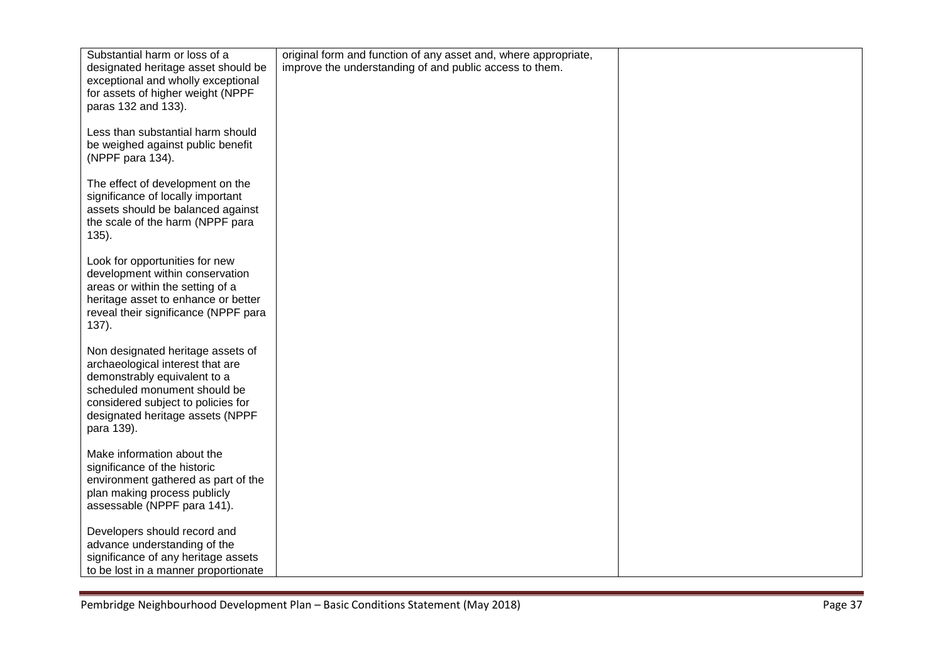| Substantial harm or loss of a        | original form and function of any asset and, where appropriate, |  |
|--------------------------------------|-----------------------------------------------------------------|--|
| designated heritage asset should be  | improve the understanding of and public access to them.         |  |
| exceptional and wholly exceptional   |                                                                 |  |
| for assets of higher weight (NPPF    |                                                                 |  |
| paras 132 and 133).                  |                                                                 |  |
|                                      |                                                                 |  |
|                                      |                                                                 |  |
| Less than substantial harm should    |                                                                 |  |
| be weighed against public benefit    |                                                                 |  |
| (NPPF para 134).                     |                                                                 |  |
|                                      |                                                                 |  |
| The effect of development on the     |                                                                 |  |
|                                      |                                                                 |  |
| significance of locally important    |                                                                 |  |
| assets should be balanced against    |                                                                 |  |
| the scale of the harm (NPPF para     |                                                                 |  |
| $135$ ).                             |                                                                 |  |
|                                      |                                                                 |  |
| Look for opportunities for new       |                                                                 |  |
| development within conservation      |                                                                 |  |
| areas or within the setting of a     |                                                                 |  |
|                                      |                                                                 |  |
| heritage asset to enhance or better  |                                                                 |  |
| reveal their significance (NPPF para |                                                                 |  |
| 137).                                |                                                                 |  |
|                                      |                                                                 |  |
| Non designated heritage assets of    |                                                                 |  |
| archaeological interest that are     |                                                                 |  |
| demonstrably equivalent to a         |                                                                 |  |
| scheduled monument should be         |                                                                 |  |
|                                      |                                                                 |  |
| considered subject to policies for   |                                                                 |  |
| designated heritage assets (NPPF     |                                                                 |  |
| para 139).                           |                                                                 |  |
|                                      |                                                                 |  |
| Make information about the           |                                                                 |  |
| significance of the historic         |                                                                 |  |
| environment gathered as part of the  |                                                                 |  |
|                                      |                                                                 |  |
| plan making process publicly         |                                                                 |  |
| assessable (NPPF para 141).          |                                                                 |  |
|                                      |                                                                 |  |
| Developers should record and         |                                                                 |  |
| advance understanding of the         |                                                                 |  |
| significance of any heritage assets  |                                                                 |  |
| to be lost in a manner proportionate |                                                                 |  |
|                                      |                                                                 |  |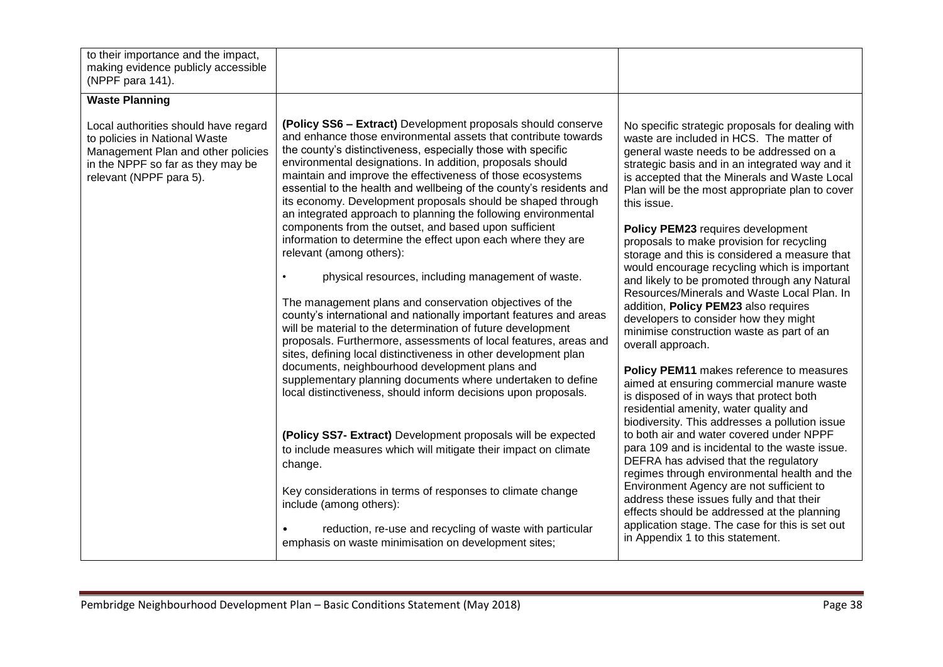| to their importance and the impact,<br>making evidence publicly accessible<br>(NPPF para 141).                                                                              |                                                                                                                                                                                                                                                                                                                                                                                                                                                                                                                                                                                                                                                            |                                                                                                                                                                                                                                                                                                                                                                                                                                                                                                                                                            |
|-----------------------------------------------------------------------------------------------------------------------------------------------------------------------------|------------------------------------------------------------------------------------------------------------------------------------------------------------------------------------------------------------------------------------------------------------------------------------------------------------------------------------------------------------------------------------------------------------------------------------------------------------------------------------------------------------------------------------------------------------------------------------------------------------------------------------------------------------|------------------------------------------------------------------------------------------------------------------------------------------------------------------------------------------------------------------------------------------------------------------------------------------------------------------------------------------------------------------------------------------------------------------------------------------------------------------------------------------------------------------------------------------------------------|
| <b>Waste Planning</b>                                                                                                                                                       |                                                                                                                                                                                                                                                                                                                                                                                                                                                                                                                                                                                                                                                            |                                                                                                                                                                                                                                                                                                                                                                                                                                                                                                                                                            |
| Local authorities should have regard<br>to policies in National Waste<br>Management Plan and other policies<br>in the NPPF so far as they may be<br>relevant (NPPF para 5). | (Policy SS6 - Extract) Development proposals should conserve<br>and enhance those environmental assets that contribute towards<br>the county's distinctiveness, especially those with specific<br>environmental designations. In addition, proposals should<br>maintain and improve the effectiveness of those ecosystems<br>essential to the health and wellbeing of the county's residents and<br>its economy. Development proposals should be shaped through<br>an integrated approach to planning the following environmental<br>components from the outset, and based upon sufficient<br>information to determine the effect upon each where they are | No specific strategic proposals for dealing with<br>waste are included in HCS. The matter of<br>general waste needs to be addressed on a<br>strategic basis and in an integrated way and it<br>is accepted that the Minerals and Waste Local<br>Plan will be the most appropriate plan to cover<br>this issue.<br>Policy PEM23 requires development<br>proposals to make provision for recycling                                                                                                                                                           |
|                                                                                                                                                                             | relevant (among others):<br>physical resources, including management of waste.<br>The management plans and conservation objectives of the<br>county's international and nationally important features and areas<br>will be material to the determination of future development<br>proposals. Furthermore, assessments of local features, areas and<br>sites, defining local distinctiveness in other development plan<br>documents, neighbourhood development plans and<br>supplementary planning documents where undertaken to define<br>local distinctiveness, should inform decisions upon proposals.                                                   | storage and this is considered a measure that<br>would encourage recycling which is important<br>and likely to be promoted through any Natural<br>Resources/Minerals and Waste Local Plan. In<br>addition, Policy PEM23 also requires<br>developers to consider how they might<br>minimise construction waste as part of an<br>overall approach.<br>Policy PEM11 makes reference to measures<br>aimed at ensuring commercial manure waste                                                                                                                  |
|                                                                                                                                                                             | (Policy SS7- Extract) Development proposals will be expected<br>to include measures which will mitigate their impact on climate<br>change.<br>Key considerations in terms of responses to climate change<br>include (among others):<br>reduction, re-use and recycling of waste with particular<br>emphasis on waste minimisation on development sites;                                                                                                                                                                                                                                                                                                    | is disposed of in ways that protect both<br>residential amenity, water quality and<br>biodiversity. This addresses a pollution issue<br>to both air and water covered under NPPF<br>para 109 and is incidental to the waste issue.<br>DEFRA has advised that the regulatory<br>regimes through environmental health and the<br>Environment Agency are not sufficient to<br>address these issues fully and that their<br>effects should be addressed at the planning<br>application stage. The case for this is set out<br>in Appendix 1 to this statement. |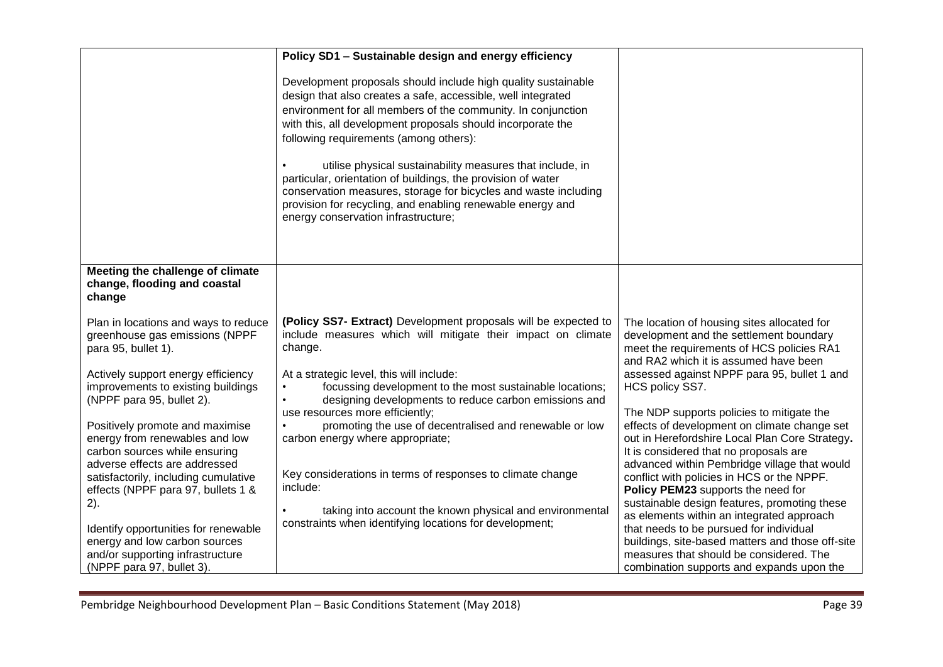|                                                                                                                                     | Policy SD1 - Sustainable design and energy efficiency                                                                                                                                                                                                                                                                                                                                                                                                                                                                                                                                                       |                                                                                                                                                                                                                                       |
|-------------------------------------------------------------------------------------------------------------------------------------|-------------------------------------------------------------------------------------------------------------------------------------------------------------------------------------------------------------------------------------------------------------------------------------------------------------------------------------------------------------------------------------------------------------------------------------------------------------------------------------------------------------------------------------------------------------------------------------------------------------|---------------------------------------------------------------------------------------------------------------------------------------------------------------------------------------------------------------------------------------|
|                                                                                                                                     | Development proposals should include high quality sustainable<br>design that also creates a safe, accessible, well integrated<br>environment for all members of the community. In conjunction<br>with this, all development proposals should incorporate the<br>following requirements (among others):<br>utilise physical sustainability measures that include, in<br>particular, orientation of buildings, the provision of water<br>conservation measures, storage for bicycles and waste including<br>provision for recycling, and enabling renewable energy and<br>energy conservation infrastructure; |                                                                                                                                                                                                                                       |
| Meeting the challenge of climate<br>change, flooding and coastal<br>change                                                          |                                                                                                                                                                                                                                                                                                                                                                                                                                                                                                                                                                                                             |                                                                                                                                                                                                                                       |
| Plan in locations and ways to reduce<br>greenhouse gas emissions (NPPF<br>para 95, bullet 1).                                       | (Policy SS7- Extract) Development proposals will be expected to<br>include measures which will mitigate their impact on climate<br>change.                                                                                                                                                                                                                                                                                                                                                                                                                                                                  | The location of housing sites allocated for<br>development and the settlement boundary<br>meet the requirements of HCS policies RA1<br>and RA2 which it is assumed have been                                                          |
| Actively support energy efficiency<br>improvements to existing buildings<br>(NPPF para 95, bullet 2).                               | At a strategic level, this will include:<br>focussing development to the most sustainable locations;<br>designing developments to reduce carbon emissions and                                                                                                                                                                                                                                                                                                                                                                                                                                               | assessed against NPPF para 95, bullet 1 and<br>HCS policy SS7.                                                                                                                                                                        |
| Positively promote and maximise<br>energy from renewables and low<br>carbon sources while ensuring<br>adverse effects are addressed | use resources more efficiently;<br>promoting the use of decentralised and renewable or low<br>$\bullet$<br>carbon energy where appropriate;                                                                                                                                                                                                                                                                                                                                                                                                                                                                 | The NDP supports policies to mitigate the<br>effects of development on climate change set<br>out in Herefordshire Local Plan Core Strategy.<br>It is considered that no proposals are<br>advanced within Pembridge village that would |
| satisfactorily, including cumulative<br>effects (NPPF para 97, bullets 1 &<br>2).                                                   | Key considerations in terms of responses to climate change<br>include:                                                                                                                                                                                                                                                                                                                                                                                                                                                                                                                                      | conflict with policies in HCS or the NPPF.<br>Policy PEM23 supports the need for<br>sustainable design features, promoting these                                                                                                      |
| Identify opportunities for renewable<br>energy and low carbon sources                                                               | taking into account the known physical and environmental<br>constraints when identifying locations for development;                                                                                                                                                                                                                                                                                                                                                                                                                                                                                         | as elements within an integrated approach<br>that needs to be pursued for individual<br>buildings, site-based matters and those off-site                                                                                              |
| and/or supporting infrastructure<br>(NPPF para 97, bullet 3).                                                                       |                                                                                                                                                                                                                                                                                                                                                                                                                                                                                                                                                                                                             | measures that should be considered. The<br>combination supports and expands upon the                                                                                                                                                  |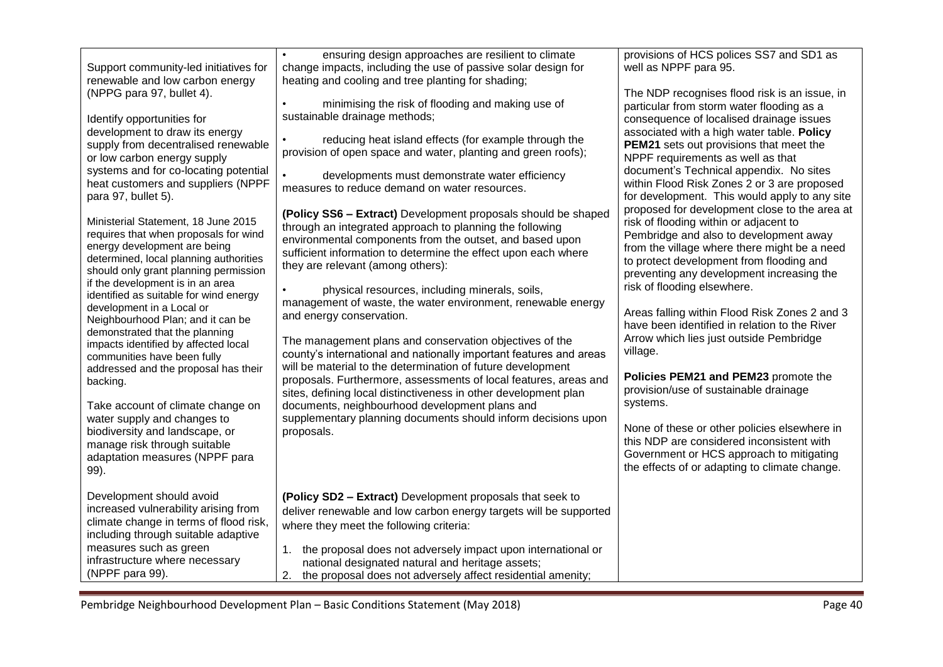| Support community-led initiatives for<br>renewable and low carbon energy<br>(NPPG para 97, bullet 4).<br>Identify opportunities for<br>development to draw its energy<br>supply from decentralised renewable<br>or low carbon energy supply<br>systems and for co-locating potential<br>heat customers and suppliers (NPPF<br>para 97, bullet 5).<br>Ministerial Statement, 18 June 2015<br>requires that when proposals for wind<br>energy development are being<br>determined, local planning authorities<br>should only grant planning permission<br>if the development is in an area<br>identified as suitable for wind energy<br>development in a Local or<br>Neighbourhood Plan; and it can be<br>demonstrated that the planning<br>impacts identified by affected local<br>communities have been fully<br>addressed and the proposal has their<br>backing.<br>Take account of climate change on<br>water supply and changes to<br>biodiversity and landscape, or<br>manage risk through suitable<br>adaptation measures (NPPF para | $\bullet$<br>ensuring design approaches are resilient to climate<br>change impacts, including the use of passive solar design for<br>heating and cooling and tree planting for shading;<br>minimising the risk of flooding and making use of<br>sustainable drainage methods;<br>reducing heat island effects (for example through the<br>provision of open space and water, planting and green roofs);<br>developments must demonstrate water efficiency<br>measures to reduce demand on water resources.<br>(Policy SS6 - Extract) Development proposals should be shaped<br>through an integrated approach to planning the following<br>environmental components from the outset, and based upon<br>sufficient information to determine the effect upon each where<br>they are relevant (among others):<br>physical resources, including minerals, soils,<br>management of waste, the water environment, renewable energy<br>and energy conservation.<br>The management plans and conservation objectives of the<br>county's international and nationally important features and areas<br>will be material to the determination of future development<br>proposals. Furthermore, assessments of local features, areas and<br>sites, defining local distinctiveness in other development plan<br>documents, neighbourhood development plans and<br>supplementary planning documents should inform decisions upon<br>proposals. | provisions of HCS polices SS7 and SD1 as<br>well as NPPF para 95.<br>The NDP recognises flood risk is an issue, in<br>particular from storm water flooding as a<br>consequence of localised drainage issues<br>associated with a high water table. Policy<br><b>PEM21</b> sets out provisions that meet the<br>NPPF requirements as well as that<br>document's Technical appendix. No sites<br>within Flood Risk Zones 2 or 3 are proposed<br>for development. This would apply to any site<br>proposed for development close to the area at<br>risk of flooding within or adjacent to<br>Pembridge and also to development away<br>from the village where there might be a need<br>to protect development from flooding and<br>preventing any development increasing the<br>risk of flooding elsewhere.<br>Areas falling within Flood Risk Zones 2 and 3<br>have been identified in relation to the River<br>Arrow which lies just outside Pembridge<br>village.<br>Policies PEM21 and PEM23 promote the<br>provision/use of sustainable drainage<br>systems.<br>None of these or other policies elsewhere in<br>this NDP are considered inconsistent with<br>Government or HCS approach to mitigating<br>the effects of or adapting to climate change. |
|-------------------------------------------------------------------------------------------------------------------------------------------------------------------------------------------------------------------------------------------------------------------------------------------------------------------------------------------------------------------------------------------------------------------------------------------------------------------------------------------------------------------------------------------------------------------------------------------------------------------------------------------------------------------------------------------------------------------------------------------------------------------------------------------------------------------------------------------------------------------------------------------------------------------------------------------------------------------------------------------------------------------------------------------|----------------------------------------------------------------------------------------------------------------------------------------------------------------------------------------------------------------------------------------------------------------------------------------------------------------------------------------------------------------------------------------------------------------------------------------------------------------------------------------------------------------------------------------------------------------------------------------------------------------------------------------------------------------------------------------------------------------------------------------------------------------------------------------------------------------------------------------------------------------------------------------------------------------------------------------------------------------------------------------------------------------------------------------------------------------------------------------------------------------------------------------------------------------------------------------------------------------------------------------------------------------------------------------------------------------------------------------------------------------------------------------------------------------------------------|----------------------------------------------------------------------------------------------------------------------------------------------------------------------------------------------------------------------------------------------------------------------------------------------------------------------------------------------------------------------------------------------------------------------------------------------------------------------------------------------------------------------------------------------------------------------------------------------------------------------------------------------------------------------------------------------------------------------------------------------------------------------------------------------------------------------------------------------------------------------------------------------------------------------------------------------------------------------------------------------------------------------------------------------------------------------------------------------------------------------------------------------------------------------------------------------------------------------------------------------------------|
| 99).<br>Development should avoid<br>increased vulnerability arising from                                                                                                                                                                                                                                                                                                                                                                                                                                                                                                                                                                                                                                                                                                                                                                                                                                                                                                                                                                  | (Policy SD2 - Extract) Development proposals that seek to                                                                                                                                                                                                                                                                                                                                                                                                                                                                                                                                                                                                                                                                                                                                                                                                                                                                                                                                                                                                                                                                                                                                                                                                                                                                                                                                                                        |                                                                                                                                                                                                                                                                                                                                                                                                                                                                                                                                                                                                                                                                                                                                                                                                                                                                                                                                                                                                                                                                                                                                                                                                                                                          |
| climate change in terms of flood risk,<br>including through suitable adaptive<br>measures such as green<br>infrastructure where necessary<br>(NPPF para 99).                                                                                                                                                                                                                                                                                                                                                                                                                                                                                                                                                                                                                                                                                                                                                                                                                                                                              | deliver renewable and low carbon energy targets will be supported<br>where they meet the following criteria:<br>1. the proposal does not adversely impact upon international or<br>national designated natural and heritage assets;<br>2. the proposal does not adversely affect residential amenity;                                                                                                                                                                                                                                                                                                                                                                                                                                                                                                                                                                                                                                                                                                                                                                                                                                                                                                                                                                                                                                                                                                                            |                                                                                                                                                                                                                                                                                                                                                                                                                                                                                                                                                                                                                                                                                                                                                                                                                                                                                                                                                                                                                                                                                                                                                                                                                                                          |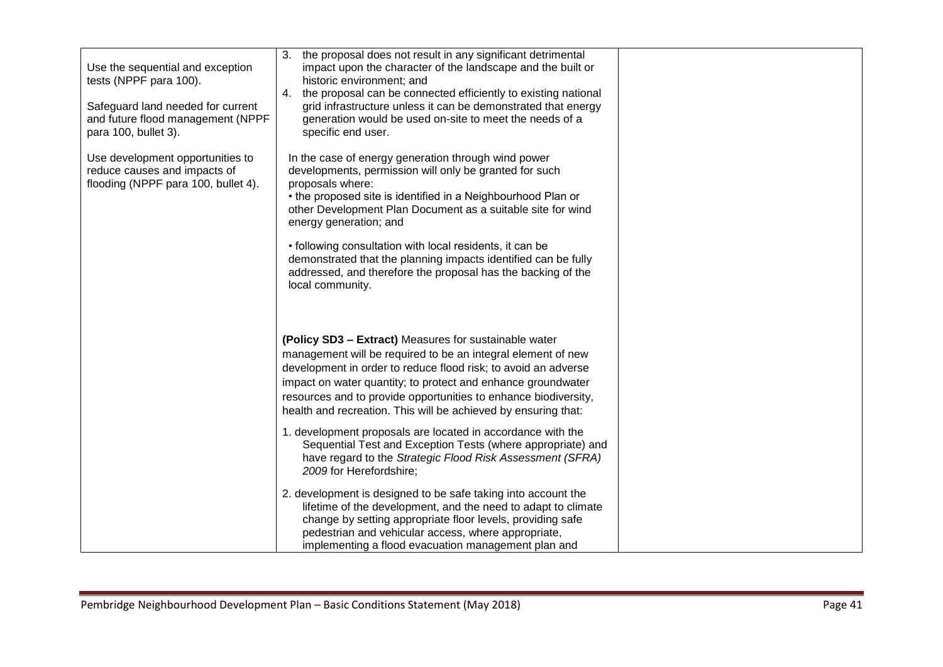| Use the sequential and exception<br>tests (NPPF para 100).<br>Safeguard land needed for current<br>and future flood management (NPPF<br>para 100, bullet 3). | 3. the proposal does not result in any significant detrimental<br>impact upon the character of the landscape and the built or<br>historic environment; and<br>4. the proposal can be connected efficiently to existing national<br>grid infrastructure unless it can be demonstrated that energy<br>generation would be used on-site to meet the needs of a<br>specific end user.            |  |
|--------------------------------------------------------------------------------------------------------------------------------------------------------------|----------------------------------------------------------------------------------------------------------------------------------------------------------------------------------------------------------------------------------------------------------------------------------------------------------------------------------------------------------------------------------------------|--|
| Use development opportunities to<br>reduce causes and impacts of<br>flooding (NPPF para 100, bullet 4).                                                      | In the case of energy generation through wind power<br>developments, permission will only be granted for such<br>proposals where:<br>• the proposed site is identified in a Neighbourhood Plan or<br>other Development Plan Document as a suitable site for wind<br>energy generation; and                                                                                                   |  |
|                                                                                                                                                              | • following consultation with local residents, it can be<br>demonstrated that the planning impacts identified can be fully<br>addressed, and therefore the proposal has the backing of the<br>local community.                                                                                                                                                                               |  |
|                                                                                                                                                              | (Policy SD3 - Extract) Measures for sustainable water<br>management will be required to be an integral element of new<br>development in order to reduce flood risk; to avoid an adverse<br>impact on water quantity; to protect and enhance groundwater<br>resources and to provide opportunities to enhance biodiversity,<br>health and recreation. This will be achieved by ensuring that: |  |
|                                                                                                                                                              | 1. development proposals are located in accordance with the<br>Sequential Test and Exception Tests (where appropriate) and<br>have regard to the Strategic Flood Risk Assessment (SFRA)<br>2009 for Herefordshire;                                                                                                                                                                           |  |
|                                                                                                                                                              | 2. development is designed to be safe taking into account the<br>lifetime of the development, and the need to adapt to climate<br>change by setting appropriate floor levels, providing safe<br>pedestrian and vehicular access, where appropriate,<br>implementing a flood evacuation management plan and                                                                                   |  |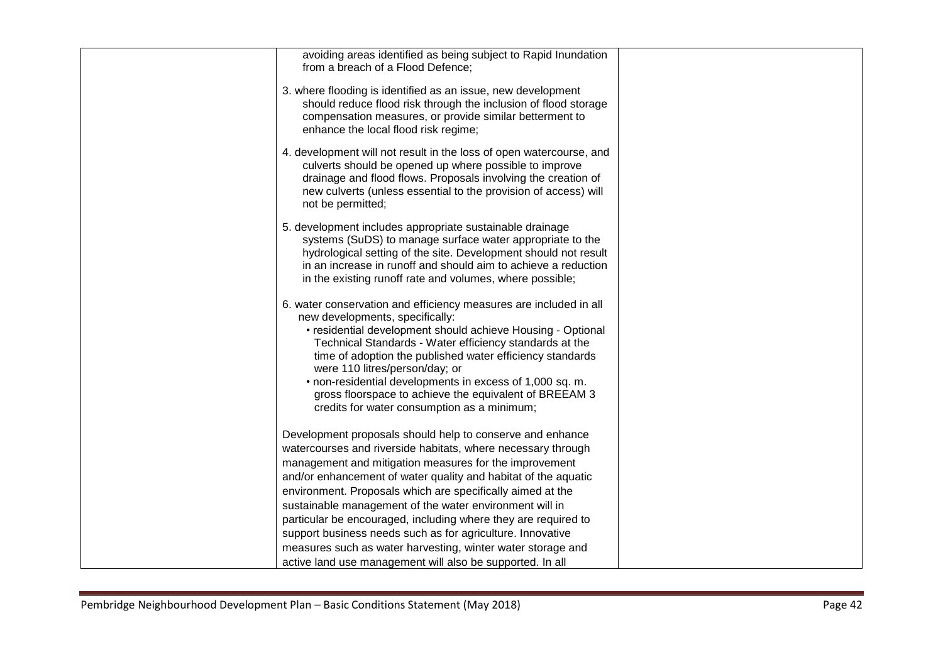| avoiding areas identified as being subject to Rapid Inundation<br>from a breach of a Flood Defence;                                                                                                                                                                                                                                                                                                                                                                                                                                                                           |  |
|-------------------------------------------------------------------------------------------------------------------------------------------------------------------------------------------------------------------------------------------------------------------------------------------------------------------------------------------------------------------------------------------------------------------------------------------------------------------------------------------------------------------------------------------------------------------------------|--|
| 3. where flooding is identified as an issue, new development<br>should reduce flood risk through the inclusion of flood storage<br>compensation measures, or provide similar betterment to<br>enhance the local flood risk regime;                                                                                                                                                                                                                                                                                                                                            |  |
| 4. development will not result in the loss of open watercourse, and<br>culverts should be opened up where possible to improve<br>drainage and flood flows. Proposals involving the creation of<br>new culverts (unless essential to the provision of access) will<br>not be permitted;                                                                                                                                                                                                                                                                                        |  |
| 5. development includes appropriate sustainable drainage<br>systems (SuDS) to manage surface water appropriate to the<br>hydrological setting of the site. Development should not result<br>in an increase in runoff and should aim to achieve a reduction<br>in the existing runoff rate and volumes, where possible;                                                                                                                                                                                                                                                        |  |
| 6. water conservation and efficiency measures are included in all<br>new developments, specifically:<br>• residential development should achieve Housing - Optional<br>Technical Standards - Water efficiency standards at the<br>time of adoption the published water efficiency standards<br>were 110 litres/person/day; or<br>· non-residential developments in excess of 1,000 sq. m.<br>gross floorspace to achieve the equivalent of BREEAM 3<br>credits for water consumption as a minimum;                                                                            |  |
| Development proposals should help to conserve and enhance<br>watercourses and riverside habitats, where necessary through<br>management and mitigation measures for the improvement<br>and/or enhancement of water quality and habitat of the aquatic<br>environment. Proposals which are specifically aimed at the<br>sustainable management of the water environment will in<br>particular be encouraged, including where they are required to<br>support business needs such as for agriculture. Innovative<br>measures such as water harvesting, winter water storage and |  |
| active land use management will also be supported. In all                                                                                                                                                                                                                                                                                                                                                                                                                                                                                                                     |  |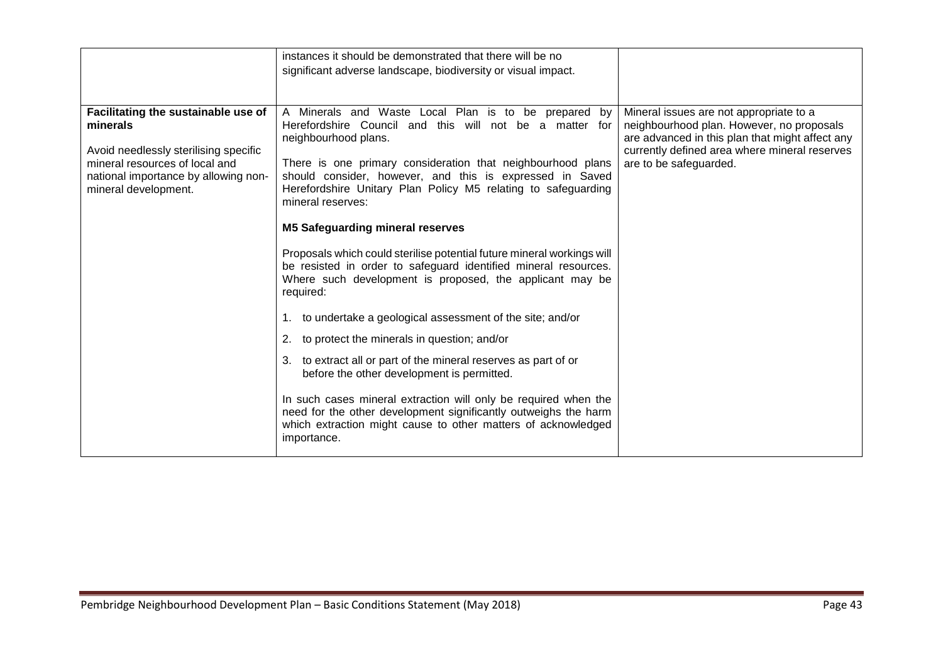|                                                                                                                                                                                            | instances it should be demonstrated that there will be no<br>significant adverse landscape, biodiversity or visual impact.                                                                                                                                                                                                                                                                                                                                                                                                                                                                                                                                                                                                                                                                                                                                                                                                                                                                                                                                                        |                                                                                                                                                                                                                    |
|--------------------------------------------------------------------------------------------------------------------------------------------------------------------------------------------|-----------------------------------------------------------------------------------------------------------------------------------------------------------------------------------------------------------------------------------------------------------------------------------------------------------------------------------------------------------------------------------------------------------------------------------------------------------------------------------------------------------------------------------------------------------------------------------------------------------------------------------------------------------------------------------------------------------------------------------------------------------------------------------------------------------------------------------------------------------------------------------------------------------------------------------------------------------------------------------------------------------------------------------------------------------------------------------|--------------------------------------------------------------------------------------------------------------------------------------------------------------------------------------------------------------------|
| Facilitating the sustainable use of<br>minerals<br>Avoid needlessly sterilising specific<br>mineral resources of local and<br>national importance by allowing non-<br>mineral development. | A Minerals and Waste Local Plan is to be prepared by<br>Herefordshire Council and this will not be a matter for<br>neighbourhood plans.<br>There is one primary consideration that neighbourhood plans<br>should consider, however, and this is expressed in Saved<br>Herefordshire Unitary Plan Policy M5 relating to safeguarding<br>mineral reserves:<br><b>M5 Safeguarding mineral reserves</b><br>Proposals which could sterilise potential future mineral workings will<br>be resisted in order to safeguard identified mineral resources.<br>Where such development is proposed, the applicant may be<br>required:<br>1. to undertake a geological assessment of the site; and/or<br>2. to protect the minerals in question; and/or<br>3. to extract all or part of the mineral reserves as part of or<br>before the other development is permitted.<br>In such cases mineral extraction will only be required when the<br>need for the other development significantly outweighs the harm<br>which extraction might cause to other matters of acknowledged<br>importance. | Mineral issues are not appropriate to a<br>neighbourhood plan. However, no proposals<br>are advanced in this plan that might affect any<br>currently defined area where mineral reserves<br>are to be safeguarded. |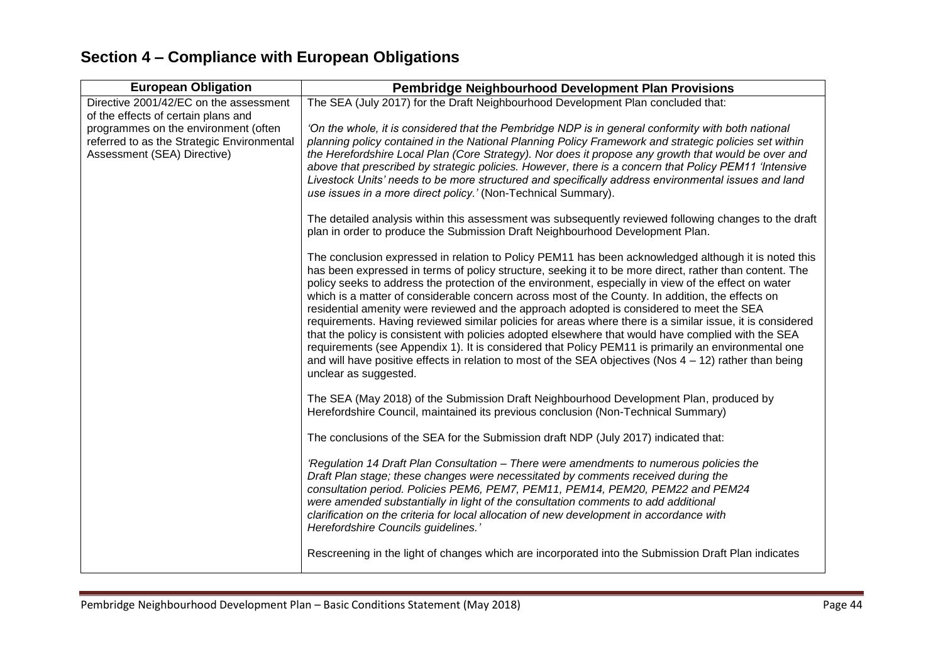## **Section 4 – Compliance with European Obligations**

| <b>European Obligation</b>                                                                                                                               | <b>Pembridge Neighbourhood Development Plan Provisions</b>                                                                                                                                                                                                                                                                                                                                                                                                                                                                                                                                                                                                                                                                                                                                                                                                                                                                                                                                |  |
|----------------------------------------------------------------------------------------------------------------------------------------------------------|-------------------------------------------------------------------------------------------------------------------------------------------------------------------------------------------------------------------------------------------------------------------------------------------------------------------------------------------------------------------------------------------------------------------------------------------------------------------------------------------------------------------------------------------------------------------------------------------------------------------------------------------------------------------------------------------------------------------------------------------------------------------------------------------------------------------------------------------------------------------------------------------------------------------------------------------------------------------------------------------|--|
| Directive 2001/42/EC on the assessment                                                                                                                   | The SEA (July 2017) for the Draft Neighbourhood Development Plan concluded that:                                                                                                                                                                                                                                                                                                                                                                                                                                                                                                                                                                                                                                                                                                                                                                                                                                                                                                          |  |
| of the effects of certain plans and<br>programmes on the environment (often<br>referred to as the Strategic Environmental<br>Assessment (SEA) Directive) | 'On the whole, it is considered that the Pembridge NDP is in general conformity with both national<br>planning policy contained in the National Planning Policy Framework and strategic policies set within<br>the Herefordshire Local Plan (Core Strategy). Nor does it propose any growth that would be over and<br>above that prescribed by strategic policies. However, there is a concern that Policy PEM11 'Intensive<br>Livestock Units' needs to be more structured and specifically address environmental issues and land<br>use issues in a more direct policy.' (Non-Technical Summary).                                                                                                                                                                                                                                                                                                                                                                                       |  |
|                                                                                                                                                          | The detailed analysis within this assessment was subsequently reviewed following changes to the draft<br>plan in order to produce the Submission Draft Neighbourhood Development Plan.                                                                                                                                                                                                                                                                                                                                                                                                                                                                                                                                                                                                                                                                                                                                                                                                    |  |
|                                                                                                                                                          | The conclusion expressed in relation to Policy PEM11 has been acknowledged although it is noted this<br>has been expressed in terms of policy structure, seeking it to be more direct, rather than content. The<br>policy seeks to address the protection of the environment, especially in view of the effect on water<br>which is a matter of considerable concern across most of the County. In addition, the effects on<br>residential amenity were reviewed and the approach adopted is considered to meet the SEA<br>requirements. Having reviewed similar policies for areas where there is a similar issue, it is considered<br>that the policy is consistent with policies adopted elsewhere that would have complied with the SEA<br>requirements (see Appendix 1). It is considered that Policy PEM11 is primarily an environmental one<br>and will have positive effects in relation to most of the SEA objectives (Nos $4 - 12$ ) rather than being<br>unclear as suggested. |  |
|                                                                                                                                                          | The SEA (May 2018) of the Submission Draft Neighbourhood Development Plan, produced by<br>Herefordshire Council, maintained its previous conclusion (Non-Technical Summary)                                                                                                                                                                                                                                                                                                                                                                                                                                                                                                                                                                                                                                                                                                                                                                                                               |  |
|                                                                                                                                                          | The conclusions of the SEA for the Submission draft NDP (July 2017) indicated that:                                                                                                                                                                                                                                                                                                                                                                                                                                                                                                                                                                                                                                                                                                                                                                                                                                                                                                       |  |
|                                                                                                                                                          | 'Regulation 14 Draft Plan Consultation - There were amendments to numerous policies the<br>Draft Plan stage; these changes were necessitated by comments received during the<br>consultation period. Policies PEM6, PEM7, PEM11, PEM14, PEM20, PEM22 and PEM24<br>were amended substantially in light of the consultation comments to add additional<br>clarification on the criteria for local allocation of new development in accordance with<br>Herefordshire Councils guidelines.'                                                                                                                                                                                                                                                                                                                                                                                                                                                                                                   |  |
|                                                                                                                                                          | Rescreening in the light of changes which are incorporated into the Submission Draft Plan indicates                                                                                                                                                                                                                                                                                                                                                                                                                                                                                                                                                                                                                                                                                                                                                                                                                                                                                       |  |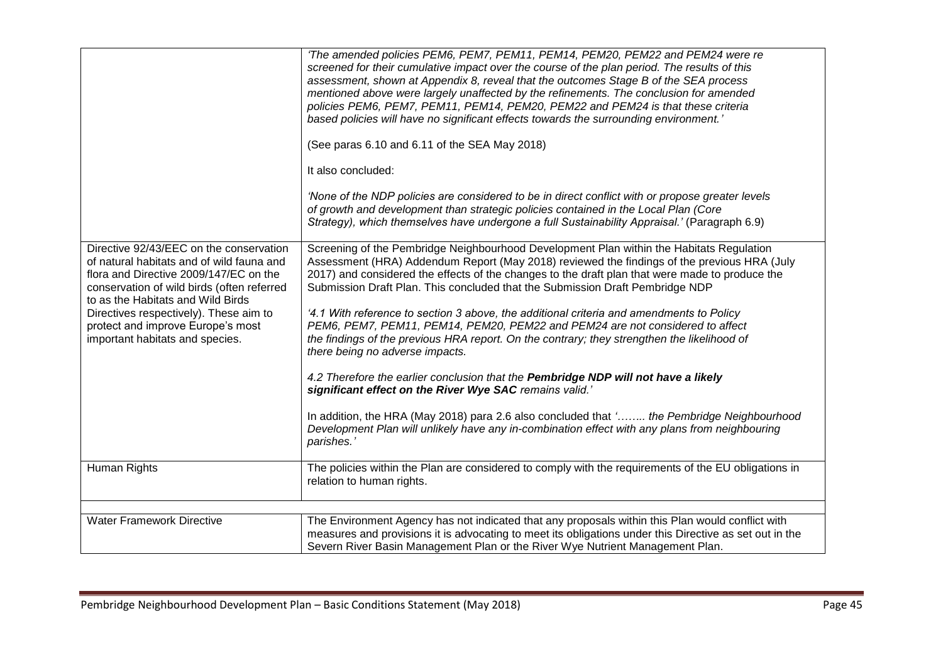| Directive 92/43/EEC on the conservation<br>of natural habitats and of wild fauna and<br>flora and Directive 2009/147/EC on the<br>conservation of wild birds (often referred<br>to as the Habitats and Wild Birds<br>Directives respectively). These aim to<br>protect and improve Europe's most<br>important habitats and species. | 'The amended policies PEM6, PEM7, PEM11, PEM14, PEM20, PEM22 and PEM24 were re<br>screened for their cumulative impact over the course of the plan period. The results of this<br>assessment, shown at Appendix 8, reveal that the outcomes Stage B of the SEA process<br>mentioned above were largely unaffected by the refinements. The conclusion for amended<br>policies PEM6, PEM7, PEM11, PEM14, PEM20, PEM22 and PEM24 is that these criteria<br>based policies will have no significant effects towards the surrounding environment.'<br>(See paras 6.10 and 6.11 of the SEA May 2018)<br>It also concluded:<br>'None of the NDP policies are considered to be in direct conflict with or propose greater levels<br>of growth and development than strategic policies contained in the Local Plan (Core<br>Strategy), which themselves have undergone a full Sustainability Appraisal.' (Paragraph 6.9)<br>Screening of the Pembridge Neighbourhood Development Plan within the Habitats Regulation<br>Assessment (HRA) Addendum Report (May 2018) reviewed the findings of the previous HRA (July<br>2017) and considered the effects of the changes to the draft plan that were made to produce the<br>Submission Draft Plan. This concluded that the Submission Draft Pembridge NDP<br>4.1 With reference to section 3 above, the additional criteria and amendments to Policy<br>PEM6, PEM7, PEM11, PEM14, PEM20, PEM22 and PEM24 are not considered to affect<br>the findings of the previous HRA report. On the contrary; they strengthen the likelihood of<br>there being no adverse impacts.<br>4.2 Therefore the earlier conclusion that the Pembridge NDP will not have a likely<br>significant effect on the River Wye SAC remains valid.'<br>In addition, the HRA (May 2018) para 2.6 also concluded that ' the Pembridge Neighbourhood<br>Development Plan will unlikely have any in-combination effect with any plans from neighbouring |
|-------------------------------------------------------------------------------------------------------------------------------------------------------------------------------------------------------------------------------------------------------------------------------------------------------------------------------------|---------------------------------------------------------------------------------------------------------------------------------------------------------------------------------------------------------------------------------------------------------------------------------------------------------------------------------------------------------------------------------------------------------------------------------------------------------------------------------------------------------------------------------------------------------------------------------------------------------------------------------------------------------------------------------------------------------------------------------------------------------------------------------------------------------------------------------------------------------------------------------------------------------------------------------------------------------------------------------------------------------------------------------------------------------------------------------------------------------------------------------------------------------------------------------------------------------------------------------------------------------------------------------------------------------------------------------------------------------------------------------------------------------------------------------------------------------------------------------------------------------------------------------------------------------------------------------------------------------------------------------------------------------------------------------------------------------------------------------------------------------------------------------------------------------------------------------------------------------------------------------------------------------------------------------------------------------------|
|                                                                                                                                                                                                                                                                                                                                     | parishes.'                                                                                                                                                                                                                                                                                                                                                                                                                                                                                                                                                                                                                                                                                                                                                                                                                                                                                                                                                                                                                                                                                                                                                                                                                                                                                                                                                                                                                                                                                                                                                                                                                                                                                                                                                                                                                                                                                                                                                    |
| Human Rights                                                                                                                                                                                                                                                                                                                        | The policies within the Plan are considered to comply with the requirements of the EU obligations in<br>relation to human rights.                                                                                                                                                                                                                                                                                                                                                                                                                                                                                                                                                                                                                                                                                                                                                                                                                                                                                                                                                                                                                                                                                                                                                                                                                                                                                                                                                                                                                                                                                                                                                                                                                                                                                                                                                                                                                             |
| <b>Water Framework Directive</b>                                                                                                                                                                                                                                                                                                    | The Environment Agency has not indicated that any proposals within this Plan would conflict with<br>measures and provisions it is advocating to meet its obligations under this Directive as set out in the<br>Severn River Basin Management Plan or the River Wye Nutrient Management Plan.                                                                                                                                                                                                                                                                                                                                                                                                                                                                                                                                                                                                                                                                                                                                                                                                                                                                                                                                                                                                                                                                                                                                                                                                                                                                                                                                                                                                                                                                                                                                                                                                                                                                  |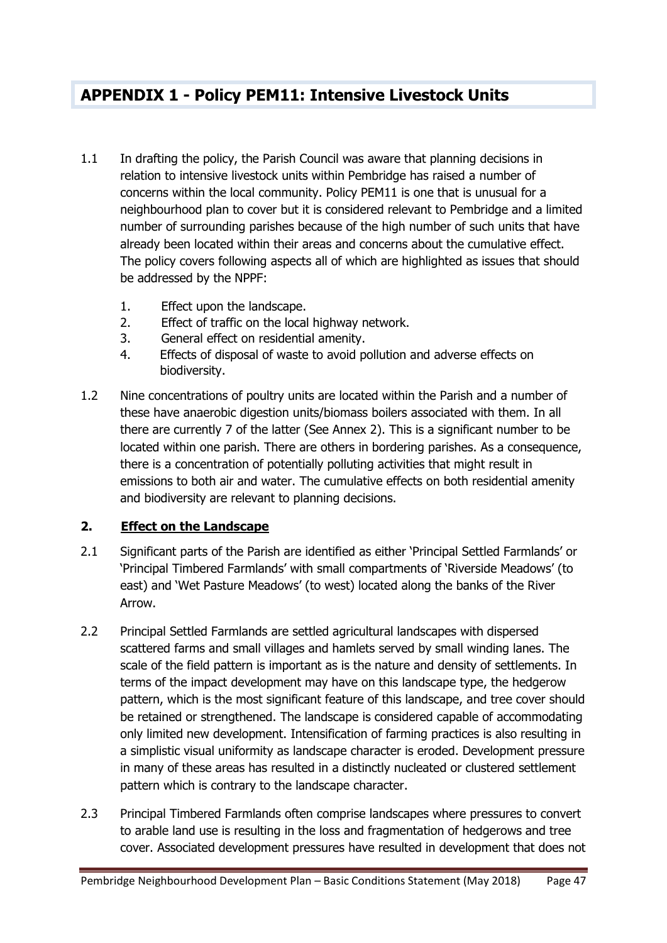## **APPENDIX 1 - Policy PEM11: Intensive Livestock Units**

- 1.1 In drafting the policy, the Parish Council was aware that planning decisions in relation to intensive livestock units within Pembridge has raised a number of concerns within the local community. Policy PEM11 is one that is unusual for a neighbourhood plan to cover but it is considered relevant to Pembridge and a limited number of surrounding parishes because of the high number of such units that have already been located within their areas and concerns about the cumulative effect. The policy covers following aspects all of which are highlighted as issues that should be addressed by the NPPF:
	- 1. Effect upon the landscape.
	- 2. Effect of traffic on the local highway network.
	- 3. General effect on residential amenity.
	- 4. Effects of disposal of waste to avoid pollution and adverse effects on biodiversity.
- 1.2 Nine concentrations of poultry units are located within the Parish and a number of these have anaerobic digestion units/biomass boilers associated with them. In all there are currently 7 of the latter (See Annex 2). This is a significant number to be located within one parish. There are others in bordering parishes. As a consequence, there is a concentration of potentially polluting activities that might result in emissions to both air and water. The cumulative effects on both residential amenity and biodiversity are relevant to planning decisions.

### **2. Effect on the Landscape**

- 2.1 Significant parts of the Parish are identified as either 'Principal Settled Farmlands' or 'Principal Timbered Farmlands' with small compartments of 'Riverside Meadows' (to east) and 'Wet Pasture Meadows' (to west) located along the banks of the River Arrow.
- 2.2 Principal Settled Farmlands are settled agricultural landscapes with dispersed scattered farms and small villages and hamlets served by small winding lanes. The scale of the field pattern is important as is the nature and density of settlements. In terms of the impact development may have on this landscape type, the hedgerow pattern, which is the most significant feature of this landscape, and tree cover should be retained or strengthened. The landscape is considered capable of accommodating only limited new development. Intensification of farming practices is also resulting in a simplistic visual uniformity as landscape character is eroded. Development pressure in many of these areas has resulted in a distinctly nucleated or clustered settlement pattern which is contrary to the landscape character.
- 2.3 Principal Timbered Farmlands often comprise landscapes where pressures to convert to arable land use is resulting in the loss and fragmentation of hedgerows and tree cover. Associated development pressures have resulted in development that does not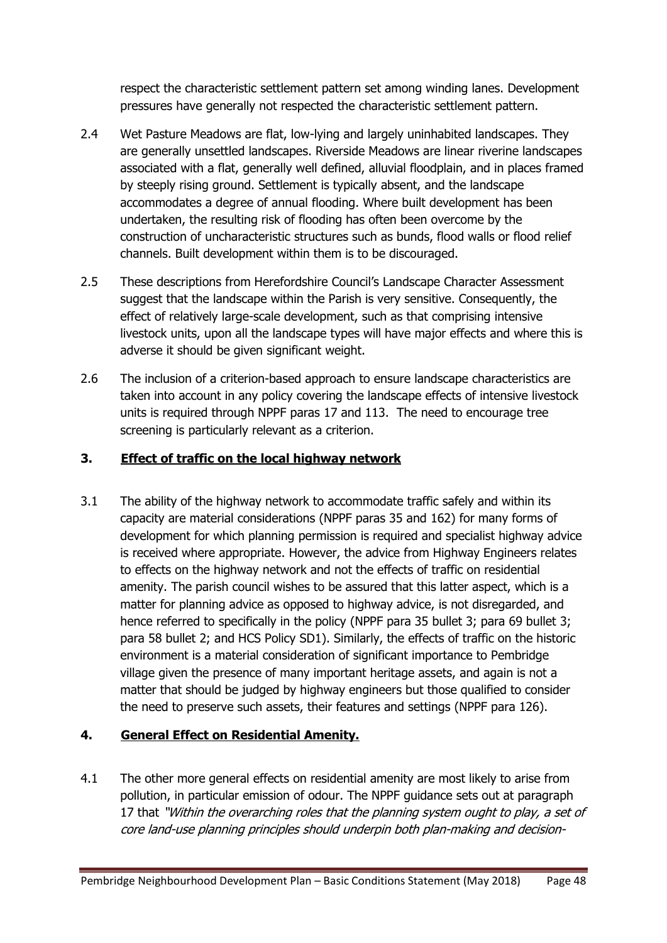respect the characteristic settlement pattern set among winding lanes. Development pressures have generally not respected the characteristic settlement pattern.

- 2.4 Wet Pasture Meadows are flat, low-lying and largely uninhabited landscapes. They are generally unsettled landscapes. Riverside Meadows are linear riverine landscapes associated with a flat, generally well defined, alluvial floodplain, and in places framed by steeply rising ground. Settlement is typically absent, and the landscape accommodates a degree of annual flooding. Where built development has been undertaken, the resulting risk of flooding has often been overcome by the construction of uncharacteristic structures such as bunds, flood walls or flood relief channels. Built development within them is to be discouraged.
- 2.5 These descriptions from Herefordshire Council's Landscape Character Assessment suggest that the landscape within the Parish is very sensitive. Consequently, the effect of relatively large-scale development, such as that comprising intensive livestock units, upon all the landscape types will have major effects and where this is adverse it should be given significant weight.
- 2.6 The inclusion of a criterion-based approach to ensure landscape characteristics are taken into account in any policy covering the landscape effects of intensive livestock units is required through NPPF paras 17 and 113. The need to encourage tree screening is particularly relevant as a criterion.

### **3. Effect of traffic on the local highway network**

3.1 The ability of the highway network to accommodate traffic safely and within its capacity are material considerations (NPPF paras 35 and 162) for many forms of development for which planning permission is required and specialist highway advice is received where appropriate. However, the advice from Highway Engineers relates to effects on the highway network and not the effects of traffic on residential amenity. The parish council wishes to be assured that this latter aspect, which is a matter for planning advice as opposed to highway advice, is not disregarded, and hence referred to specifically in the policy (NPPF para 35 bullet 3; para 69 bullet 3; para 58 bullet 2; and HCS Policy SD1). Similarly, the effects of traffic on the historic environment is a material consideration of significant importance to Pembridge village given the presence of many important heritage assets, and again is not a matter that should be judged by highway engineers but those qualified to consider the need to preserve such assets, their features and settings (NPPF para 126).

### **4. General Effect on Residential Amenity.**

4.1 The other more general effects on residential amenity are most likely to arise from pollution, in particular emission of odour. The NPPF guidance sets out at paragraph 17 that "Within the overarching roles that the planning system ought to play, a set of core land-use planning principles should underpin both plan-making and decision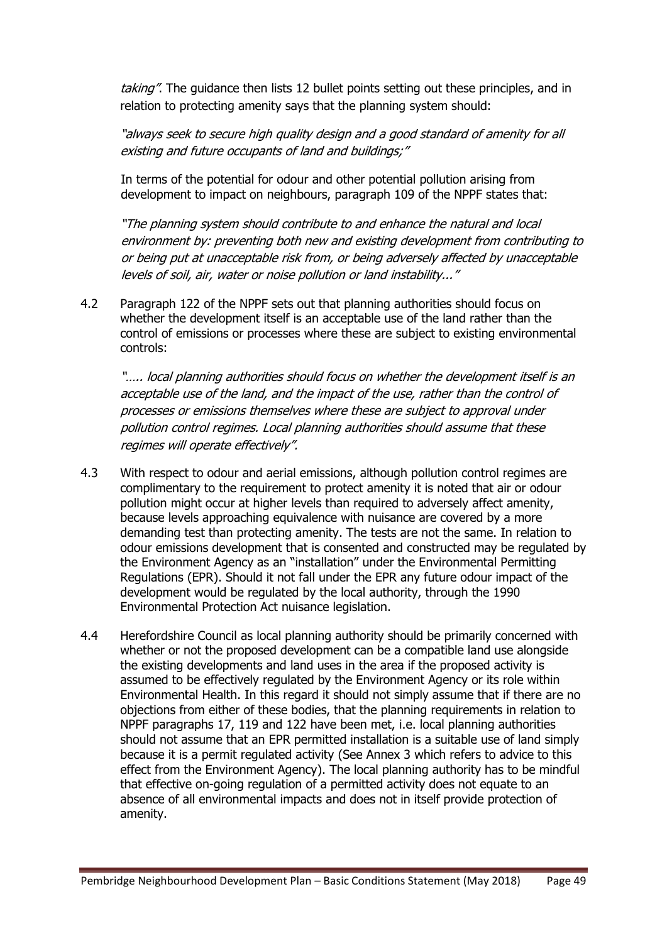taking". The guidance then lists 12 bullet points setting out these principles, and in relation to protecting amenity says that the planning system should:

"always seek to secure high quality design and a good standard of amenity for all existing and future occupants of land and buildings;"

In terms of the potential for odour and other potential pollution arising from development to impact on neighbours, paragraph 109 of the NPPF states that:

"The planning system should contribute to and enhance the natural and local environment by: preventing both new and existing development from contributing to or being put at unacceptable risk from, or being adversely affected by unacceptable levels of soil, air, water or noise pollution or land instability..."

4.2 Paragraph 122 of the NPPF sets out that planning authorities should focus on whether the development itself is an acceptable use of the land rather than the control of emissions or processes where these are subject to existing environmental controls:

"..... local planning authorities should focus on whether the development itself is an acceptable use of the land, and the impact of the use, rather than the control of processes or emissions themselves where these are subject to approval under pollution control regimes. Local planning authorities should assume that these regimes will operate effectively".

- 4.3 With respect to odour and aerial emissions, although pollution control regimes are complimentary to the requirement to protect amenity it is noted that air or odour pollution might occur at higher levels than required to adversely affect amenity, because levels approaching equivalence with nuisance are covered by a more demanding test than protecting amenity. The tests are not the same. In relation to odour emissions development that is consented and constructed may be regulated by the Environment Agency as an "installation" under the Environmental Permitting Regulations (EPR). Should it not fall under the EPR any future odour impact of the development would be regulated by the local authority, through the 1990 Environmental Protection Act nuisance legislation.
- 4.4 Herefordshire Council as local planning authority should be primarily concerned with whether or not the proposed development can be a compatible land use alongside the existing developments and land uses in the area if the proposed activity is assumed to be effectively regulated by the Environment Agency or its role within Environmental Health. In this regard it should not simply assume that if there are no objections from either of these bodies, that the planning requirements in relation to NPPF paragraphs 17, 119 and 122 have been met, i.e. local planning authorities should not assume that an EPR permitted installation is a suitable use of land simply because it is a permit regulated activity (See Annex 3 which refers to advice to this effect from the Environment Agency). The local planning authority has to be mindful that effective on-going regulation of a permitted activity does not equate to an absence of all environmental impacts and does not in itself provide protection of amenity.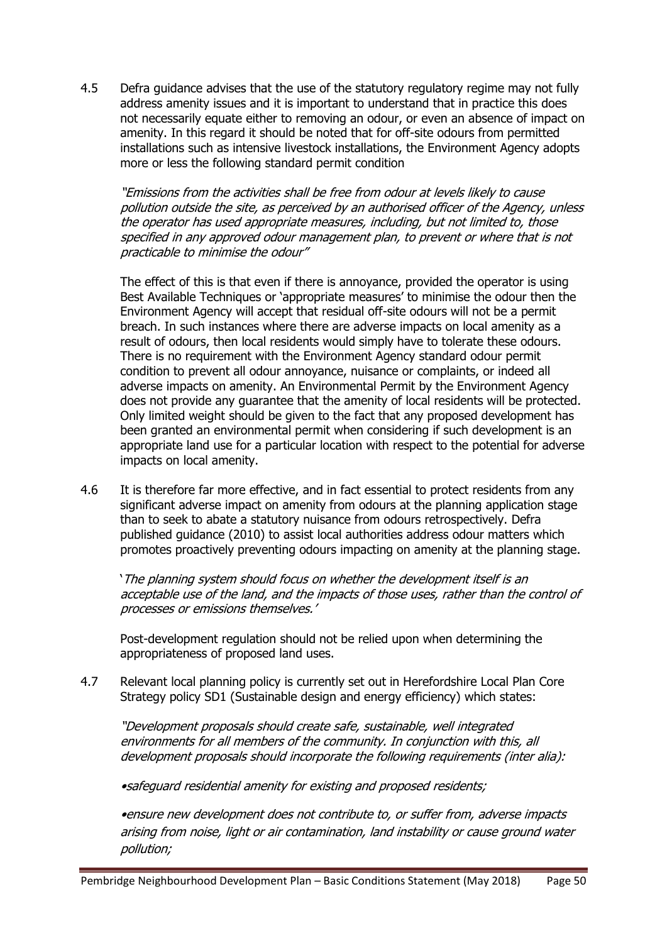4.5 Defra guidance advises that the use of the statutory regulatory regime may not fully address amenity issues and it is important to understand that in practice this does not necessarily equate either to removing an odour, or even an absence of impact on amenity. In this regard it should be noted that for off-site odours from permitted installations such as intensive livestock installations, the Environment Agency adopts more or less the following standard permit condition

"Emissions from the activities shall be free from odour at levels likely to cause pollution outside the site, as perceived by an authorised officer of the Agency, unless the operator has used appropriate measures, including, but not limited to, those specified in any approved odour management plan, to prevent or where that is not practicable to minimise the odour"

The effect of this is that even if there is annoyance, provided the operator is using Best Available Techniques or 'appropriate measures' to minimise the odour then the Environment Agency will accept that residual off-site odours will not be a permit breach. In such instances where there are adverse impacts on local amenity as a result of odours, then local residents would simply have to tolerate these odours. There is no requirement with the Environment Agency standard odour permit condition to prevent all odour annoyance, nuisance or complaints, or indeed all adverse impacts on amenity. An Environmental Permit by the Environment Agency does not provide any guarantee that the amenity of local residents will be protected. Only limited weight should be given to the fact that any proposed development has been granted an environmental permit when considering if such development is an appropriate land use for a particular location with respect to the potential for adverse impacts on local amenity.

4.6 It is therefore far more effective, and in fact essential to protect residents from any significant adverse impact on amenity from odours at the planning application stage than to seek to abate a statutory nuisance from odours retrospectively. Defra published guidance (2010) to assist local authorities address odour matters which promotes proactively preventing odours impacting on amenity at the planning stage.

'The planning system should focus on whether the development itself is an acceptable use of the land, and the impacts of those uses, rather than the control of processes or emissions themselves.'

Post-development regulation should not be relied upon when determining the appropriateness of proposed land uses.

4.7 Relevant local planning policy is currently set out in Herefordshire Local Plan Core Strategy policy SD1 (Sustainable design and energy efficiency) which states:

"Development proposals should create safe, sustainable, well integrated environments for all members of the community. In conjunction with this, all development proposals should incorporate the following requirements (inter alia):

•safeguard residential amenity for existing and proposed residents;

•ensure new development does not contribute to, or suffer from, adverse impacts arising from noise, light or air contamination, land instability or cause ground water pollution;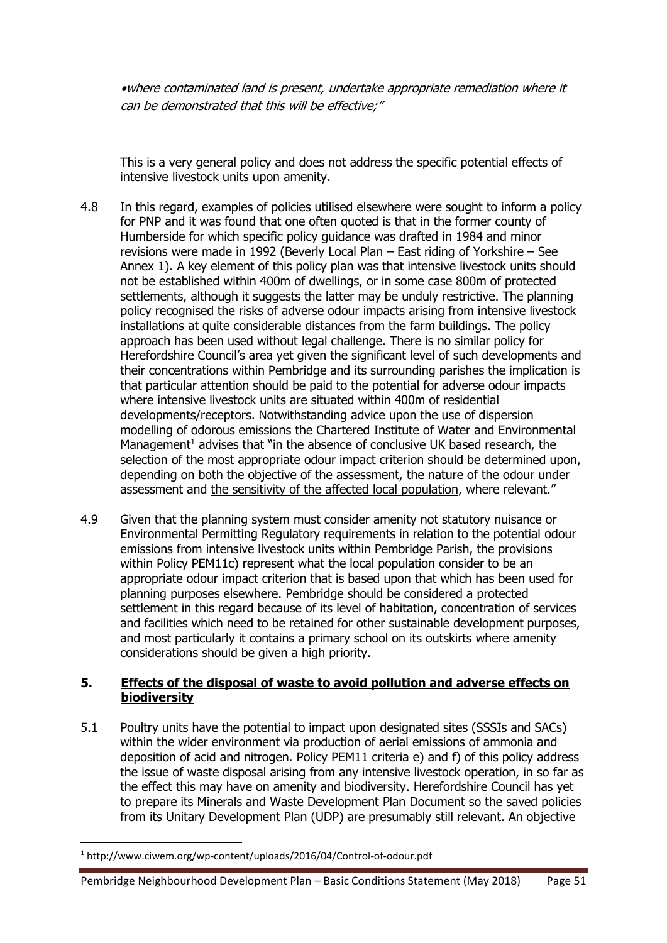•where contaminated land is present, undertake appropriate remediation where it can be demonstrated that this will be effective;"

This is a very general policy and does not address the specific potential effects of intensive livestock units upon amenity.

- 4.8 In this regard, examples of policies utilised elsewhere were sought to inform a policy for PNP and it was found that one often quoted is that in the former county of Humberside for which specific policy guidance was drafted in 1984 and minor revisions were made in 1992 (Beverly Local Plan – East riding of Yorkshire – See Annex 1). A key element of this policy plan was that intensive livestock units should not be established within 400m of dwellings, or in some case 800m of protected settlements, although it suggests the latter may be unduly restrictive. The planning policy recognised the risks of adverse odour impacts arising from intensive livestock installations at quite considerable distances from the farm buildings. The policy approach has been used without legal challenge. There is no similar policy for Herefordshire Council's area yet given the significant level of such developments and their concentrations within Pembridge and its surrounding parishes the implication is that particular attention should be paid to the potential for adverse odour impacts where intensive livestock units are situated within 400m of residential developments/receptors. Notwithstanding advice upon the use of dispersion modelling of odorous emissions the Chartered Institute of Water and Environmental Management<sup>1</sup> advises that "in the absence of conclusive UK based research, the selection of the most appropriate odour impact criterion should be determined upon, depending on both the objective of the assessment, the nature of the odour under assessment and the sensitivity of the affected local population, where relevant."
- 4.9 Given that the planning system must consider amenity not statutory nuisance or Environmental Permitting Regulatory requirements in relation to the potential odour emissions from intensive livestock units within Pembridge Parish, the provisions within Policy PEM11c) represent what the local population consider to be an appropriate odour impact criterion that is based upon that which has been used for planning purposes elsewhere. Pembridge should be considered a protected settlement in this regard because of its level of habitation, concentration of services and facilities which need to be retained for other sustainable development purposes, and most particularly it contains a primary school on its outskirts where amenity considerations should be given a high priority.

### **5. Effects of the disposal of waste to avoid pollution and adverse effects on biodiversity**

5.1 Poultry units have the potential to impact upon designated sites (SSSIs and SACs) within the wider environment via production of aerial emissions of ammonia and deposition of acid and nitrogen. Policy PEM11 criteria e) and f) of this policy address the issue of waste disposal arising from any intensive livestock operation, in so far as the effect this may have on amenity and biodiversity. Herefordshire Council has yet to prepare its Minerals and Waste Development Plan Document so the saved policies from its Unitary Development Plan (UDP) are presumably still relevant. An objective

**.** 

<sup>1</sup> http://www.ciwem.org/wp-content/uploads/2016/04/Control-of-odour.pdf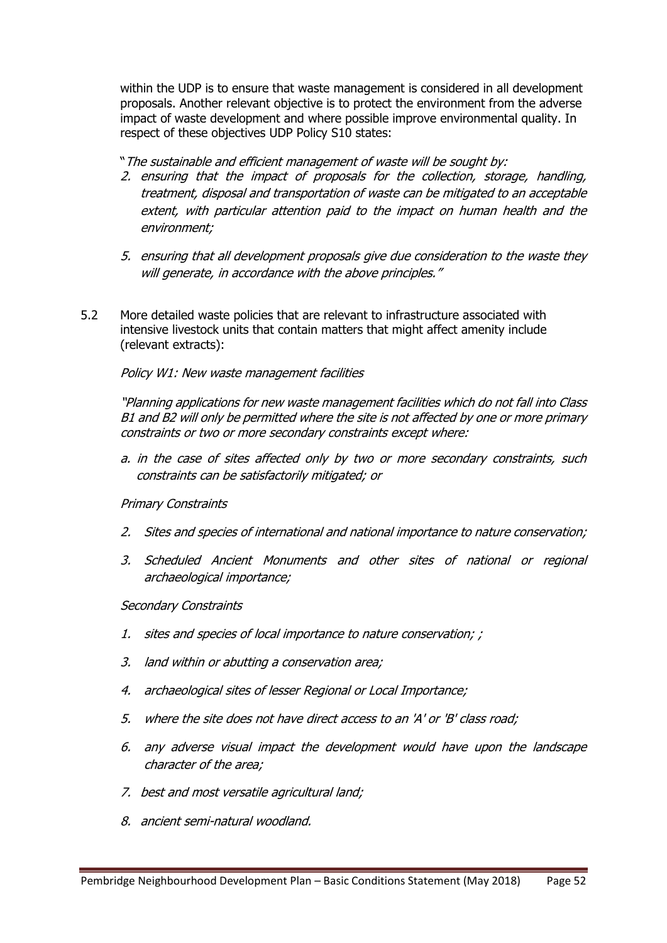within the UDP is to ensure that waste management is considered in all development proposals. Another relevant objective is to protect the environment from the adverse impact of waste development and where possible improve environmental quality. In respect of these objectives UDP Policy S10 states:

"The sustainable and efficient management of waste will be sought by:

- 2. ensuring that the impact of proposals for the collection, storage, handling, treatment, disposal and transportation of waste can be mitigated to an acceptable extent, with particular attention paid to the impact on human health and the environment;
- 5. ensuring that all development proposals give due consideration to the waste they will generate, in accordance with the above principles."
- 5.2 More detailed waste policies that are relevant to infrastructure associated with intensive livestock units that contain matters that might affect amenity include (relevant extracts):

### Policy W1: New waste management facilities

"Planning applications for new waste management facilities which do not fall into Class B1 and B2 will only be permitted where the site is not affected by one or more primary constraints or two or more secondary constraints except where:

a. in the case of sites affected only by two or more secondary constraints, such constraints can be satisfactorily mitigated; or

#### Primary Constraints

- 2. Sites and species of international and national importance to nature conservation;
- 3. Scheduled Ancient Monuments and other sites of national or regional archaeological importance;

#### Secondary Constraints

- 1. sites and species of local importance to nature conservation; ;
- 3. land within or abutting a conservation area;
- 4. archaeological sites of lesser Regional or Local Importance;
- 5. where the site does not have direct access to an 'A' or 'B' class road;
- 6. any adverse visual impact the development would have upon the landscape character of the area;
- 7. best and most versatile agricultural land;
- 8. ancient semi-natural woodland.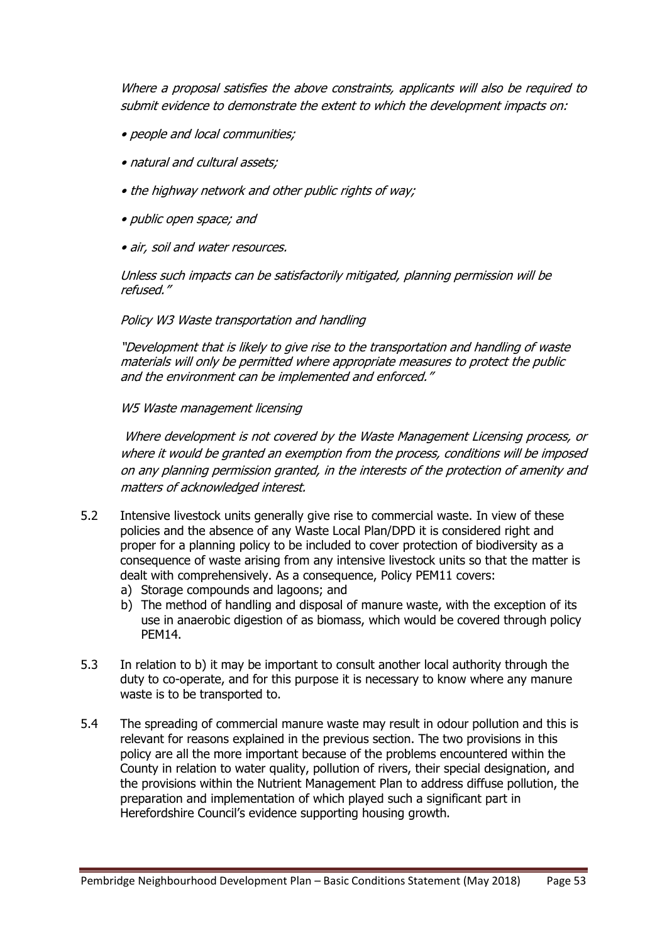Where a proposal satisfies the above constraints, applicants will also be required to submit evidence to demonstrate the extent to which the development impacts on:

- people and local communities;
- natural and cultural assets;
- the highway network and other public rights of way;
- public open space; and
- air, soil and water resources.

Unless such impacts can be satisfactorily mitigated, planning permission will be refused."

#### Policy W3 Waste transportation and handling

"Development that is likely to give rise to the transportation and handling of waste materials will only be permitted where appropriate measures to protect the public and the environment can be implemented and enforced."

#### W5 Waste management licensing

Where development is not covered by the Waste Management Licensing process, or where it would be granted an exemption from the process, conditions will be imposed on any planning permission granted, in the interests of the protection of amenity and matters of acknowledged interest.

- 5.2 Intensive livestock units generally give rise to commercial waste. In view of these policies and the absence of any Waste Local Plan/DPD it is considered right and proper for a planning policy to be included to cover protection of biodiversity as a consequence of waste arising from any intensive livestock units so that the matter is dealt with comprehensively. As a consequence, Policy PEM11 covers:
	- a) Storage compounds and lagoons; and
	- b) The method of handling and disposal of manure waste, with the exception of its use in anaerobic digestion of as biomass, which would be covered through policy PEM14.
- 5.3 In relation to b) it may be important to consult another local authority through the duty to co-operate, and for this purpose it is necessary to know where any manure waste is to be transported to.
- 5.4 The spreading of commercial manure waste may result in odour pollution and this is relevant for reasons explained in the previous section. The two provisions in this policy are all the more important because of the problems encountered within the County in relation to water quality, pollution of rivers, their special designation, and the provisions within the Nutrient Management Plan to address diffuse pollution, the preparation and implementation of which played such a significant part in Herefordshire Council's evidence supporting housing growth.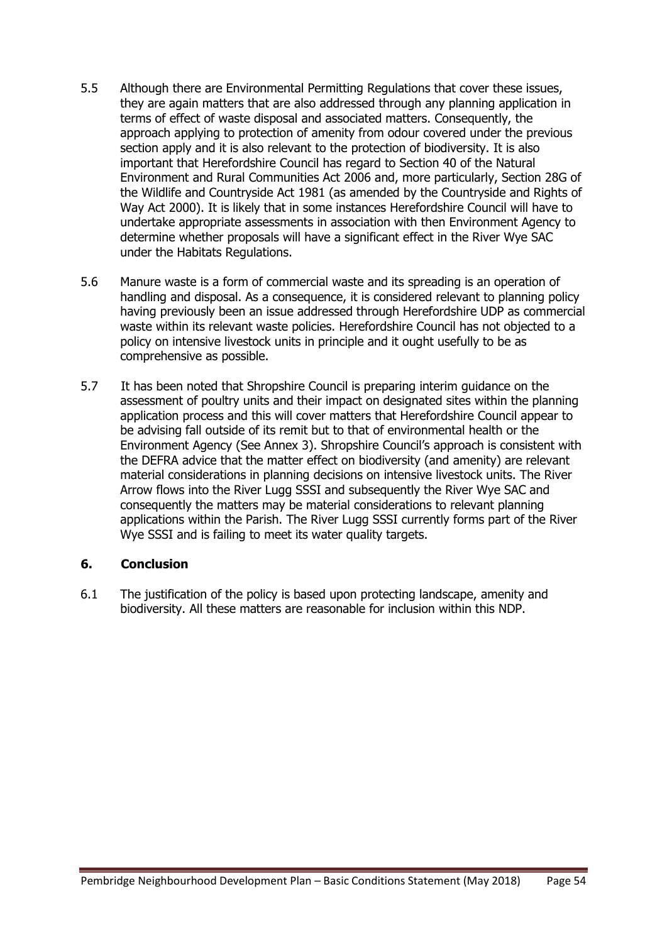- 5.5 Although there are Environmental Permitting Regulations that cover these issues, they are again matters that are also addressed through any planning application in terms of effect of waste disposal and associated matters. Consequently, the approach applying to protection of amenity from odour covered under the previous section apply and it is also relevant to the protection of biodiversity. It is also important that Herefordshire Council has regard to Section 40 of the Natural Environment and Rural Communities Act 2006 and, more particularly, Section 28G of the Wildlife and Countryside Act 1981 (as amended by the Countryside and Rights of Way Act 2000). It is likely that in some instances Herefordshire Council will have to undertake appropriate assessments in association with then Environment Agency to determine whether proposals will have a significant effect in the River Wye SAC under the Habitats Regulations.
- 5.6 Manure waste is a form of commercial waste and its spreading is an operation of handling and disposal. As a consequence, it is considered relevant to planning policy having previously been an issue addressed through Herefordshire UDP as commercial waste within its relevant waste policies. Herefordshire Council has not objected to a policy on intensive livestock units in principle and it ought usefully to be as comprehensive as possible.
- 5.7 It has been noted that Shropshire Council is preparing interim guidance on the assessment of poultry units and their impact on designated sites within the planning application process and this will cover matters that Herefordshire Council appear to be advising fall outside of its remit but to that of environmental health or the Environment Agency (See Annex 3). Shropshire Council's approach is consistent with the DEFRA advice that the matter effect on biodiversity (and amenity) are relevant material considerations in planning decisions on intensive livestock units. The River Arrow flows into the River Lugg SSSI and subsequently the River Wye SAC and consequently the matters may be material considerations to relevant planning applications within the Parish. The River Lugg SSSI currently forms part of the River Wye SSSI and is failing to meet its water quality targets.

### **6. Conclusion**

6.1 The justification of the policy is based upon protecting landscape, amenity and biodiversity. All these matters are reasonable for inclusion within this NDP.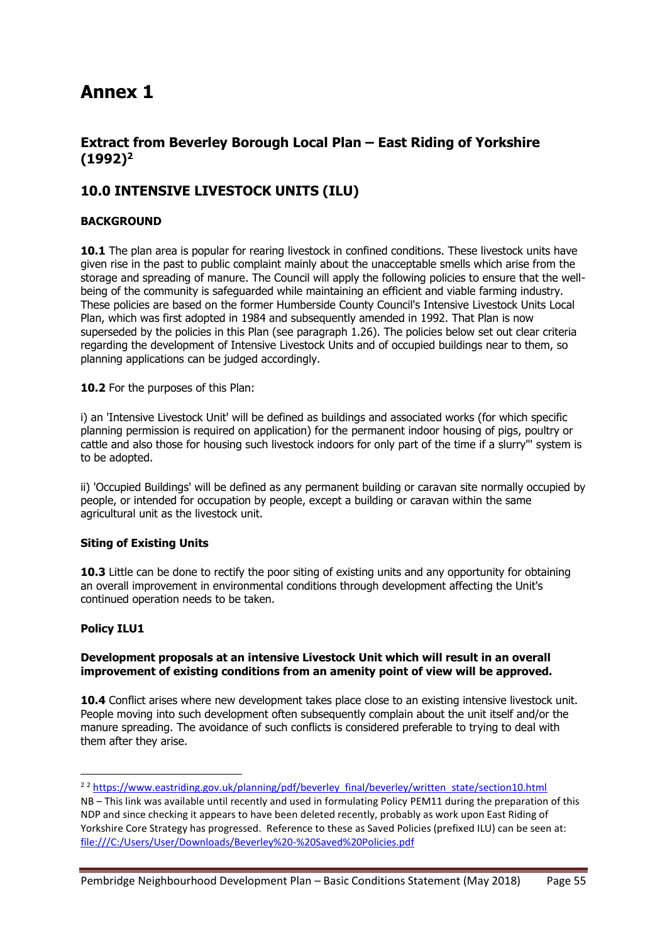## **Annex 1**

### **Extract from Beverley Borough Local Plan – East Riding of Yorkshire (1992)<sup>2</sup>**

### **10.0 INTENSIVE LIVESTOCK UNITS (ILU)**

#### **BACKGROUND**

10.1 The plan area is popular for rearing livestock in confined conditions. These livestock units have given rise in the past to public complaint mainly about the unacceptable smells which arise from the storage and spreading of manure. The Council will apply the following policies to ensure that the wellbeing of the community is safeguarded while maintaining an efficient and viable farming industry. These policies are based on the former Humberside County Council's Intensive Livestock Units Local Plan, which was first adopted in 1984 and subsequently amended in 1992. That Plan is now superseded by the policies in this Plan (see paragraph 1.26). The policies below set out clear criteria regarding the development of Intensive Livestock Units and of occupied buildings near to them, so planning applications can be judged accordingly.

10.2 For the purposes of this Plan:

i) an 'Intensive Livestock Unit' will be defined as buildings and associated works (for which specific planning permission is required on application) for the permanent indoor housing of pigs, poultry or cattle and also those for housing such livestock indoors for only part of the time if a slurry"' system is to be adopted.

ii) 'Occupied Buildings' will be defined as any permanent building or caravan site normally occupied by people, or intended for occupation by people, except a building or caravan within the same agricultural unit as the livestock unit.

#### **Siting of Existing Units**

**10.3** Little can be done to rectify the poor siting of existing units and any opportunity for obtaining an overall improvement in environmental conditions through development affecting the Unit's continued operation needs to be taken.

#### **Policy ILU1**

**.** 

#### **Development proposals at an intensive Livestock Unit which will result in an overall improvement of existing conditions from an amenity point of view will be approved.**

**10.4** Conflict arises where new development takes place close to an existing intensive livestock unit. People moving into such development often subsequently complain about the unit itself and/or the manure spreading. The avoidance of such conflicts is considered preferable to trying to deal with them after they arise.

<sup>&</sup>lt;sup>2</sup> 2</sup> [https://www.eastriding.gov.uk/planning/pdf/beverley\\_final/beverley/written\\_state/section10.html](https://www.eastriding.gov.uk/planning/pdf/beverley_final/beverley/written_state/section10.html) NB – This link was available until recently and used in formulating Policy PEM11 during the preparation of this

NDP and since checking it appears to have been deleted recently, probably as work upon East Riding of Yorkshire Core Strategy has progressed. Reference to these as Saved Policies (prefixed ILU) can be seen at: <file:///C:/Users/User/Downloads/Beverley%20-%20Saved%20Policies.pdf>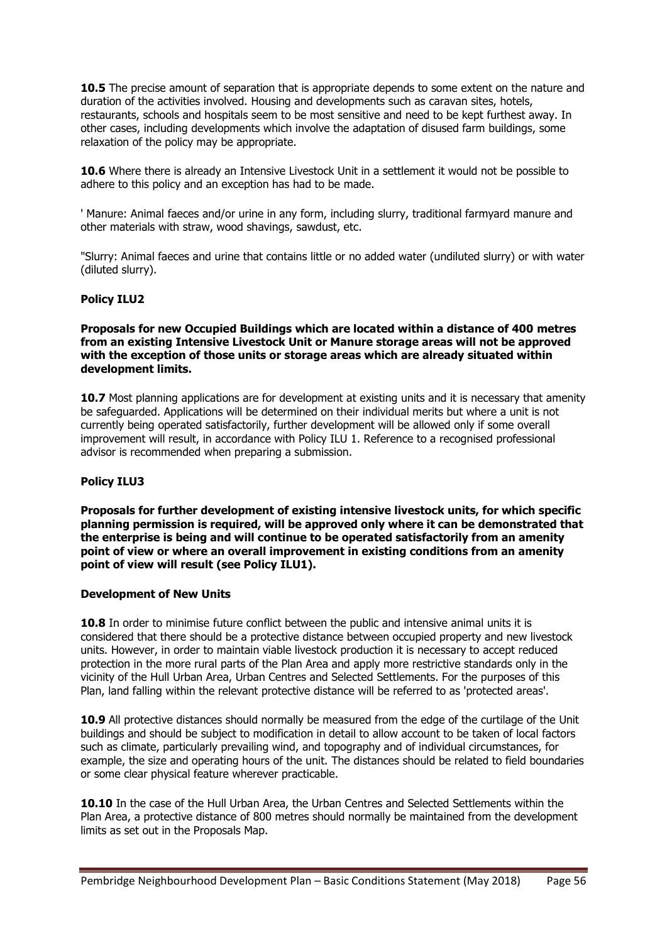**10.5** The precise amount of separation that is appropriate depends to some extent on the nature and duration of the activities involved. Housing and developments such as caravan sites, hotels, restaurants, schools and hospitals seem to be most sensitive and need to be kept furthest away. In other cases, including developments which involve the adaptation of disused farm buildings, some relaxation of the policy may be appropriate.

**10.6** Where there is already an Intensive Livestock Unit in a settlement it would not be possible to adhere to this policy and an exception has had to be made.

' Manure: Animal faeces and/or urine in any form, including slurry, traditional farmyard manure and other materials with straw, wood shavings, sawdust, etc.

"Slurry: Animal faeces and urine that contains little or no added water (undiluted slurry) or with water (diluted slurry).

#### **Policy ILU2**

**Proposals for new Occupied Buildings which are located within a distance of 400 metres from an existing Intensive Livestock Unit or Manure storage areas will not be approved with the exception of those units or storage areas which are already situated within development limits.**

**10.7** Most planning applications are for development at existing units and it is necessary that amenity be safeguarded. Applications will be determined on their individual merits but where a unit is not currently being operated satisfactorily, further development will be allowed only if some overall improvement will result, in accordance with Policy ILU 1. Reference to a recognised professional advisor is recommended when preparing a submission.

#### **Policy ILU3**

**Proposals for further development of existing intensive livestock units, for which specific planning permission is required, will be approved only where it can be demonstrated that the enterprise is being and will continue to be operated satisfactorily from an amenity point of view or where an overall improvement in existing conditions from an amenity point of view will result (see Policy ILU1).**

#### **Development of New Units**

**10.8** In order to minimise future conflict between the public and intensive animal units it is considered that there should be a protective distance between occupied property and new livestock units. However, in order to maintain viable livestock production it is necessary to accept reduced protection in the more rural parts of the Plan Area and apply more restrictive standards only in the vicinity of the Hull Urban Area, Urban Centres and Selected Settlements. For the purposes of this Plan, land falling within the relevant protective distance will be referred to as 'protected areas'.

**10.9** All protective distances should normally be measured from the edge of the curtilage of the Unit buildings and should be subject to modification in detail to allow account to be taken of local factors such as climate, particularly prevailing wind, and topography and of individual circumstances, for example, the size and operating hours of the unit. The distances should be related to field boundaries or some clear physical feature wherever practicable.

10.10 In the case of the Hull Urban Area, the Urban Centres and Selected Settlements within the Plan Area, a protective distance of 800 metres should normally be maintained from the development limits as set out in the Proposals Map.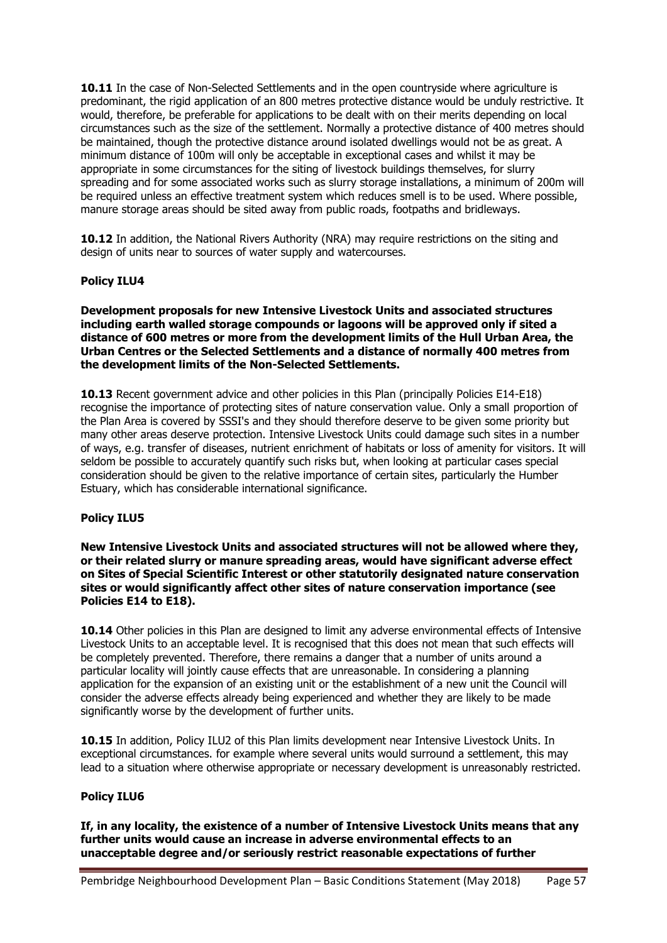**10.11** In the case of Non-Selected Settlements and in the open countryside where agriculture is predominant, the rigid application of an 800 metres protective distance would be unduly restrictive. It would, therefore, be preferable for applications to be dealt with on their merits depending on local circumstances such as the size of the settlement. Normally a protective distance of 400 metres should be maintained, though the protective distance around isolated dwellings would not be as great. A minimum distance of 100m will only be acceptable in exceptional cases and whilst it may be appropriate in some circumstances for the siting of livestock buildings themselves, for slurry spreading and for some associated works such as slurry storage installations, a minimum of 200m will be required unless an effective treatment system which reduces smell is to be used. Where possible, manure storage areas should be sited away from public roads, footpaths and bridleways.

10.12 In addition, the National Rivers Authority (NRA) may require restrictions on the siting and design of units near to sources of water supply and watercourses.

#### **Policy ILU4**

**Development proposals for new Intensive Livestock Units and associated structures including earth walled storage compounds or lagoons will be approved only if sited a distance of 600 metres or more from the development limits of the Hull Urban Area, the Urban Centres or the Selected Settlements and a distance of normally 400 metres from the development limits of the Non-Selected Settlements.**

**10.13** Recent government advice and other policies in this Plan (principally Policies E14-E18) recognise the importance of protecting sites of nature conservation value. Only a small proportion of the Plan Area is covered by SSSI's and they should therefore deserve to be given some priority but many other areas deserve protection. Intensive Livestock Units could damage such sites in a number of ways, e.g. transfer of diseases, nutrient enrichment of habitats or loss of amenity for visitors. It will seldom be possible to accurately quantify such risks but, when looking at particular cases special consideration should be given to the relative importance of certain sites, particularly the Humber Estuary, which has considerable international significance.

#### **Policy ILU5**

**New Intensive Livestock Units and associated structures will not be allowed where they, or their related slurry or manure spreading areas, would have significant adverse effect on Sites of Special Scientific Interest or other statutorily designated nature conservation sites or would significantly affect other sites of nature conservation importance (see Policies E14 to E18).**

10.14 Other policies in this Plan are designed to limit any adverse environmental effects of Intensive Livestock Units to an acceptable level. It is recognised that this does not mean that such effects will be completely prevented. Therefore, there remains a danger that a number of units around a particular locality will jointly cause effects that are unreasonable. In considering a planning application for the expansion of an existing unit or the establishment of a new unit the Council will consider the adverse effects already being experienced and whether they are likely to be made significantly worse by the development of further units.

10.15 In addition, Policy ILU2 of this Plan limits development near Intensive Livestock Units. In exceptional circumstances. for example where several units would surround a settlement, this may lead to a situation where otherwise appropriate or necessary development is unreasonably restricted.

#### **Policy ILU6**

**If, in any locality, the existence of a number of Intensive Livestock Units means that any further units would cause an increase in adverse environmental effects to an unacceptable degree and/or seriously restrict reasonable expectations of further**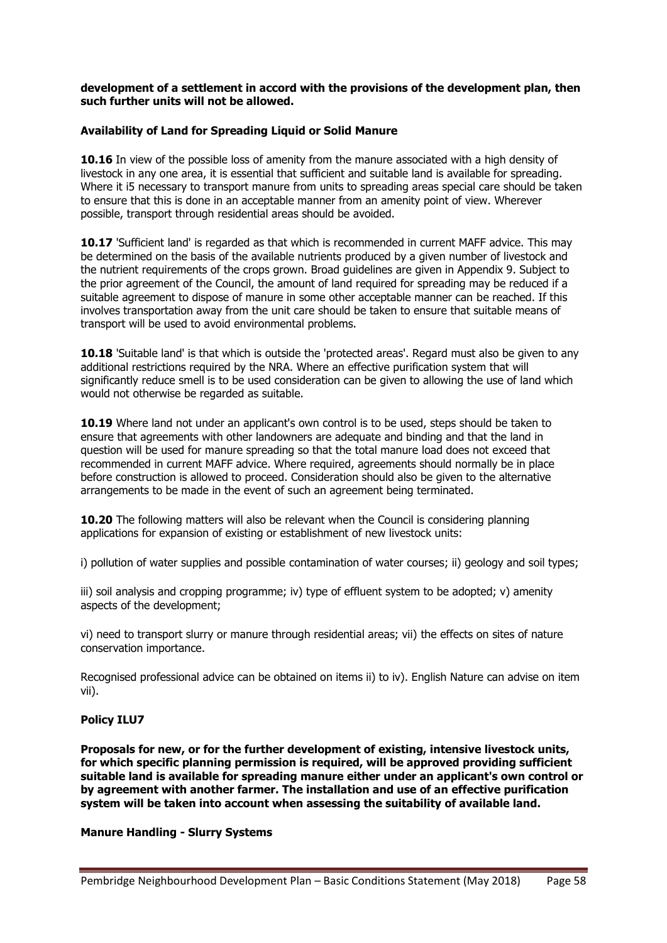#### **development of a settlement in accord with the provisions of the development plan, then such further units will not be allowed.**

#### **Availability of Land for Spreading Liquid or Solid Manure**

**10.16** In view of the possible loss of amenity from the manure associated with a high density of livestock in any one area, it is essential that sufficient and suitable land is available for spreading. Where it i5 necessary to transport manure from units to spreading areas special care should be taken to ensure that this is done in an acceptable manner from an amenity point of view. Wherever possible, transport through residential areas should be avoided.

**10.17** 'Sufficient land' is regarded as that which is recommended in current MAFF advice. This may be determined on the basis of the available nutrients produced by a given number of livestock and the nutrient requirements of the crops grown. Broad guidelines are given in Appendix 9. Subject to the prior agreement of the Council, the amount of land required for spreading may be reduced if a suitable agreement to dispose of manure in some other acceptable manner can be reached. If this involves transportation away from the unit care should be taken to ensure that suitable means of transport will be used to avoid environmental problems.

**10.18** 'Suitable land' is that which is outside the 'protected areas'. Regard must also be given to any additional restrictions required by the NRA. Where an effective purification system that will significantly reduce smell is to be used consideration can be given to allowing the use of land which would not otherwise be regarded as suitable.

**10.19** Where land not under an applicant's own control is to be used, steps should be taken to ensure that agreements with other landowners are adequate and binding and that the land in question will be used for manure spreading so that the total manure load does not exceed that recommended in current MAFF advice. Where required, agreements should normally be in place before construction is allowed to proceed. Consideration should also be given to the alternative arrangements to be made in the event of such an agreement being terminated.

**10.20** The following matters will also be relevant when the Council is considering planning applications for expansion of existing or establishment of new livestock units:

i) pollution of water supplies and possible contamination of water courses; ii) geology and soil types;

iii) soil analysis and cropping programme; iv) type of effluent system to be adopted; v) amenity aspects of the development;

vi) need to transport slurry or manure through residential areas; vii) the effects on sites of nature conservation importance.

Recognised professional advice can be obtained on items ii) to iv). English Nature can advise on item vii).

#### **Policy ILU7**

**Proposals for new, or for the further development of existing, intensive livestock units, for which specific planning permission is required, will be approved providing sufficient suitable land is available for spreading manure either under an applicant's own control or by agreement with another farmer. The installation and use of an effective purification system will be taken into account when assessing the suitability of available land.**

#### **Manure Handling - Slurry Systems**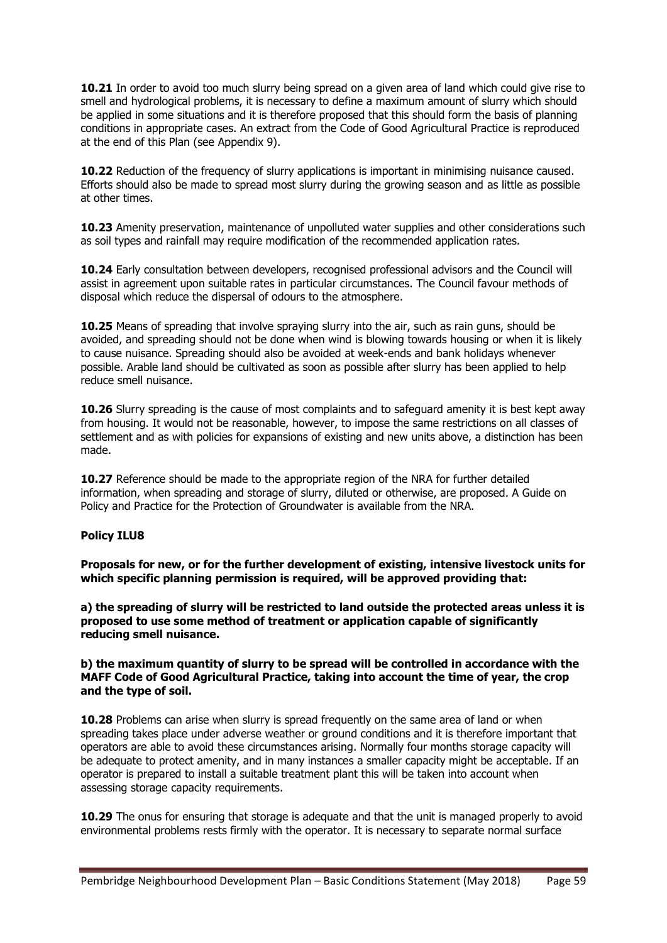**10.21** In order to avoid too much slurry being spread on a given area of land which could give rise to smell and hydrological problems, it is necessary to define a maximum amount of slurry which should be applied in some situations and it is therefore proposed that this should form the basis of planning conditions in appropriate cases. An extract from the Code of Good Agricultural Practice is reproduced at the end of this Plan (see Appendix 9).

**10.22** Reduction of the frequency of slurry applications is important in minimising nuisance caused. Efforts should also be made to spread most slurry during the growing season and as little as possible at other times.

**10.23** Amenity preservation, maintenance of unpolluted water supplies and other considerations such as soil types and rainfall may require modification of the recommended application rates.

**10.24** Early consultation between developers, recognised professional advisors and the Council will assist in agreement upon suitable rates in particular circumstances. The Council favour methods of disposal which reduce the dispersal of odours to the atmosphere.

**10.25** Means of spreading that involve spraying slurry into the air, such as rain guns, should be avoided, and spreading should not be done when wind is blowing towards housing or when it is likely to cause nuisance. Spreading should also be avoided at week-ends and bank holidays whenever possible. Arable land should be cultivated as soon as possible after slurry has been applied to help reduce smell nuisance.

**10.26** Slurry spreading is the cause of most complaints and to safeguard amenity it is best kept away from housing. It would not be reasonable, however, to impose the same restrictions on all classes of settlement and as with policies for expansions of existing and new units above, a distinction has been made.

**10.27** Reference should be made to the appropriate region of the NRA for further detailed information, when spreading and storage of slurry, diluted or otherwise, are proposed. A Guide on Policy and Practice for the Protection of Groundwater is available from the NRA.

#### **Policy ILU8**

**Proposals for new, or for the further development of existing, intensive livestock units for which specific planning permission is required, will be approved providing that:**

**a) the spreading of slurry will be restricted to land outside the protected areas unless it is proposed to use some method of treatment or application capable of significantly reducing smell nuisance.**

#### **b) the maximum quantity of slurry to be spread will be controlled in accordance with the MAFF Code of Good Agricultural Practice, taking into account the time of year, the crop and the type of soil.**

**10.28** Problems can arise when slurry is spread frequently on the same area of land or when spreading takes place under adverse weather or ground conditions and it is therefore important that operators are able to avoid these circumstances arising. Normally four months storage capacity will be adequate to protect amenity, and in many instances a smaller capacity might be acceptable. If an operator is prepared to install a suitable treatment plant this will be taken into account when assessing storage capacity requirements.

**10.29** The onus for ensuring that storage is adequate and that the unit is managed properly to avoid environmental problems rests firmly with the operator. It is necessary to separate normal surface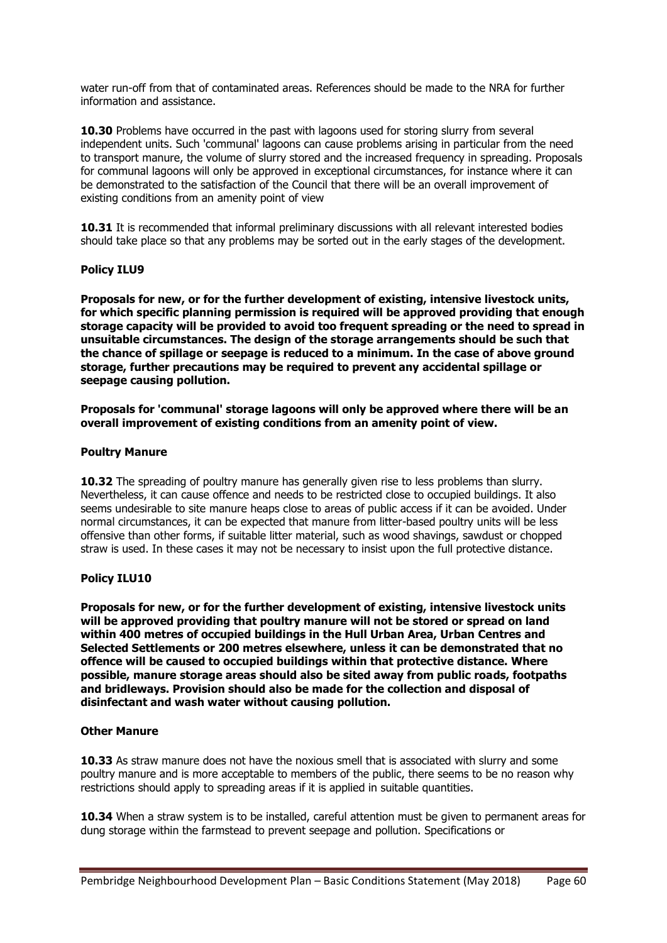water run-off from that of contaminated areas. References should be made to the NRA for further information and assistance.

**10.30** Problems have occurred in the past with lagoons used for storing slurry from several independent units. Such 'communal' lagoons can cause problems arising in particular from the need to transport manure, the volume of slurry stored and the increased frequency in spreading. Proposals for communal lagoons will only be approved in exceptional circumstances, for instance where it can be demonstrated to the satisfaction of the Council that there will be an overall improvement of existing conditions from an amenity point of view

**10.31** It is recommended that informal preliminary discussions with all relevant interested bodies should take place so that any problems may be sorted out in the early stages of the development.

#### **Policy ILU9**

**Proposals for new, or for the further development of existing, intensive livestock units, for which specific planning permission is required will be approved providing that enough storage capacity will be provided to avoid too frequent spreading or the need to spread in unsuitable circumstances. The design of the storage arrangements should be such that the chance of spillage or seepage is reduced to a minimum. In the case of above ground storage, further precautions may be required to prevent any accidental spillage or seepage causing pollution.**

**Proposals for 'communal' storage lagoons will only be approved where there will be an overall improvement of existing conditions from an amenity point of view.**

#### **Poultry Manure**

**10.32** The spreading of poultry manure has generally given rise to less problems than slurry. Nevertheless, it can cause offence and needs to be restricted close to occupied buildings. It also seems undesirable to site manure heaps close to areas of public access if it can be avoided. Under normal circumstances, it can be expected that manure from litter-based poultry units will be less offensive than other forms, if suitable litter material, such as wood shavings, sawdust or chopped straw is used. In these cases it may not be necessary to insist upon the full protective distance.

#### **Policy ILU10**

**Proposals for new, or for the further development of existing, intensive livestock units will be approved providing that poultry manure will not be stored or spread on land within 400 metres of occupied buildings in the Hull Urban Area, Urban Centres and Selected Settlements or 200 metres elsewhere, unless it can be demonstrated that no offence will be caused to occupied buildings within that protective distance. Where possible, manure storage areas should also be sited away from public roads, footpaths and bridleways. Provision should also be made for the collection and disposal of disinfectant and wash water without causing pollution.**

#### **Other Manure**

**10.33** As straw manure does not have the noxious smell that is associated with slurry and some poultry manure and is more acceptable to members of the public, there seems to be no reason why restrictions should apply to spreading areas if it is applied in suitable quantities.

**10.34** When a straw system is to be installed, careful attention must be given to permanent areas for dung storage within the farmstead to prevent seepage and pollution. Specifications or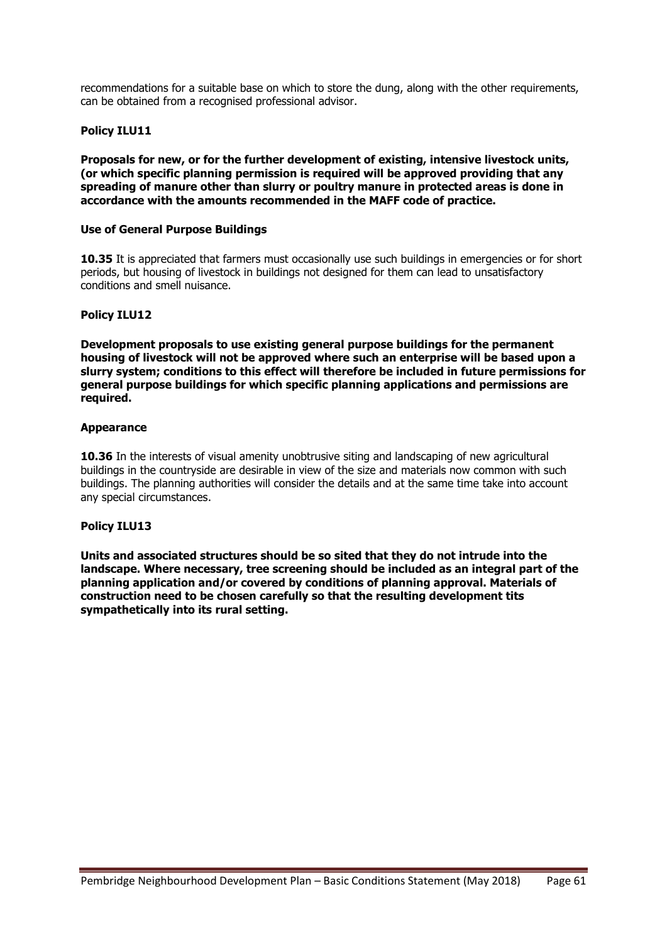recommendations for a suitable base on which to store the dung, along with the other requirements, can be obtained from a recognised professional advisor.

#### **Policy ILU11**

**Proposals for new, or for the further development of existing, intensive livestock units, (or which specific planning permission is required will be approved providing that any spreading of manure other than slurry or poultry manure in protected areas is done in accordance with the amounts recommended in the MAFF code of practice.**

#### **Use of General Purpose Buildings**

**10.35** It is appreciated that farmers must occasionally use such buildings in emergencies or for short periods, but housing of livestock in buildings not designed for them can lead to unsatisfactory conditions and smell nuisance.

#### **Policy ILU12**

**Development proposals to use existing general purpose buildings for the permanent housing of livestock will not be approved where such an enterprise will be based upon a slurry system; conditions to this effect will therefore be included in future permissions for general purpose buildings for which specific planning applications and permissions are required.**

#### **Appearance**

**10.36** In the interests of visual amenity unobtrusive siting and landscaping of new agricultural buildings in the countryside are desirable in view of the size and materials now common with such buildings. The planning authorities will consider the details and at the same time take into account any special circumstances.

#### **Policy ILU13**

**Units and associated structures should be so sited that they do not intrude into the landscape. Where necessary, tree screening should be included as an integral part of the planning application and/or covered by conditions of planning approval. Materials of construction need to be chosen carefully so that the resulting development tits sympathetically into its rural setting.**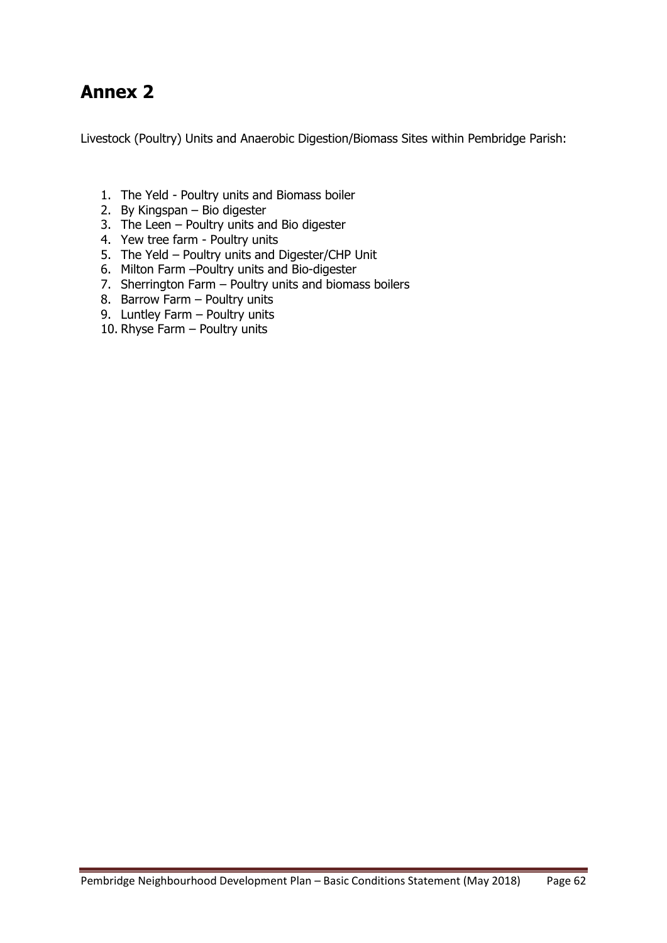## **Annex 2**

Livestock (Poultry) Units and Anaerobic Digestion/Biomass Sites within Pembridge Parish:

- 1. The Yeld Poultry units and Biomass boiler
- 2. By Kingspan Bio digester
- 3. The Leen Poultry units and Bio digester
- 4. Yew tree farm Poultry units
- 5. The Yeld Poultry units and Digester/CHP Unit
- 6. Milton Farm –Poultry units and Bio-digester
- 7. Sherrington Farm Poultry units and biomass boilers
- 8. Barrow Farm Poultry units
- 9. Luntley Farm Poultry units
- 10. Rhyse Farm Poultry units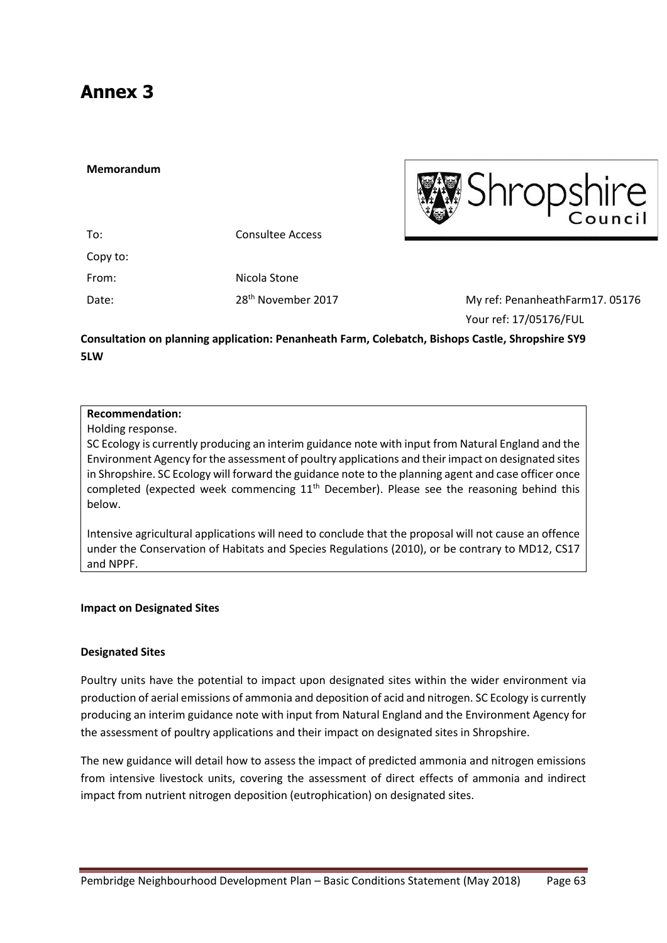## **Annex 3**

#### **Memorandum**



| Consultee Access               |  |
|--------------------------------|--|
|                                |  |
| Nicola Stone                   |  |
| 28 <sup>th</sup> November 2017 |  |
|                                |  |

7 My ref: PenanheathFarm17. 05176 Your ref: 17/05176/FUL

**Consultation on planning application: Penanheath Farm, Colebatch, Bishops Castle, Shropshire SY9 5LW**

### **Recommendation:**

Holding response.

SC Ecology is currently producing an interim guidance note with input from Natural England and the Environment Agency for the assessment of poultry applications and their impact on designated sites in Shropshire. SC Ecology will forward the guidance note to the planning agent and case officer once completed (expected week commencing  $11<sup>th</sup>$  December). Please see the reasoning behind this below.

Intensive agricultural applications will need to conclude that the proposal will not cause an offence under the Conservation of Habitats and Species Regulations (2010), or be contrary to MD12, CS17 and NPPF.

#### **Impact on Designated Sites**

#### **Designated Sites**

Poultry units have the potential to impact upon designated sites within the wider environment via production of aerial emissions of ammonia and deposition of acid and nitrogen. SC Ecology is currently producing an interim guidance note with input from Natural England and the Environment Agency for the assessment of poultry applications and their impact on designated sites in Shropshire.

The new guidance will detail how to assess the impact of predicted ammonia and nitrogen emissions from intensive livestock units, covering the assessment of direct effects of ammonia and indirect impact from nutrient nitrogen deposition (eutrophication) on designated sites.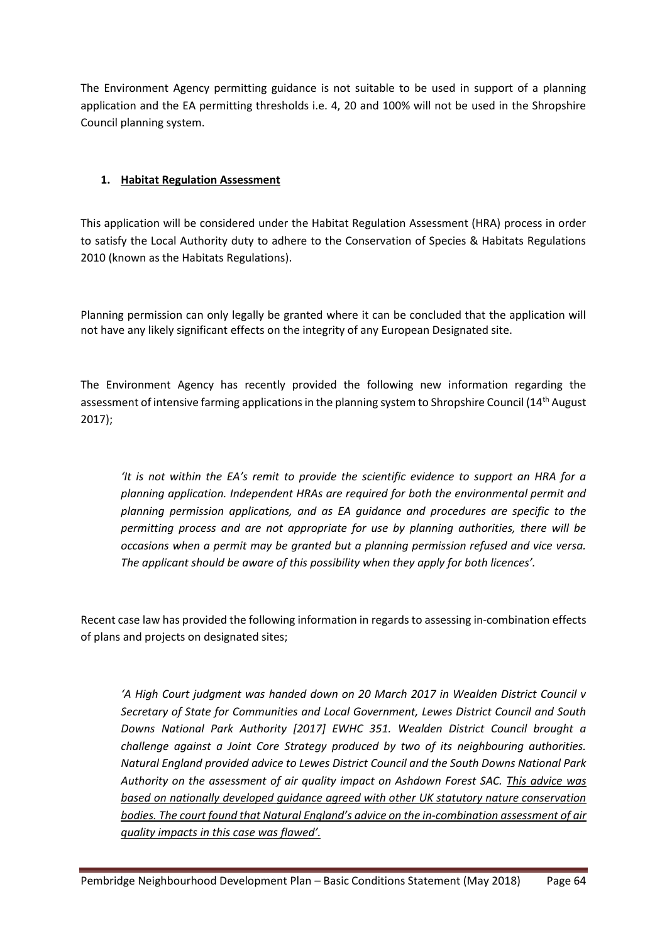The Environment Agency permitting guidance is not suitable to be used in support of a planning application and the EA permitting thresholds i.e. 4, 20 and 100% will not be used in the Shropshire Council planning system.

### **1. Habitat Regulation Assessment**

This application will be considered under the Habitat Regulation Assessment (HRA) process in order to satisfy the Local Authority duty to adhere to the Conservation of Species & Habitats Regulations 2010 (known as the Habitats Regulations).

Planning permission can only legally be granted where it can be concluded that the application will not have any likely significant effects on the integrity of any European Designated site.

The Environment Agency has recently provided the following new information regarding the assessment of intensive farming applications in the planning system to Shropshire Council (14<sup>th</sup> August 2017);

*'It is not within the EA's remit to provide the scientific evidence to support an HRA for a planning application. Independent HRAs are required for both the environmental permit and planning permission applications, and as EA guidance and procedures are specific to the permitting process and are not appropriate for use by planning authorities, there will be occasions when a permit may be granted but a planning permission refused and vice versa. The applicant should be aware of this possibility when they apply for both licences'.*

Recent case law has provided the following information in regards to assessing in-combination effects of plans and projects on designated sites;

*'A High Court judgment was handed down on 20 March 2017 in Wealden District Council v Secretary of State for Communities and Local Government, Lewes District Council and South Downs National Park Authority [2017] EWHC 351. Wealden District Council brought a challenge against a Joint Core Strategy produced by two of its neighbouring authorities. Natural England provided advice to Lewes District Council and the South Downs National Park Authority on the assessment of air quality impact on Ashdown Forest SAC. This advice was based on nationally developed guidance agreed with other UK statutory nature conservation bodies. The court found that Natural England's advice on the in-combination assessment of air quality impacts in this case was flawed'.*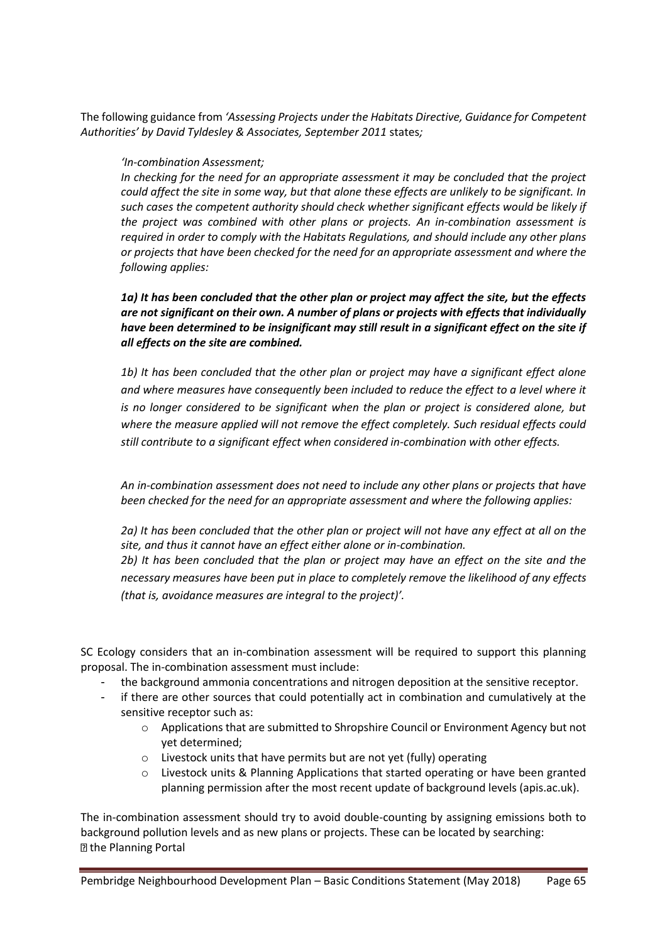The following guidance from *'Assessing Projects under the Habitats Directive, Guidance for Competent Authorities' by David Tyldesley & Associates, September 2011* states*;* 

#### *'In-combination Assessment;*

*In checking for the need for an appropriate assessment it may be concluded that the project could affect the site in some way, but that alone these effects are unlikely to be significant. In such cases the competent authority should check whether significant effects would be likely if the project was combined with other plans or projects. An in-combination assessment is required in order to comply with the Habitats Regulations, and should include any other plans or projects that have been checked for the need for an appropriate assessment and where the following applies:*

#### *1a) It has been concluded that the other plan or project may affect the site, but the effects are not significant on their own. A number of plans or projects with effects that individually have been determined to be insignificant may still result in a significant effect on the site if all effects on the site are combined.*

*1b) It has been concluded that the other plan or project may have a significant effect alone and where measures have consequently been included to reduce the effect to a level where it is no longer considered to be significant when the plan or project is considered alone, but where the measure applied will not remove the effect completely. Such residual effects could still contribute to a significant effect when considered in-combination with other effects.*

*An in-combination assessment does not need to include any other plans or projects that have been checked for the need for an appropriate assessment and where the following applies:* 

*2a) It has been concluded that the other plan or project will not have any effect at all on the site, and thus it cannot have an effect either alone or in-combination.* 

*2b) It has been concluded that the plan or project may have an effect on the site and the necessary measures have been put in place to completely remove the likelihood of any effects (that is, avoidance measures are integral to the project)'.*

SC Ecology considers that an in-combination assessment will be required to support this planning proposal. The in-combination assessment must include:

- the background ammonia concentrations and nitrogen deposition at the sensitive receptor.
- if there are other sources that could potentially act in combination and cumulatively at the sensitive receptor such as:
	- o Applications that are submitted to Shropshire Council or Environment Agency but not yet determined;
	- o Livestock units that have permits but are not yet (fully) operating
	- $\circ$  Livestock units & Planning Applications that started operating or have been granted planning permission after the most recent update of background levels (apis.ac.uk).

The in-combination assessment should try to avoid double-counting by assigning emissions both to background pollution levels and as new plans or projects. These can be located by searching: **D** the Planning Portal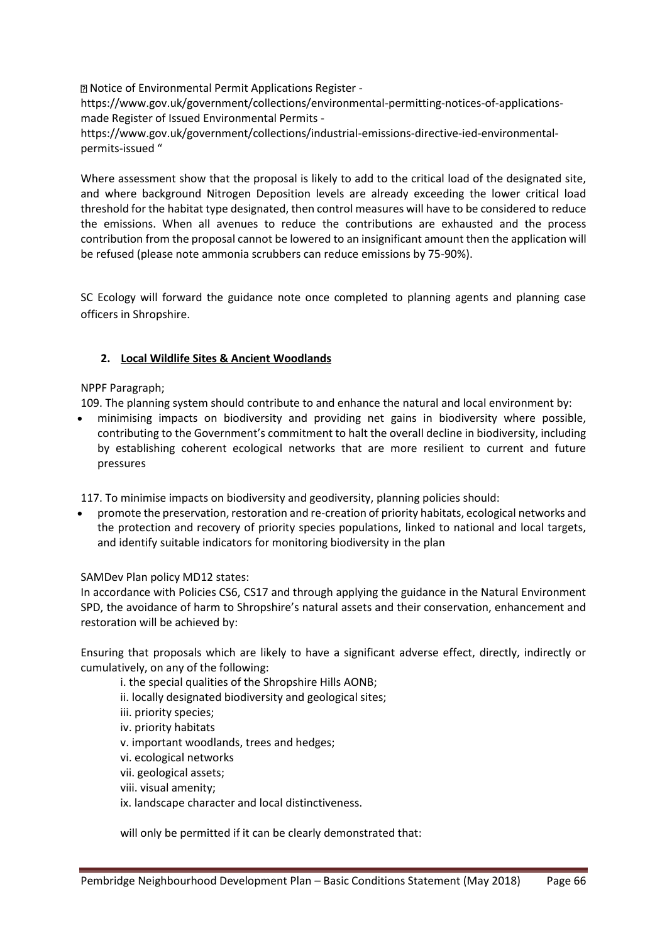Notice of Environmental Permit Applications Register -

https://www.gov.uk/government/collections/environmental-permitting-notices-of-applicationsmade Register of Issued Environmental Permits -

https://www.gov.uk/government/collections/industrial-emissions-directive-ied-environmentalpermits-issued "

Where assessment show that the proposal is likely to add to the critical load of the designated site, and where background Nitrogen Deposition levels are already exceeding the lower critical load threshold for the habitat type designated, then control measures will have to be considered to reduce the emissions. When all avenues to reduce the contributions are exhausted and the process contribution from the proposal cannot be lowered to an insignificant amount then the application will be refused (please note ammonia scrubbers can reduce emissions by 75-90%).

SC Ecology will forward the guidance note once completed to planning agents and planning case officers in Shropshire.

#### **2. Local Wildlife Sites & Ancient Woodlands**

#### NPPF Paragraph;

109. The planning system should contribute to and enhance the natural and local environment by:

• minimising impacts on biodiversity and providing net gains in biodiversity where possible, contributing to the Government's commitment to halt the overall decline in biodiversity, including by establishing coherent ecological networks that are more resilient to current and future pressures

117. To minimise impacts on biodiversity and geodiversity, planning policies should:

• promote the preservation, restoration and re-creation of priority habitats, ecological networks and the protection and recovery of priority species populations, linked to national and local targets, and identify suitable indicators for monitoring biodiversity in the plan

#### SAMDev Plan policy MD12 states:

In accordance with Policies CS6, CS17 and through applying the guidance in the Natural Environment SPD, the avoidance of harm to Shropshire's natural assets and their conservation, enhancement and restoration will be achieved by:

Ensuring that proposals which are likely to have a significant adverse effect, directly, indirectly or cumulatively, on any of the following:

- i. the special qualities of the Shropshire Hills AONB;
- ii. locally designated biodiversity and geological sites;
- iii. priority species;
- iv. priority habitats
- v. important woodlands, trees and hedges;
- vi. ecological networks
- vii. geological assets;
- viii. visual amenity;
- ix. landscape character and local distinctiveness.

will only be permitted if it can be clearly demonstrated that: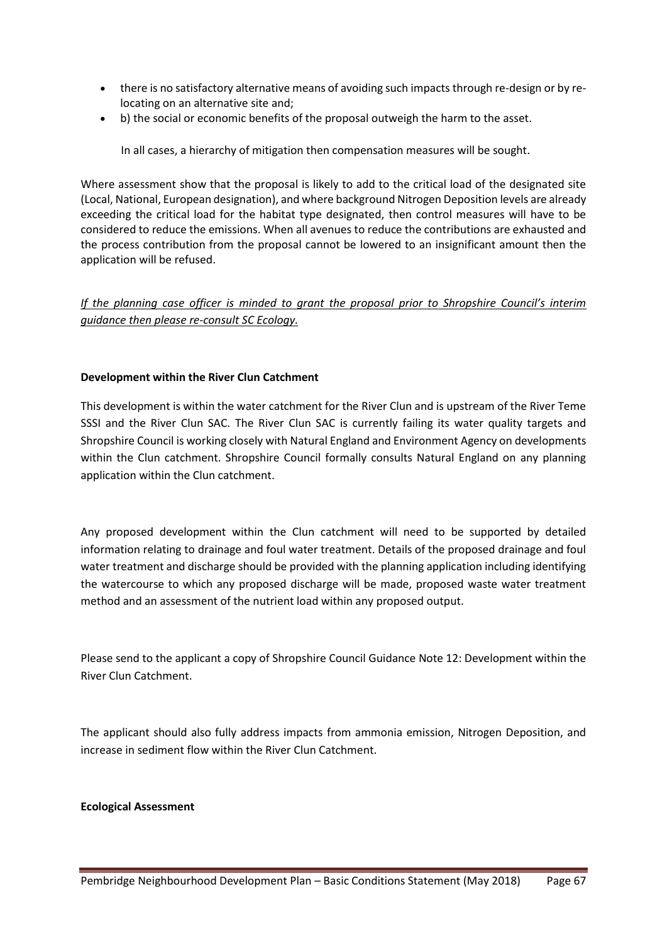- there is no satisfactory alternative means of avoiding such impacts through re-design or by relocating on an alternative site and;
- b) the social or economic benefits of the proposal outweigh the harm to the asset.

In all cases, a hierarchy of mitigation then compensation measures will be sought.

Where assessment show that the proposal is likely to add to the critical load of the designated site (Local, National, European designation), and where background Nitrogen Deposition levels are already exceeding the critical load for the habitat type designated, then control measures will have to be considered to reduce the emissions. When all avenues to reduce the contributions are exhausted and the process contribution from the proposal cannot be lowered to an insignificant amount then the application will be refused.

*If the planning case officer is minded to grant the proposal prior to Shropshire Council's interim guidance then please re-consult SC Ecology.* 

#### **Development within the River Clun Catchment**

This development is within the water catchment for the River Clun and is upstream of the River Teme SSSI and the River Clun SAC. The River Clun SAC is currently failing its water quality targets and Shropshire Council is working closely with Natural England and Environment Agency on developments within the Clun catchment. Shropshire Council formally consults Natural England on any planning application within the Clun catchment.

Any proposed development within the Clun catchment will need to be supported by detailed information relating to drainage and foul water treatment. Details of the proposed drainage and foul water treatment and discharge should be provided with the planning application including identifying the watercourse to which any proposed discharge will be made, proposed waste water treatment method and an assessment of the nutrient load within any proposed output.

Please send to the applicant a copy of Shropshire Council Guidance Note 12: Development within the River Clun Catchment.

The applicant should also fully address impacts from ammonia emission, Nitrogen Deposition, and increase in sediment flow within the River Clun Catchment.

#### **Ecological Assessment**